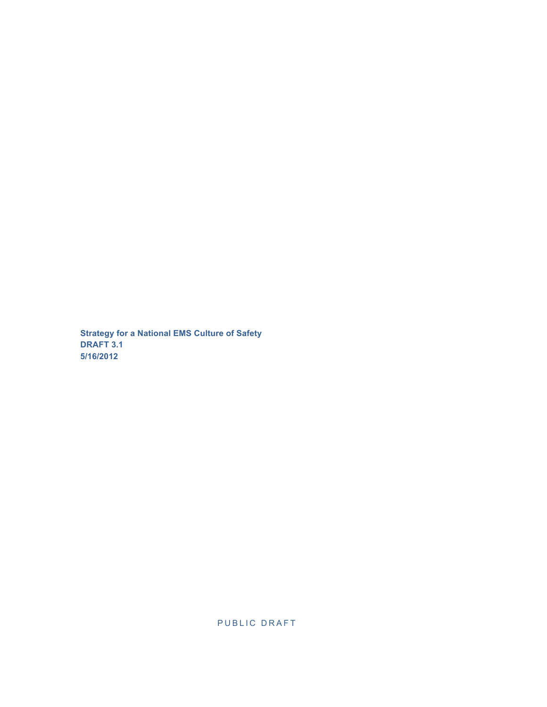**Strategy for a National EMS Culture of Safety DRAFT 3.1 5/16/2012**

PUBLIC DRAFT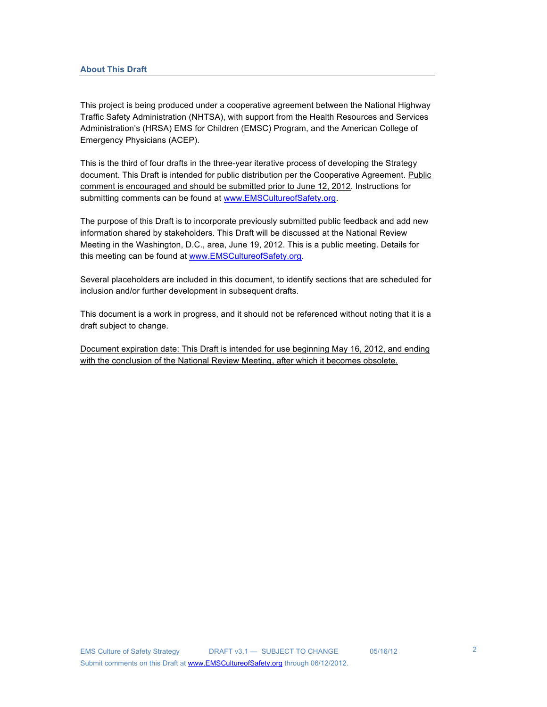This project is being produced under a cooperative agreement between the National Highway Traffic Safety Administration (NHTSA), with support from the Health Resources and Services Administration's (HRSA) EMS for Children (EMSC) Program, and the American College of Emergency Physicians (ACEP).

This is the third of four drafts in the three-year iterative process of developing the Strategy document. This Draft is intended for public distribution per the Cooperative Agreement. Public comment is encouraged and should be submitted prior to June 12, 2012. Instructions for submitting comments can be found at www.EMSCultureofSafety.org.

The purpose of this Draft is to incorporate previously submitted public feedback and add new information shared by stakeholders. This Draft will be discussed at the National Review Meeting in the Washington, D.C., area, June 19, 2012. This is a public meeting. Details for this meeting can be found at www.EMSCultureofSafety.org.

Several placeholders are included in this document, to identify sections that are scheduled for inclusion and/or further development in subsequent drafts.

This document is a work in progress, and it should not be referenced without noting that it is a draft subject to change.

Document expiration date: This Draft is intended for use beginning May 16, 2012, and ending with the conclusion of the National Review Meeting, after which it becomes obsolete.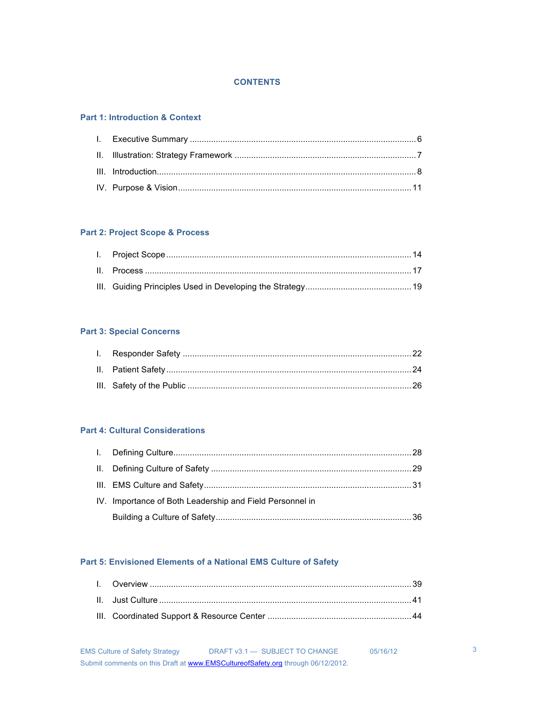## **CONTENTS**

## **Part 1: Introduction & Context**

# **Part 2: Project Scope & Process**

# **Part 3: Special Concerns**

# **Part 4: Cultural Considerations**

| IV. Importance of Both Leadership and Field Personnel in |  |
|----------------------------------------------------------|--|
|                                                          |  |
|                                                          |  |

# **Part 5: Envisioned Elements of a National EMS Culture of Safety**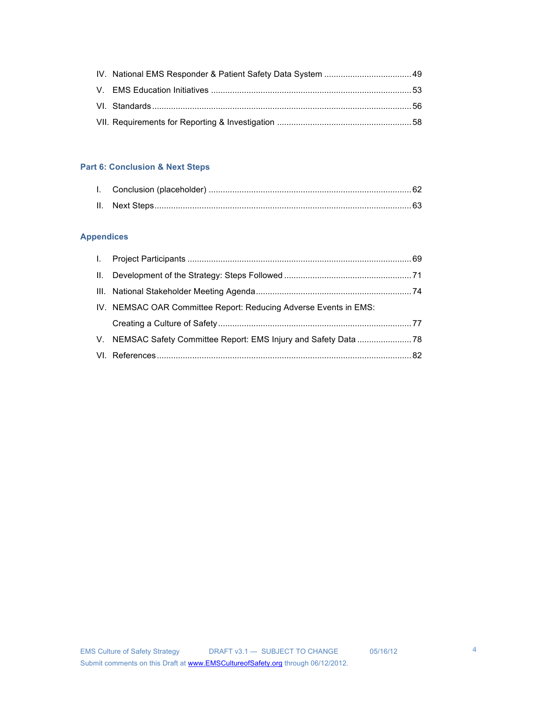# **Part 6: Conclusion & Next Steps**

# **Appendices**

| IV. NEMSAC OAR Committee Report: Reducing Adverse Events in EMS: |  |
|------------------------------------------------------------------|--|
|                                                                  |  |
|                                                                  |  |
|                                                                  |  |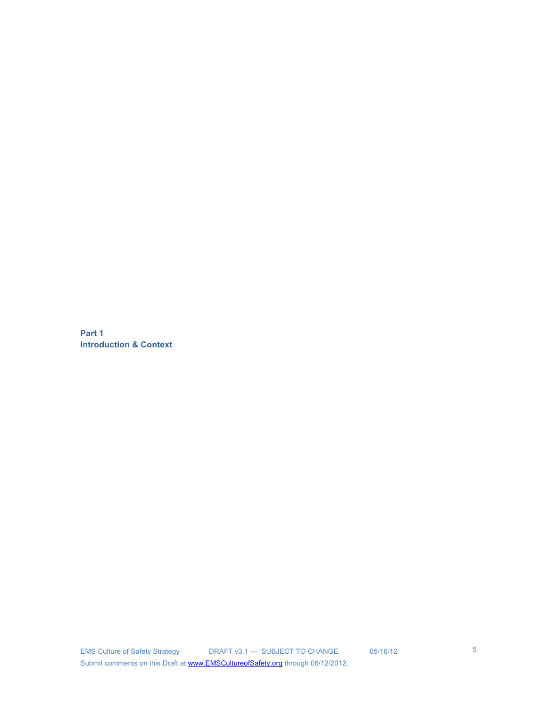**Part 1 Introduction & Context**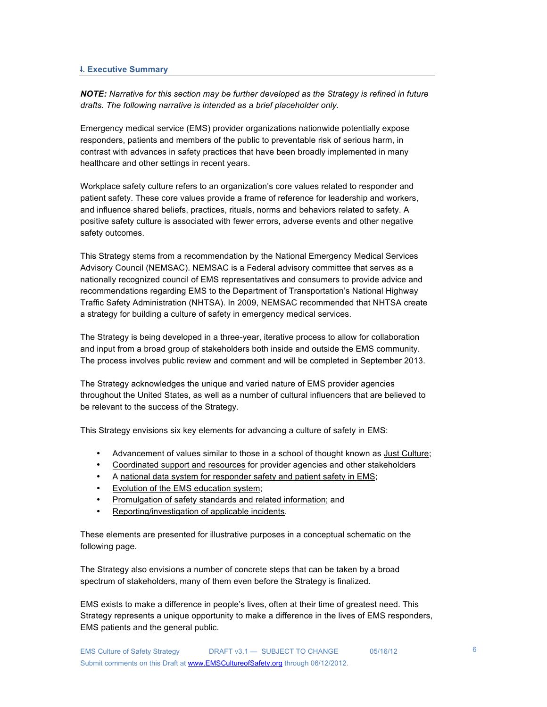## **I. Executive Summary**

*NOTE: Narrative for this section may be further developed as the Strategy is refined in future drafts. The following narrative is intended as a brief placeholder only.*

Emergency medical service (EMS) provider organizations nationwide potentially expose responders, patients and members of the public to preventable risk of serious harm, in contrast with advances in safety practices that have been broadly implemented in many healthcare and other settings in recent years.

Workplace safety culture refers to an organization's core values related to responder and patient safety. These core values provide a frame of reference for leadership and workers, and influence shared beliefs, practices, rituals, norms and behaviors related to safety. A positive safety culture is associated with fewer errors, adverse events and other negative safety outcomes.

This Strategy stems from a recommendation by the National Emergency Medical Services Advisory Council (NEMSAC). NEMSAC is a Federal advisory committee that serves as a nationally recognized council of EMS representatives and consumers to provide advice and recommendations regarding EMS to the Department of Transportation's National Highway Traffic Safety Administration (NHTSA). In 2009, NEMSAC recommended that NHTSA create a strategy for building a culture of safety in emergency medical services.

The Strategy is being developed in a three-year, iterative process to allow for collaboration and input from a broad group of stakeholders both inside and outside the EMS community. The process involves public review and comment and will be completed in September 2013.

The Strategy acknowledges the unique and varied nature of EMS provider agencies throughout the United States, as well as a number of cultural influencers that are believed to be relevant to the success of the Strategy.

This Strategy envisions six key elements for advancing a culture of safety in EMS:

- Advancement of values similar to those in a school of thought known as Just Culture;
- Coordinated support and resources for provider agencies and other stakeholders
- A national data system for responder safety and patient safety in EMS;
- Evolution of the EMS education system;
- Promulgation of safety standards and related information; and
- Reporting/investigation of applicable incidents.

These elements are presented for illustrative purposes in a conceptual schematic on the following page.

The Strategy also envisions a number of concrete steps that can be taken by a broad spectrum of stakeholders, many of them even before the Strategy is finalized.

EMS exists to make a difference in people's lives, often at their time of greatest need. This Strategy represents a unique opportunity to make a difference in the lives of EMS responders, EMS patients and the general public.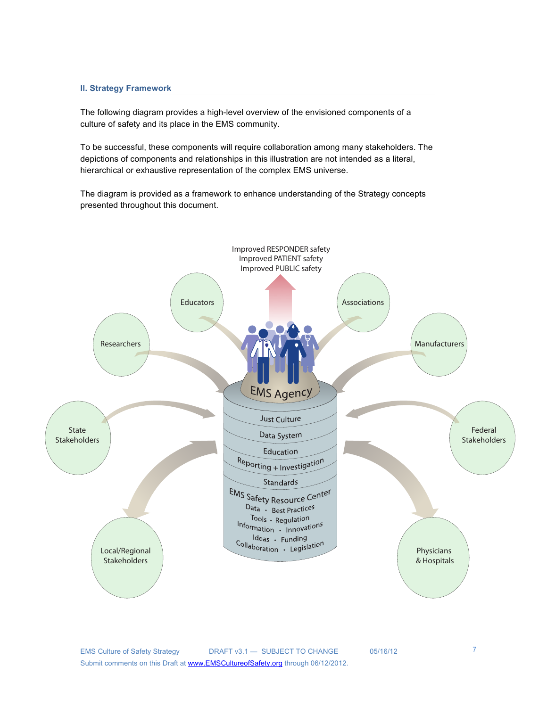## **II. Strategy Framework**

The following diagram provides a high-level overview of the envisioned components of a culture of safety and its place in the EMS community.

To be successful, these components will require collaboration among many stakeholders. The depictions of components and relationships in this illustration are not intended as a literal, hierarchical or exhaustive representation of the complex EMS universe.

The diagram is provided as a framework to enhance understanding of the Strategy concepts presented throughout this document.

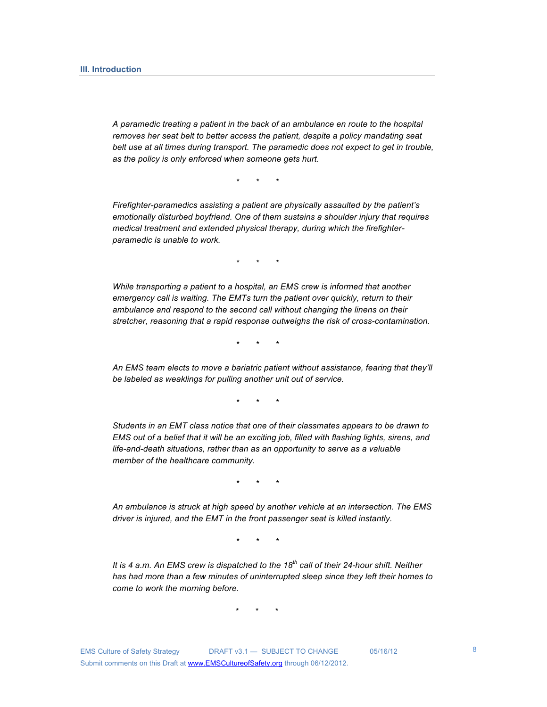*A paramedic treating a patient in the back of an ambulance en route to the hospital removes her seat belt to better access the patient, despite a policy mandating seat belt use at all times during transport. The paramedic does not expect to get in trouble, as the policy is only enforced when someone gets hurt.*

*\* \* \**

*Firefighter-paramedics assisting a patient are physically assaulted by the patient's emotionally disturbed boyfriend. One of them sustains a shoulder injury that requires medical treatment and extended physical therapy, during which the firefighterparamedic is unable to work.*

*\* \* \**

*While transporting a patient to a hospital, an EMS crew is informed that another emergency call is waiting. The EMTs turn the patient over quickly, return to their ambulance and respond to the second call without changing the linens on their stretcher, reasoning that a rapid response outweighs the risk of cross-contamination.* 

*\* \* \**

*An EMS team elects to move a bariatric patient without assistance, fearing that they'll be labeled as weaklings for pulling another unit out of service.*

*\* \* \**

*Students in an EMT class notice that one of their classmates appears to be drawn to EMS out of a belief that it will be an exciting job, filled with flashing lights, sirens, and life-and-death situations, rather than as an opportunity to serve as a valuable member of the healthcare community.*

*\* \* \**

*An ambulance is struck at high speed by another vehicle at an intersection. The EMS driver is injured, and the EMT in the front passenger seat is killed instantly.* 

*\* \* \**

*It is 4 a.m. An EMS crew is dispatched to the 18th call of their 24-hour shift. Neither has had more than a few minutes of uninterrupted sleep since they left their homes to come to work the morning before.*

 $\star$   $\star$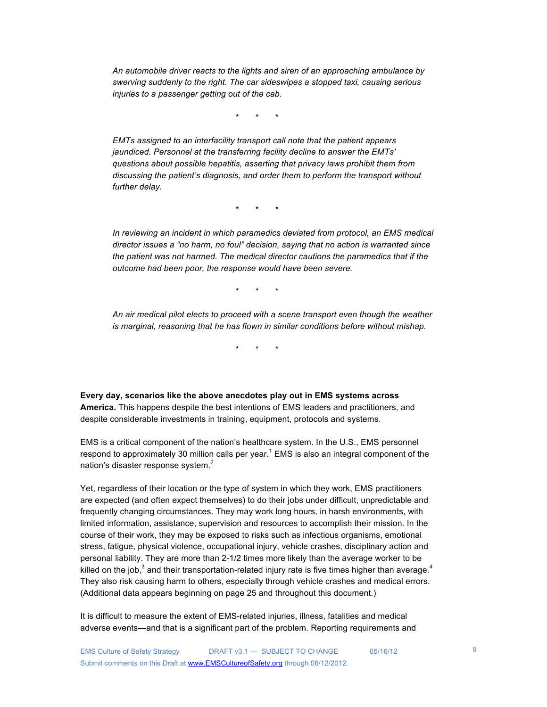*An automobile driver reacts to the lights and siren of an approaching ambulance by swerving suddenly to the right. The car sideswipes a stopped taxi, causing serious injuries to a passenger getting out of the cab.* 

\* \* \*

*EMTs assigned to an interfacility transport call note that the patient appears jaundiced. Personnel at the transferring facility decline to answer the EMTs' questions about possible hepatitis, asserting that privacy laws prohibit them from discussing the patient's diagnosis, and order them to perform the transport without further delay.* 

 $\star$   $\star$ 

In reviewing an incident in which paramedics deviated from protocol, an EMS medical *director issues a "no harm, no foul" decision, saying that no action is warranted since the patient was not harmed. The medical director cautions the paramedics that if the outcome had been poor, the response would have been severe.*

\* \* \*

*An air medical pilot elects to proceed with a scene transport even though the weather is marginal, reasoning that he has flown in similar conditions before without mishap.*

 $\star$   $\star$ 

**Every day, scenarios like the above anecdotes play out in EMS systems across America.** This happens despite the best intentions of EMS leaders and practitioners, and despite considerable investments in training, equipment, protocols and systems.

EMS is a critical component of the nation's healthcare system. In the U.S., EMS personnel respond to approximately 30 million calls per year.<sup>1</sup> EMS is also an integral component of the nation's disaster response system.<sup>2</sup>

Yet, regardless of their location or the type of system in which they work, EMS practitioners are expected (and often expect themselves) to do their jobs under difficult, unpredictable and frequently changing circumstances. They may work long hours, in harsh environments, with limited information, assistance, supervision and resources to accomplish their mission. In the course of their work, they may be exposed to risks such as infectious organisms, emotional stress, fatigue, physical violence, occupational injury, vehicle crashes, disciplinary action and personal liability. They are more than 2-1/2 times more likely than the average worker to be killed on the job,<sup>3</sup> and their transportation-related injury rate is five times higher than average.<sup>4</sup> They also risk causing harm to others, especially through vehicle crashes and medical errors. (Additional data appears beginning on page 25 and throughout this document.)

It is difficult to measure the extent of EMS-related injuries, illness, fatalities and medical adverse events—and that is a significant part of the problem. Reporting requirements and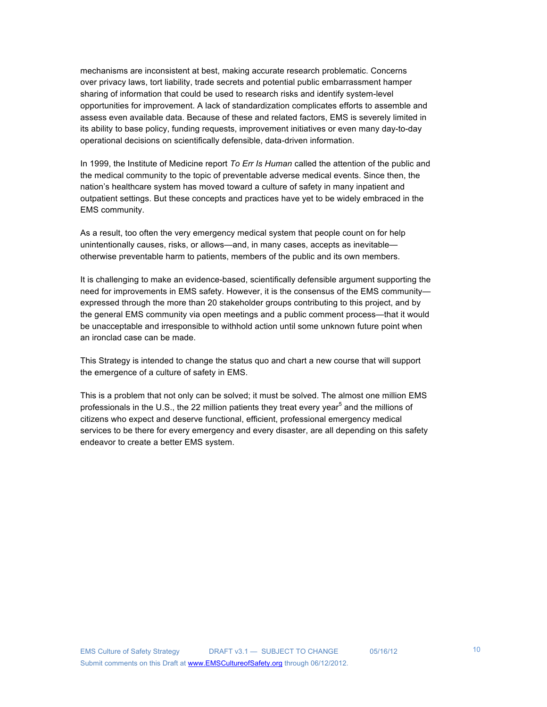mechanisms are inconsistent at best, making accurate research problematic. Concerns over privacy laws, tort liability, trade secrets and potential public embarrassment hamper sharing of information that could be used to research risks and identify system-level opportunities for improvement. A lack of standardization complicates efforts to assemble and assess even available data. Because of these and related factors, EMS is severely limited in its ability to base policy, funding requests, improvement initiatives or even many day-to-day operational decisions on scientifically defensible, data-driven information.

In 1999, the Institute of Medicine report *To Err Is Human* called the attention of the public and the medical community to the topic of preventable adverse medical events. Since then, the nation's healthcare system has moved toward a culture of safety in many inpatient and outpatient settings. But these concepts and practices have yet to be widely embraced in the EMS community.

As a result, too often the very emergency medical system that people count on for help unintentionally causes, risks, or allows—and, in many cases, accepts as inevitable otherwise preventable harm to patients, members of the public and its own members.

It is challenging to make an evidence-based, scientifically defensible argument supporting the need for improvements in EMS safety. However, it is the consensus of the EMS community expressed through the more than 20 stakeholder groups contributing to this project, and by the general EMS community via open meetings and a public comment process—that it would be unacceptable and irresponsible to withhold action until some unknown future point when an ironclad case can be made.

This Strategy is intended to change the status quo and chart a new course that will support the emergence of a culture of safety in EMS.

This is a problem that not only can be solved; it must be solved. The almost one million EMS professionals in the U.S., the 22 million patients they treat every year<sup>5</sup> and the millions of citizens who expect and deserve functional, efficient, professional emergency medical services to be there for every emergency and every disaster, are all depending on this safety endeavor to create a better EMS system.

10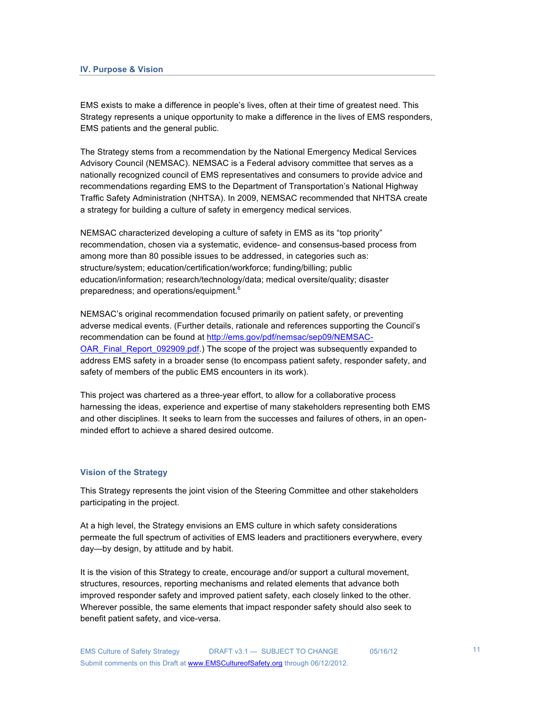EMS exists to make a difference in people's lives, often at their time of greatest need. This Strategy represents a unique opportunity to make a difference in the lives of EMS responders, EMS patients and the general public.

The Strategy stems from a recommendation by the National Emergency Medical Services Advisory Council (NEMSAC). NEMSAC is a Federal advisory committee that serves as a nationally recognized council of EMS representatives and consumers to provide advice and recommendations regarding EMS to the Department of Transportation's National Highway Traffic Safety Administration (NHTSA). In 2009, NEMSAC recommended that NHTSA create a strategy for building a culture of safety in emergency medical services.

NEMSAC characterized developing a culture of safety in EMS as its "top priority" recommendation, chosen via a systematic, evidence- and consensus-based process from among more than 80 possible issues to be addressed, in categories such as: structure/system; education/certification/workforce; funding/billing; public education/information; research/technology/data; medical oversite/quality; disaster preparedness; and operations/equipment.<sup>6</sup>

NEMSAC's original recommendation focused primarily on patient safety, or preventing adverse medical events. (Further details, rationale and references supporting the Council's recommendation can be found at http://ems.gov/pdf/nemsac/sep09/NEMSAC-OAR\_Final\_Report\_092909.pdf.) The scope of the project was subsequently expanded to address EMS safety in a broader sense (to encompass patient safety, responder safety, and safety of members of the public EMS encounters in its work).

This project was chartered as a three-year effort, to allow for a collaborative process harnessing the ideas, experience and expertise of many stakeholders representing both EMS and other disciplines. It seeks to learn from the successes and failures of others, in an openminded effort to achieve a shared desired outcome.

### **Vision of the Strategy**

This Strategy represents the joint vision of the Steering Committee and other stakeholders participating in the project.

At a high level, the Strategy envisions an EMS culture in which safety considerations permeate the full spectrum of activities of EMS leaders and practitioners everywhere, every day—by design, by attitude and by habit.

It is the vision of this Strategy to create, encourage and/or support a cultural movement, structures, resources, reporting mechanisms and related elements that advance both improved responder safety and improved patient safety, each closely linked to the other. Wherever possible, the same elements that impact responder safety should also seek to benefit patient safety, and vice-versa.

11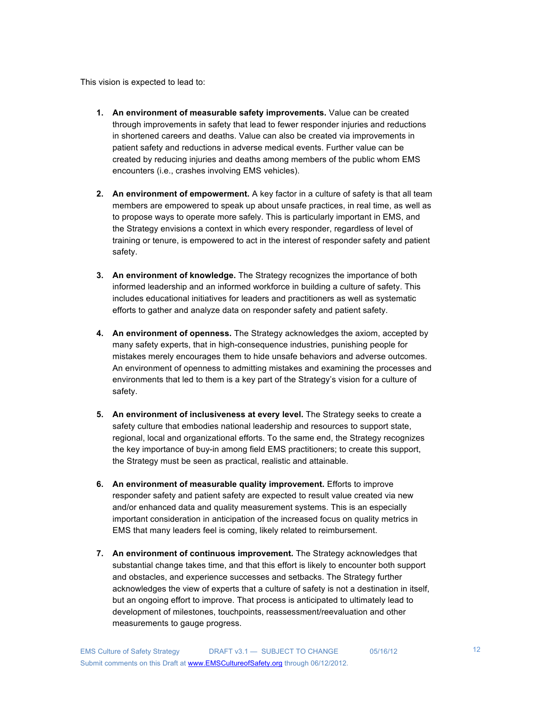This vision is expected to lead to:

- **1. An environment of measurable safety improvements.** Value can be created through improvements in safety that lead to fewer responder injuries and reductions in shortened careers and deaths. Value can also be created via improvements in patient safety and reductions in adverse medical events. Further value can be created by reducing injuries and deaths among members of the public whom EMS encounters (i.e., crashes involving EMS vehicles).
- **2. An environment of empowerment.** A key factor in a culture of safety is that all team members are empowered to speak up about unsafe practices, in real time, as well as to propose ways to operate more safely. This is particularly important in EMS, and the Strategy envisions a context in which every responder, regardless of level of training or tenure, is empowered to act in the interest of responder safety and patient safety.
- **3. An environment of knowledge.** The Strategy recognizes the importance of both informed leadership and an informed workforce in building a culture of safety. This includes educational initiatives for leaders and practitioners as well as systematic efforts to gather and analyze data on responder safety and patient safety.
- **4. An environment of openness.** The Strategy acknowledges the axiom, accepted by many safety experts, that in high-consequence industries, punishing people for mistakes merely encourages them to hide unsafe behaviors and adverse outcomes. An environment of openness to admitting mistakes and examining the processes and environments that led to them is a key part of the Strategy's vision for a culture of safety.
- **5. An environment of inclusiveness at every level.** The Strategy seeks to create a safety culture that embodies national leadership and resources to support state, regional, local and organizational efforts. To the same end, the Strategy recognizes the key importance of buy-in among field EMS practitioners; to create this support, the Strategy must be seen as practical, realistic and attainable.
- **6. An environment of measurable quality improvement.** Efforts to improve responder safety and patient safety are expected to result value created via new and/or enhanced data and quality measurement systems. This is an especially important consideration in anticipation of the increased focus on quality metrics in EMS that many leaders feel is coming, likely related to reimbursement.
- **7. An environment of continuous improvement.** The Strategy acknowledges that substantial change takes time, and that this effort is likely to encounter both support and obstacles, and experience successes and setbacks. The Strategy further acknowledges the view of experts that a culture of safety is not a destination in itself, but an ongoing effort to improve. That process is anticipated to ultimately lead to development of milestones, touchpoints, reassessment/reevaluation and other measurements to gauge progress.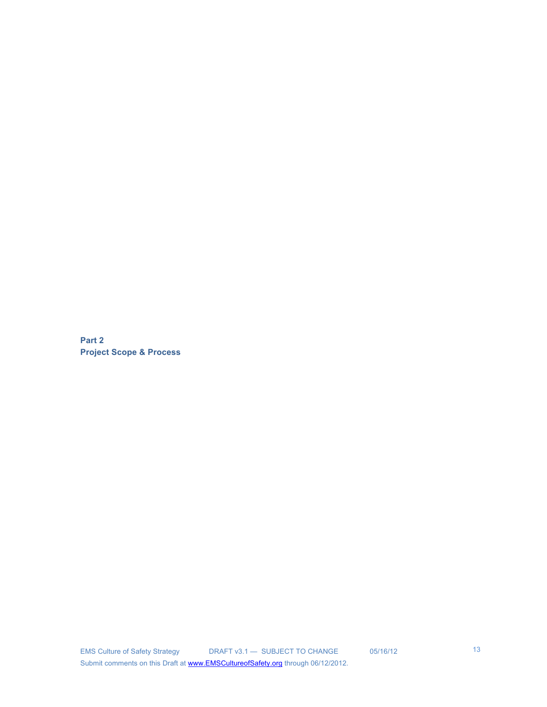**Part 2 Project Scope & Process**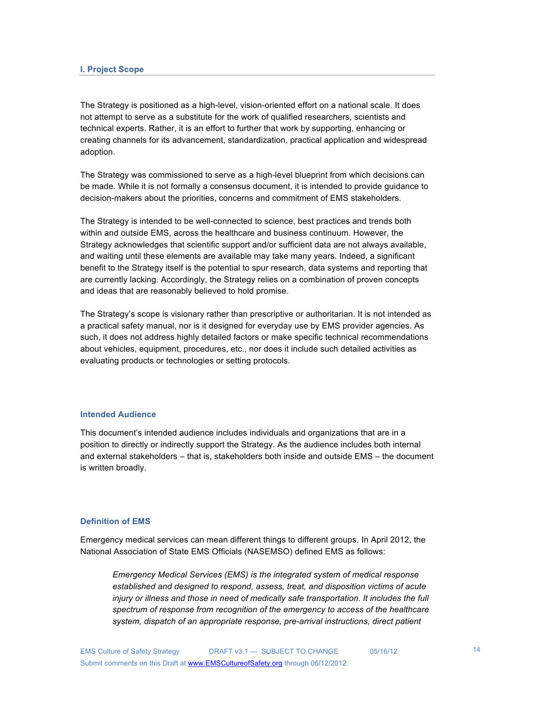The Strategy is positioned as a high-level, vision-oriented effort on a national scale. It does not attempt to serve as a substitute for the work of qualified researchers, scientists and technical experts. Rather, it is an effort to further that work by supporting, enhancing or creating channels for its advancement, standardization, practical application and widespread adoption.

The Strategy was commissioned to serve as a high-level blueprint from which decisions can be made. While it is not formally a consensus document, it is intended to provide guidance to decision-makers about the priorities, concerns and commitment of EMS stakeholders.

The Strategy is intended to be well-connected to science, best practices and trends both within and outside EMS, across the healthcare and business continuum. However, the Strategy acknowledges that scientific support and/or sufficient data are not always available, and waiting until these elements are available may take many years. Indeed, a significant benefit to the Strategy itself is the potential to spur research, data systems and reporting that are currently lacking. Accordingly, the Strategy relies on a combination of proven concepts and ideas that are reasonably believed to hold promise.

The Strategy's scope is visionary rather than prescriptive or authoritarian. It is not intended as a practical safety manual, nor is it designed for everyday use by EMS provider agencies. As such, it does not address highly detailed factors or make specific technical recommendations about vehicles, equipment, procedures, etc., nor does it include such detailed activities as evaluating products or technologies or setting protocols.

#### **Intended Audience**

This document's intended audience includes individuals and organizations that are in a position to directly or indirectly support the Strategy. As the audience includes both internal and external stakeholders – that is, stakeholders both inside and outside EMS – the document is written broadly.

## **Definition of EMS**

Emergency medical services can mean different things to different groups. In April 2012, the National Association of State EMS Officials (NASEMSO) defined EMS as follows:

*Emergency Medical Services (EMS) is the integrated system of medical response established and designed to respond, assess, treat, and disposition victims of acute*  injury or illness and those in need of medically safe transportation. It includes the full *spectrum of response from recognition of the emergency to access of the healthcare system, dispatch of an appropriate response, pre-arrival instructions, direct patient*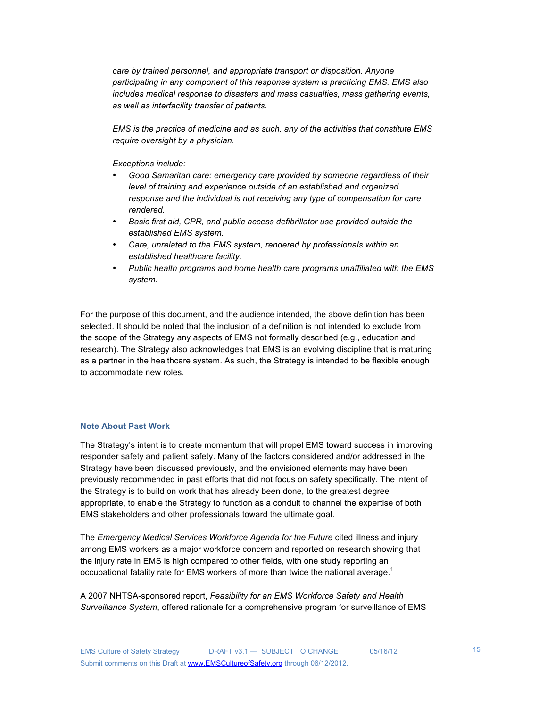*care by trained personnel, and appropriate transport or disposition. Anyone participating in any component of this response system is practicing EMS. EMS also includes medical response to disasters and mass casualties, mass gathering events, as well as interfacility transfer of patients.* 

*EMS is the practice of medicine and as such, any of the activities that constitute EMS require oversight by a physician.* 

*Exceptions include:*

- *Good Samaritan care: emergency care provided by someone regardless of their level of training and experience outside of an established and organized response and the individual is not receiving any type of compensation for care rendered.*
- *Basic first aid, CPR, and public access defibrillator use provided outside the established EMS system.*
- *Care, unrelated to the EMS system, rendered by professionals within an established healthcare facility.*
- *Public health programs and home health care programs unaffiliated with the EMS system.*

For the purpose of this document, and the audience intended, the above definition has been selected. It should be noted that the inclusion of a definition is not intended to exclude from the scope of the Strategy any aspects of EMS not formally described (e.g., education and research). The Strategy also acknowledges that EMS is an evolving discipline that is maturing as a partner in the healthcare system. As such, the Strategy is intended to be flexible enough to accommodate new roles.

### **Note About Past Work**

The Strategy's intent is to create momentum that will propel EMS toward success in improving responder safety and patient safety. Many of the factors considered and/or addressed in the Strategy have been discussed previously, and the envisioned elements may have been previously recommended in past efforts that did not focus on safety specifically. The intent of the Strategy is to build on work that has already been done, to the greatest degree appropriate, to enable the Strategy to function as a conduit to channel the expertise of both EMS stakeholders and other professionals toward the ultimate goal.

The *Emergency Medical Services Workforce Agenda for the Future* cited illness and injury among EMS workers as a major workforce concern and reported on research showing that the injury rate in EMS is high compared to other fields, with one study reporting an occupational fatality rate for EMS workers of more than twice the national average. $1$ 

A 2007 NHTSA-sponsored report, *Feasibility for an EMS Workforce Safety and Health Surveillance System*, offered rationale for a comprehensive program for surveillance of EMS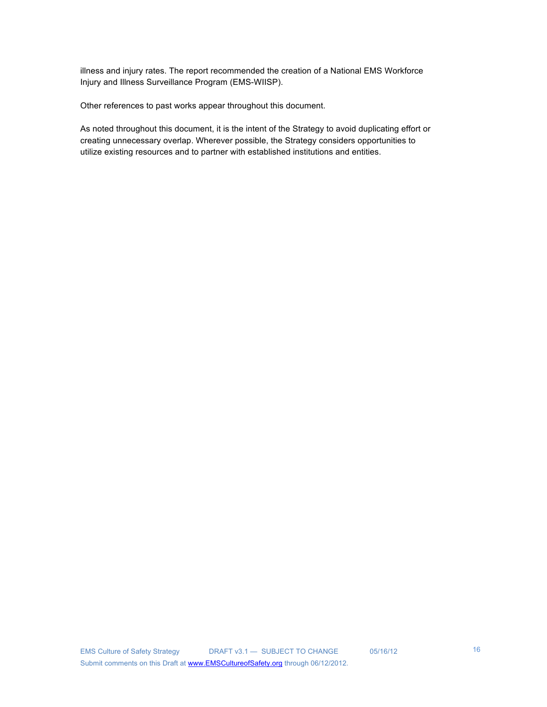illness and injury rates. The report recommended the creation of a National EMS Workforce Injury and Illness Surveillance Program (EMS-WIISP).

Other references to past works appear throughout this document.

As noted throughout this document, it is the intent of the Strategy to avoid duplicating effort or creating unnecessary overlap. Wherever possible, the Strategy considers opportunities to utilize existing resources and to partner with established institutions and entities.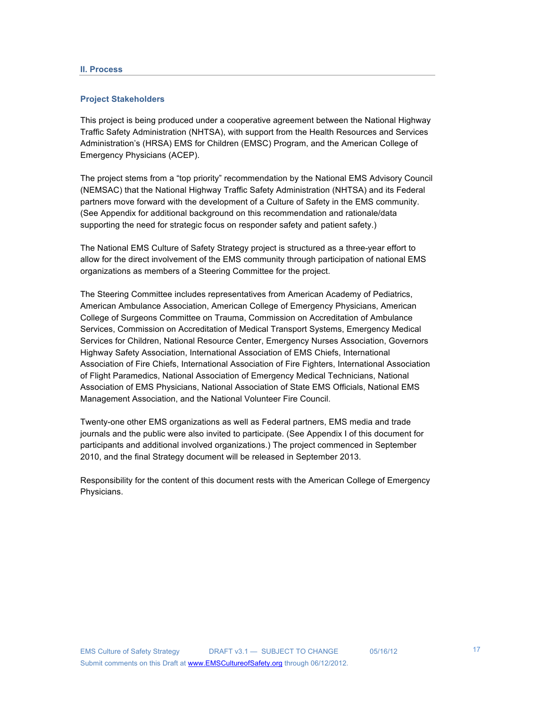#### **Project Stakeholders**

This project is being produced under a cooperative agreement between the National Highway Traffic Safety Administration (NHTSA), with support from the Health Resources and Services Administration's (HRSA) EMS for Children (EMSC) Program, and the American College of Emergency Physicians (ACEP).

The project stems from a "top priority" recommendation by the National EMS Advisory Council (NEMSAC) that the National Highway Traffic Safety Administration (NHTSA) and its Federal partners move forward with the development of a Culture of Safety in the EMS community. (See Appendix for additional background on this recommendation and rationale/data supporting the need for strategic focus on responder safety and patient safety.)

The National EMS Culture of Safety Strategy project is structured as a three-year effort to allow for the direct involvement of the EMS community through participation of national EMS organizations as members of a Steering Committee for the project.

The Steering Committee includes representatives from American Academy of Pediatrics, American Ambulance Association, American College of Emergency Physicians, American College of Surgeons Committee on Trauma, Commission on Accreditation of Ambulance Services, Commission on Accreditation of Medical Transport Systems, Emergency Medical Services for Children, National Resource Center, Emergency Nurses Association, Governors Highway Safety Association, International Association of EMS Chiefs, International Association of Fire Chiefs, International Association of Fire Fighters, International Association of Flight Paramedics, National Association of Emergency Medical Technicians, National Association of EMS Physicians, National Association of State EMS Officials, National EMS Management Association, and the National Volunteer Fire Council.

Twenty-one other EMS organizations as well as Federal partners, EMS media and trade journals and the public were also invited to participate. (See Appendix I of this document for participants and additional involved organizations.) The project commenced in September 2010, and the final Strategy document will be released in September 2013.

Responsibility for the content of this document rests with the American College of Emergency Physicians.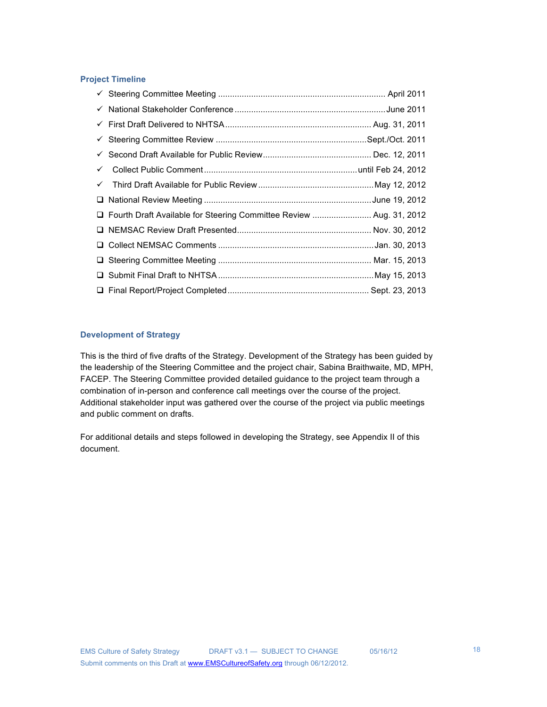## **Project Timeline**

| $\checkmark$ |                                                                       |  |
|--------------|-----------------------------------------------------------------------|--|
|              |                                                                       |  |
|              |                                                                       |  |
|              | □ Fourth Draft Available for Steering Committee Review  Aug. 31, 2012 |  |
|              |                                                                       |  |
|              |                                                                       |  |
|              |                                                                       |  |
|              |                                                                       |  |
|              |                                                                       |  |

## **Development of Strategy**

This is the third of five drafts of the Strategy. Development of the Strategy has been guided by the leadership of the Steering Committee and the project chair, Sabina Braithwaite, MD, MPH, FACEP. The Steering Committee provided detailed guidance to the project team through a combination of in-person and conference call meetings over the course of the project. Additional stakeholder input was gathered over the course of the project via public meetings and public comment on drafts.

For additional details and steps followed in developing the Strategy, see Appendix II of this document.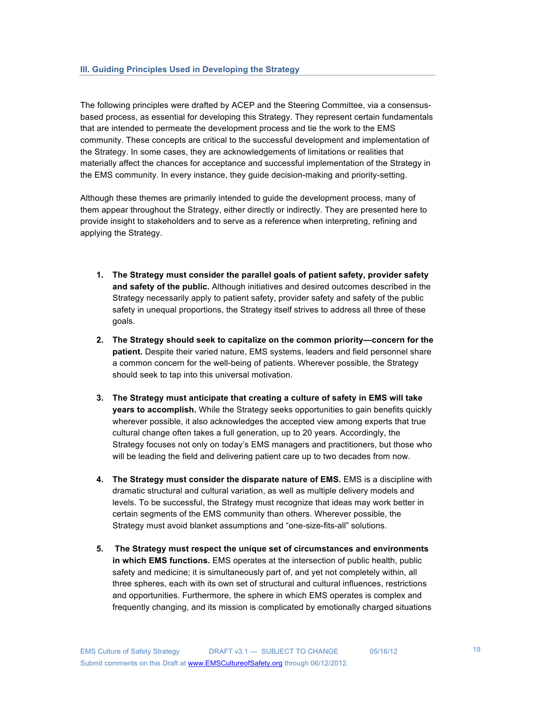The following principles were drafted by ACEP and the Steering Committee, via a consensusbased process, as essential for developing this Strategy. They represent certain fundamentals that are intended to permeate the development process and tie the work to the EMS community. These concepts are critical to the successful development and implementation of the Strategy. In some cases, they are acknowledgements of limitations or realities that materially affect the chances for acceptance and successful implementation of the Strategy in the EMS community. In every instance, they guide decision-making and priority-setting.

Although these themes are primarily intended to guide the development process, many of them appear throughout the Strategy, either directly or indirectly. They are presented here to provide insight to stakeholders and to serve as a reference when interpreting, refining and applying the Strategy.

- **1. The Strategy must consider the parallel goals of patient safety, provider safety and safety of the public.** Although initiatives and desired outcomes described in the Strategy necessarily apply to patient safety, provider safety and safety of the public safety in unequal proportions, the Strategy itself strives to address all three of these goals.
- **2. The Strategy should seek to capitalize on the common priority—concern for the patient.** Despite their varied nature, EMS systems, leaders and field personnel share a common concern for the well-being of patients. Wherever possible, the Strategy should seek to tap into this universal motivation.
- **3. The Strategy must anticipate that creating a culture of safety in EMS will take years to accomplish.** While the Strategy seeks opportunities to gain benefits quickly wherever possible, it also acknowledges the accepted view among experts that true cultural change often takes a full generation, up to 20 years. Accordingly, the Strategy focuses not only on today's EMS managers and practitioners, but those who will be leading the field and delivering patient care up to two decades from now.
- **4. The Strategy must consider the disparate nature of EMS.** EMS is a discipline with dramatic structural and cultural variation, as well as multiple delivery models and levels. To be successful, the Strategy must recognize that ideas may work better in certain segments of the EMS community than others. Wherever possible, the Strategy must avoid blanket assumptions and "one-size-fits-all" solutions.
- **5. The Strategy must respect the unique set of circumstances and environments in which EMS functions.** EMS operates at the intersection of public health, public safety and medicine; it is simultaneously part of, and yet not completely within, all three spheres, each with its own set of structural and cultural influences, restrictions and opportunities. Furthermore, the sphere in which EMS operates is complex and frequently changing, and its mission is complicated by emotionally charged situations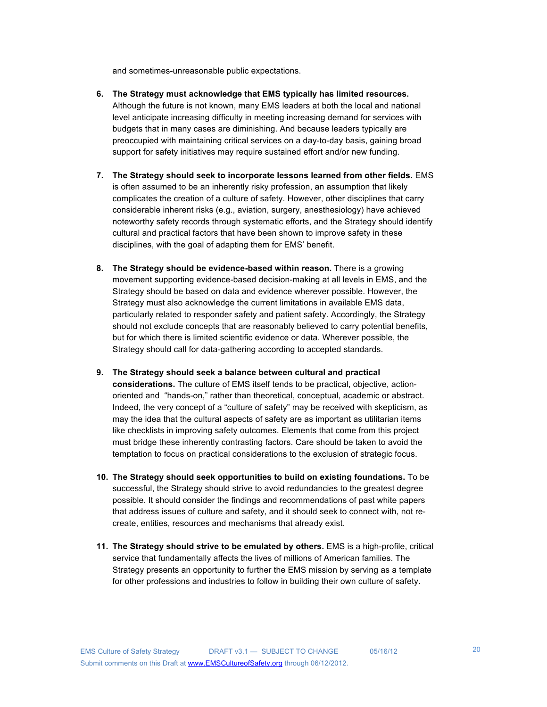and sometimes-unreasonable public expectations.

- **6. The Strategy must acknowledge that EMS typically has limited resources.** Although the future is not known, many EMS leaders at both the local and national level anticipate increasing difficulty in meeting increasing demand for services with budgets that in many cases are diminishing. And because leaders typically are preoccupied with maintaining critical services on a day-to-day basis, gaining broad support for safety initiatives may require sustained effort and/or new funding.
- **7. The Strategy should seek to incorporate lessons learned from other fields.** EMS is often assumed to be an inherently risky profession, an assumption that likely complicates the creation of a culture of safety. However, other disciplines that carry considerable inherent risks (e.g., aviation, surgery, anesthesiology) have achieved noteworthy safety records through systematic efforts, and the Strategy should identify cultural and practical factors that have been shown to improve safety in these disciplines, with the goal of adapting them for EMS' benefit.
- **8. The Strategy should be evidence-based within reason.** There is a growing movement supporting evidence-based decision-making at all levels in EMS, and the Strategy should be based on data and evidence wherever possible. However, the Strategy must also acknowledge the current limitations in available EMS data, particularly related to responder safety and patient safety. Accordingly, the Strategy should not exclude concepts that are reasonably believed to carry potential benefits, but for which there is limited scientific evidence or data. Wherever possible, the Strategy should call for data-gathering according to accepted standards.
- **9. The Strategy should seek a balance between cultural and practical considerations.** The culture of EMS itself tends to be practical, objective, actionoriented and "hands-on," rather than theoretical, conceptual, academic or abstract. Indeed, the very concept of a "culture of safety" may be received with skepticism, as may the idea that the cultural aspects of safety are as important as utilitarian items like checklists in improving safety outcomes. Elements that come from this project must bridge these inherently contrasting factors. Care should be taken to avoid the temptation to focus on practical considerations to the exclusion of strategic focus.
- **10. The Strategy should seek opportunities to build on existing foundations.** To be successful, the Strategy should strive to avoid redundancies to the greatest degree possible. It should consider the findings and recommendations of past white papers that address issues of culture and safety, and it should seek to connect with, not recreate, entities, resources and mechanisms that already exist.
- **11. The Strategy should strive to be emulated by others.** EMS is a high-profile, critical service that fundamentally affects the lives of millions of American families. The Strategy presents an opportunity to further the EMS mission by serving as a template for other professions and industries to follow in building their own culture of safety.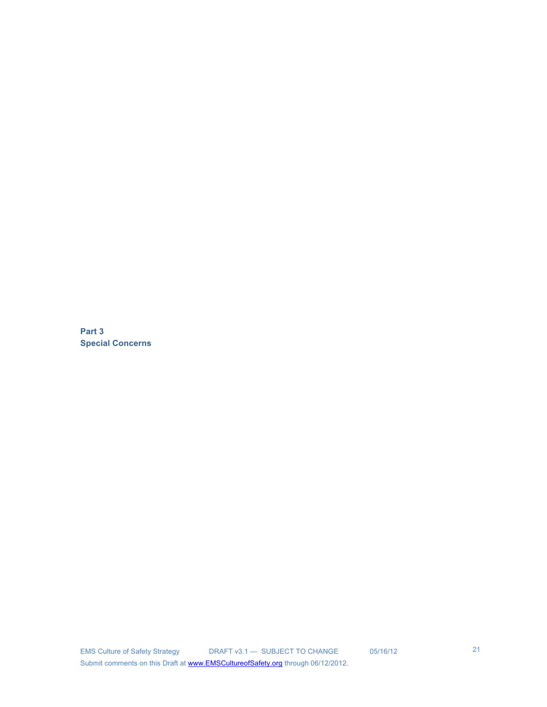**Part 3 Special Concerns**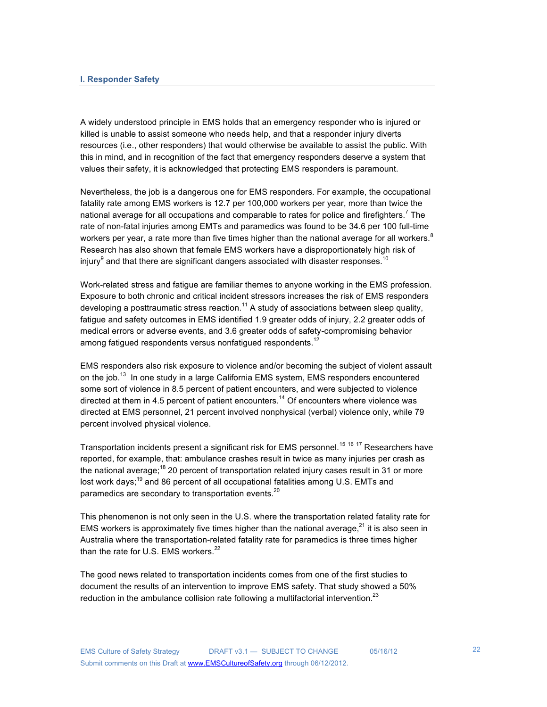#### **I. Responder Safety**

A widely understood principle in EMS holds that an emergency responder who is injured or killed is unable to assist someone who needs help, and that a responder injury diverts resources (i.e., other responders) that would otherwise be available to assist the public. With this in mind, and in recognition of the fact that emergency responders deserve a system that values their safety, it is acknowledged that protecting EMS responders is paramount.

Nevertheless, the job is a dangerous one for EMS responders. For example, the occupational fatality rate among EMS workers is 12.7 per 100,000 workers per year, more than twice the national average for all occupations and comparable to rates for police and firefighters.<sup>7</sup> The rate of non-fatal injuries among EMTs and paramedics was found to be 34.6 per 100 full-time workers per year, a rate more than five times higher than the national average for all workers. $8$ Research has also shown that female EMS workers have a disproportionately high risk of injury $^9$  and that there are significant dangers associated with disaster responses. $^{\rm 10}$ 

Work-related stress and fatigue are familiar themes to anyone working in the EMS profession. Exposure to both chronic and critical incident stressors increases the risk of EMS responders developing a posttraumatic stress reaction.<sup>11</sup> A study of associations between sleep quality, fatigue and safety outcomes in EMS identified 1.9 greater odds of injury, 2.2 greater odds of medical errors or adverse events, and 3.6 greater odds of safety-compromising behavior among fatigued respondents versus nonfatigued respondents.<sup>12</sup>

EMS responders also risk exposure to violence and/or becoming the subject of violent assault on the job.<sup>13</sup> In one study in a large California EMS system, EMS responders encountered some sort of violence in 8.5 percent of patient encounters, and were subjected to violence directed at them in 4.5 percent of patient encounters.<sup>14</sup> Of encounters where violence was directed at EMS personnel, 21 percent involved nonphysical (verbal) violence only, while 79 percent involved physical violence.

Transportation incidents present a significant risk for EMS personnel.<sup>15 16</sup> 17 Researchers have reported, for example, that: ambulance crashes result in twice as many injuries per crash as the national average;<sup>18</sup> 20 percent of transportation related injury cases result in 31 or more lost work days;<sup>19</sup> and 86 percent of all occupational fatalities among U.S. EMTs and paramedics are secondary to transportation events.<sup>20</sup>

This phenomenon is not only seen in the U.S. where the transportation related fatality rate for EMS workers is approximately five times higher than the national average, $^{21}$  it is also seen in Australia where the transportation-related fatality rate for paramedics is three times higher than the rate for U.S. EMS workers.<sup>22</sup>

The good news related to transportation incidents comes from one of the first studies to document the results of an intervention to improve EMS safety. That study showed a 50% reduction in the ambulance collision rate following a multifactorial intervention.<sup>23</sup>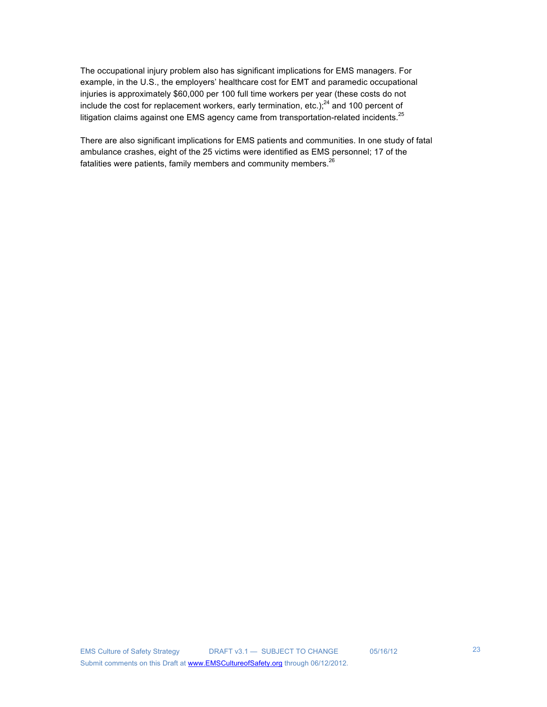The occupational injury problem also has significant implications for EMS managers. For example, in the U.S., the employers' healthcare cost for EMT and paramedic occupational injuries is approximately \$60,000 per 100 full time workers per year (these costs do not include the cost for replacement workers, early termination, etc.); $^{24}$  and 100 percent of litigation claims against one EMS agency came from transportation-related incidents.<sup>25</sup>

There are also significant implications for EMS patients and communities. In one study of fatal ambulance crashes, eight of the 25 victims were identified as EMS personnel; 17 of the fatalities were patients, family members and community members. $26$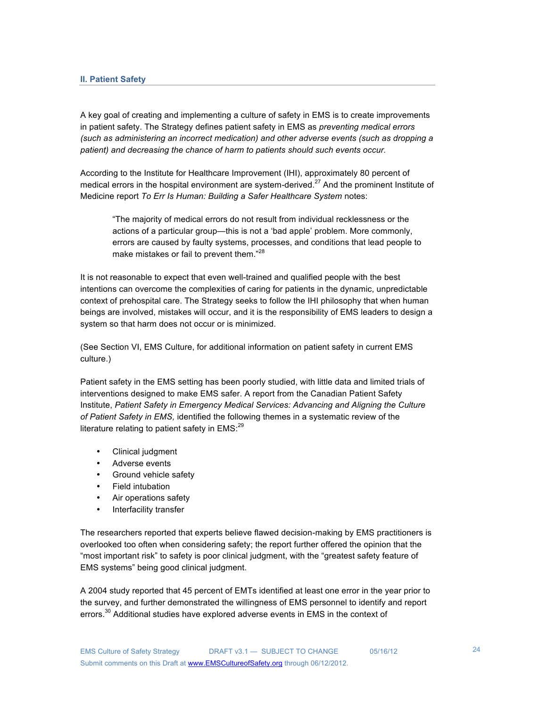A key goal of creating and implementing a culture of safety in EMS is to create improvements in patient safety. The Strategy defines patient safety in EMS as *preventing medical errors (such as administering an incorrect medication) and other adverse events (such as dropping a patient) and decreasing the chance of harm to patients should such events occur.*

According to the Institute for Healthcare Improvement (IHI), approximately 80 percent of medical errors in the hospital environment are system-derived.<sup>27</sup> And the prominent Institute of Medicine report *To Err Is Human: Building a Safer Healthcare System* notes:

"The majority of medical errors do not result from individual recklessness or the actions of a particular group—this is not a 'bad apple' problem. More commonly, errors are caused by faulty systems, processes, and conditions that lead people to make mistakes or fail to prevent them."<sup>28</sup>

It is not reasonable to expect that even well-trained and qualified people with the best intentions can overcome the complexities of caring for patients in the dynamic, unpredictable context of prehospital care. The Strategy seeks to follow the IHI philosophy that when human beings are involved, mistakes will occur, and it is the responsibility of EMS leaders to design a system so that harm does not occur or is minimized.

(See Section VI, EMS Culture, for additional information on patient safety in current EMS culture.)

Patient safety in the EMS setting has been poorly studied, with little data and limited trials of interventions designed to make EMS safer. A report from the Canadian Patient Safety Institute, *Patient Safety in Emergency Medical Services: Advancing and Aligning the Culture of Patient Safety in EMS,* identified the following themes in a systematic review of the literature relating to patient safety in  $EMS$ : $^{29}$ 

- Clinical judgment
- Adverse events
- Ground vehicle safety
- Field intubation
- Air operations safety
- Interfacility transfer

The researchers reported that experts believe flawed decision-making by EMS practitioners is overlooked too often when considering safety; the report further offered the opinion that the "most important risk" to safety is poor clinical judgment, with the "greatest safety feature of EMS systems" being good clinical judgment.

A 2004 study reported that 45 percent of EMTs identified at least one error in the year prior to the survey, and further demonstrated the willingness of EMS personnel to identify and report errors.<sup>30</sup> Additional studies have explored adverse events in EMS in the context of

24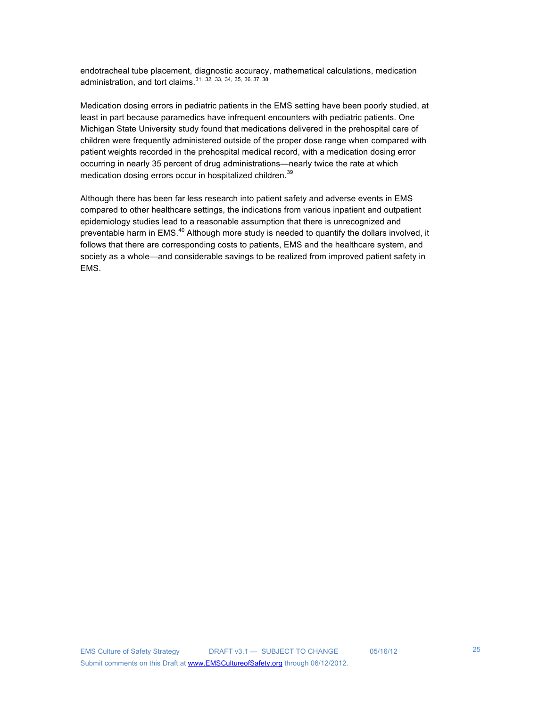endotracheal tube placement, diagnostic accuracy, mathematical calculations, medication administration, and tort claims.  $31, 32, 33, 34, 35, 36, 37, 38$ 

Medication dosing errors in pediatric patients in the EMS setting have been poorly studied, at least in part because paramedics have infrequent encounters with pediatric patients. One Michigan State University study found that medications delivered in the prehospital care of children were frequently administered outside of the proper dose range when compared with patient weights recorded in the prehospital medical record, with a medication dosing error occurring in nearly 35 percent of drug administrations—nearly twice the rate at which medication dosing errors occur in hospitalized children.<sup>39</sup>

Although there has been far less research into patient safety and adverse events in EMS compared to other healthcare settings, the indications from various inpatient and outpatient epidemiology studies lead to a reasonable assumption that there is unrecognized and preventable harm in EMS.<sup>40</sup> Although more study is needed to quantify the dollars involved, it follows that there are corresponding costs to patients, EMS and the healthcare system, and society as a whole—and considerable savings to be realized from improved patient safety in EMS.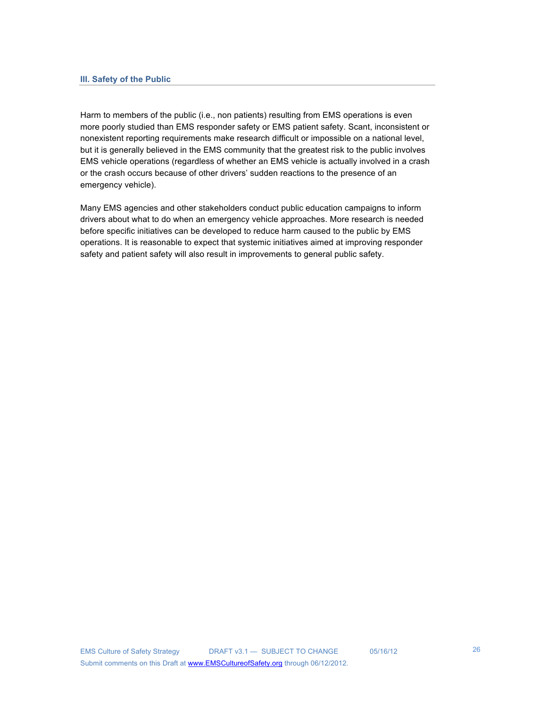Harm to members of the public (i.e., non patients) resulting from EMS operations is even more poorly studied than EMS responder safety or EMS patient safety. Scant, inconsistent or nonexistent reporting requirements make research difficult or impossible on a national level, but it is generally believed in the EMS community that the greatest risk to the public involves EMS vehicle operations (regardless of whether an EMS vehicle is actually involved in a crash or the crash occurs because of other drivers' sudden reactions to the presence of an emergency vehicle).

Many EMS agencies and other stakeholders conduct public education campaigns to inform drivers about what to do when an emergency vehicle approaches. More research is needed before specific initiatives can be developed to reduce harm caused to the public by EMS operations. It is reasonable to expect that systemic initiatives aimed at improving responder safety and patient safety will also result in improvements to general public safety.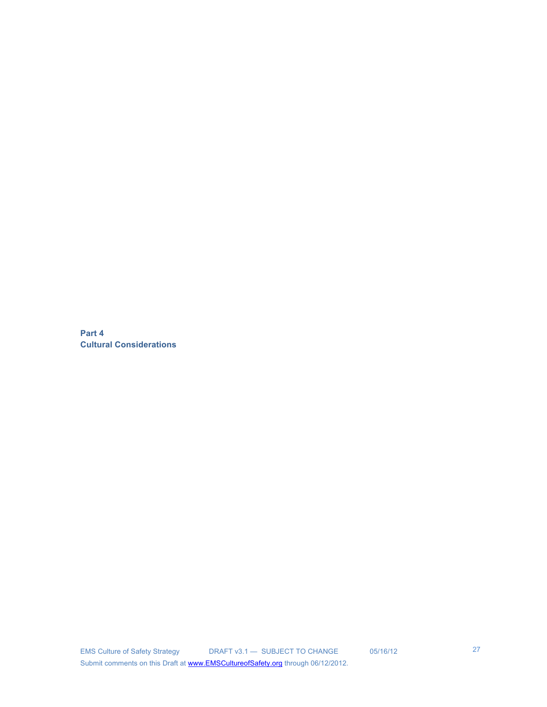**Part 4 Cultural Considerations**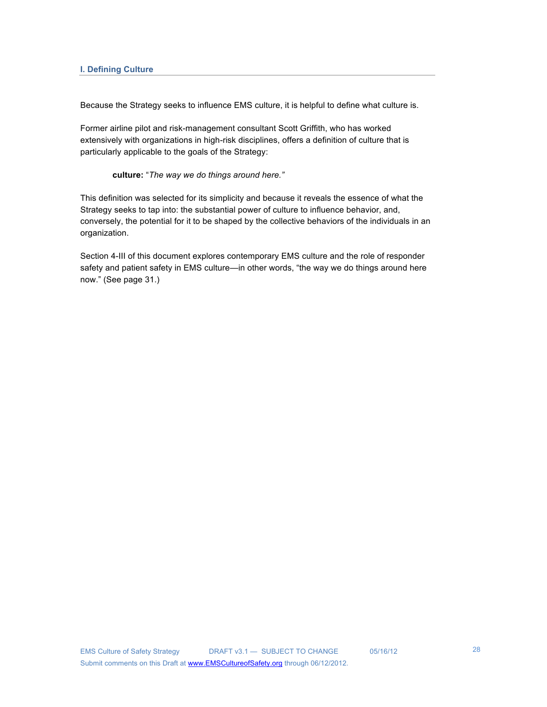Because the Strategy seeks to influence EMS culture, it is helpful to define what culture is.

Former airline pilot and risk-management consultant Scott Griffith, who has worked extensively with organizations in high-risk disciplines, offers a definition of culture that is particularly applicable to the goals of the Strategy:

**culture:** "*The way we do things around here."*

This definition was selected for its simplicity and because it reveals the essence of what the Strategy seeks to tap into: the substantial power of culture to influence behavior, and, conversely, the potential for it to be shaped by the collective behaviors of the individuals in an organization.

Section 4-III of this document explores contemporary EMS culture and the role of responder safety and patient safety in EMS culture—in other words, "the way we do things around here now." (See page 31.)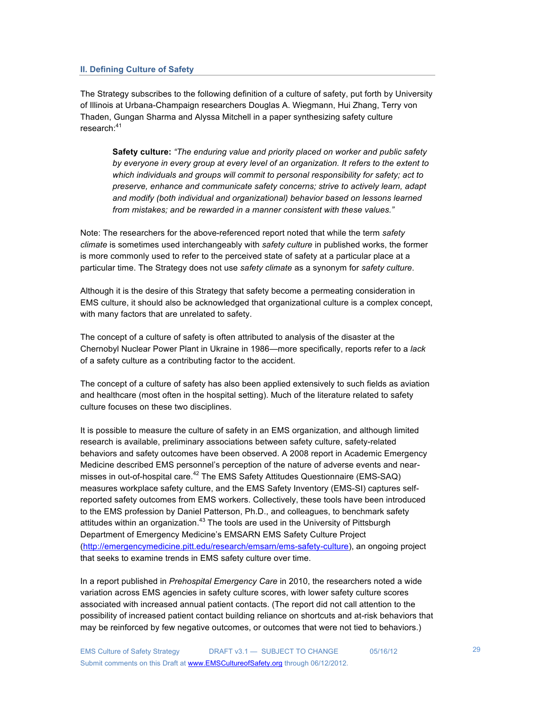## **II. Defining Culture of Safety**

The Strategy subscribes to the following definition of a culture of safety, put forth by University of Illinois at Urbana-Champaign researchers Douglas A. Wiegmann, Hui Zhang, Terry von Thaden, Gungan Sharma and Alyssa Mitchell in a paper synthesizing safety culture research:<sup>41</sup>

**Safety culture:** *"The enduring value and priority placed on worker and public safety by everyone in every group at every level of an organization. It refers to the extent to which individuals and groups will commit to personal responsibility for safety; act to preserve, enhance and communicate safety concerns; strive to actively learn, adapt and modify (both individual and organizational) behavior based on lessons learned from mistakes; and be rewarded in a manner consistent with these values."*

Note: The researchers for the above-referenced report noted that while the term *safety climate* is sometimes used interchangeably with *safety culture* in published works, the former is more commonly used to refer to the perceived state of safety at a particular place at a particular time. The Strategy does not use *safety climate* as a synonym for *safety culture*.

Although it is the desire of this Strategy that safety become a permeating consideration in EMS culture, it should also be acknowledged that organizational culture is a complex concept, with many factors that are unrelated to safety.

The concept of a culture of safety is often attributed to analysis of the disaster at the Chernobyl Nuclear Power Plant in Ukraine in 1986—more specifically, reports refer to a *lack* of a safety culture as a contributing factor to the accident.

The concept of a culture of safety has also been applied extensively to such fields as aviation and healthcare (most often in the hospital setting). Much of the literature related to safety culture focuses on these two disciplines.

It is possible to measure the culture of safety in an EMS organization, and although limited research is available, preliminary associations between safety culture, safety-related behaviors and safety outcomes have been observed. A 2008 report in Academic Emergency Medicine described EMS personnel's perception of the nature of adverse events and nearmisses in out-of-hospital care.<sup>42</sup> The EMS Safety Attitudes Questionnaire (EMS-SAQ) measures workplace safety culture, and the EMS Safety Inventory (EMS-SI) captures selfreported safety outcomes from EMS workers. Collectively, these tools have been introduced to the EMS profession by Daniel Patterson, Ph.D., and colleagues, to benchmark safety attitudes within an organization.<sup>43</sup> The tools are used in the University of Pittsburgh Department of Emergency Medicine's EMSARN EMS Safety Culture Project (http://emergencymedicine.pitt.edu/research/emsarn/ems-safety-culture), an ongoing project that seeks to examine trends in EMS safety culture over time.

In a report published in *Prehospital Emergency Care* in 2010, the researchers noted a wide variation across EMS agencies in safety culture scores, with lower safety culture scores associated with increased annual patient contacts. (The report did not call attention to the possibility of increased patient contact building reliance on shortcuts and at-risk behaviors that may be reinforced by few negative outcomes, or outcomes that were not tied to behaviors.)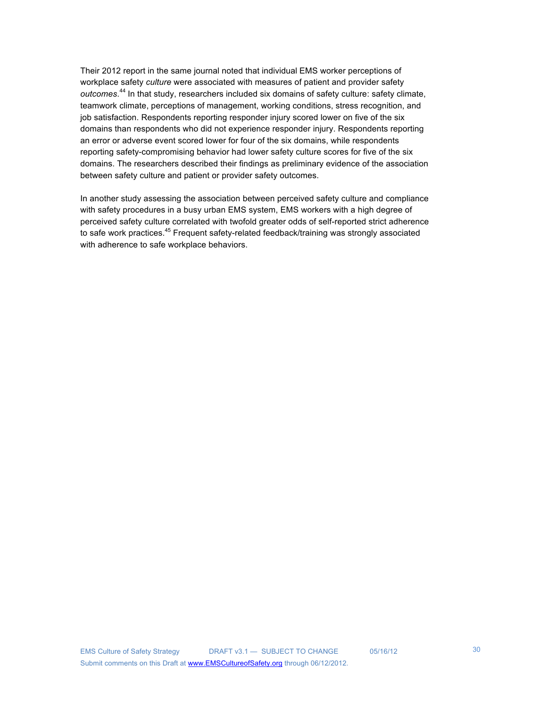Their 2012 report in the same journal noted that individual EMS worker perceptions of workplace safety *culture* were associated with measures of patient and provider safety *outcomes*. 44 In that study, researchers included six domains of safety culture: safety climate, teamwork climate, perceptions of management, working conditions, stress recognition, and job satisfaction. Respondents reporting responder injury scored lower on five of the six domains than respondents who did not experience responder injury. Respondents reporting an error or adverse event scored lower for four of the six domains, while respondents reporting safety-compromising behavior had lower safety culture scores for five of the six domains. The researchers described their findings as preliminary evidence of the association between safety culture and patient or provider safety outcomes.

In another study assessing the association between perceived safety culture and compliance with safety procedures in a busy urban EMS system, EMS workers with a high degree of perceived safety culture correlated with twofold greater odds of self-reported strict adherence to safe work practices.<sup>45</sup> Frequent safety-related feedback/training was strongly associated with adherence to safe workplace behaviors.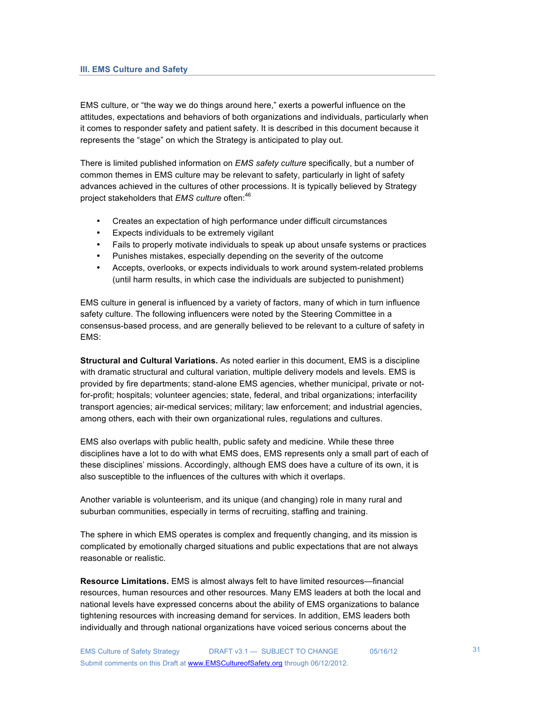#### **III. EMS Culture and Safety**

EMS culture, or "the way we do things around here," exerts a powerful influence on the attitudes, expectations and behaviors of both organizations and individuals, particularly when it comes to responder safety and patient safety. It is described in this document because it represents the "stage" on which the Strategy is anticipated to play out.

There is limited published information on *EMS safety culture* specifically, but a number of common themes in EMS culture may be relevant to safety, particularly in light of safety advances achieved in the cultures of other processions. It is typically believed by Strategy project stakeholders that *EMS culture* often:<sup>46</sup>

- Creates an expectation of high performance under difficult circumstances
- Expects individuals to be extremely vigilant
- Fails to properly motivate individuals to speak up about unsafe systems or practices
- Punishes mistakes, especially depending on the severity of the outcome
- Accepts, overlooks, or expects individuals to work around system-related problems (until harm results, in which case the individuals are subjected to punishment)

EMS culture in general is influenced by a variety of factors, many of which in turn influence safety culture. The following influencers were noted by the Steering Committee in a consensus-based process, and are generally believed to be relevant to a culture of safety in EMS:

**Structural and Cultural Variations.** As noted earlier in this document, EMS is a discipline with dramatic structural and cultural variation, multiple delivery models and levels. EMS is provided by fire departments; stand-alone EMS agencies, whether municipal, private or notfor-profit; hospitals; volunteer agencies; state, federal, and tribal organizations; interfacility transport agencies; air-medical services; military; law enforcement; and industrial agencies, among others, each with their own organizational rules, regulations and cultures.

EMS also overlaps with public health, public safety and medicine. While these three disciplines have a lot to do with what EMS does, EMS represents only a small part of each of these disciplines' missions. Accordingly, although EMS does have a culture of its own, it is also susceptible to the influences of the cultures with which it overlaps.

Another variable is volunteerism, and its unique (and changing) role in many rural and suburban communities, especially in terms of recruiting, staffing and training.

The sphere in which EMS operates is complex and frequently changing, and its mission is complicated by emotionally charged situations and public expectations that are not always reasonable or realistic.

**Resource Limitations.** EMS is almost always felt to have limited resources—financial resources, human resources and other resources. Many EMS leaders at both the local and national levels have expressed concerns about the ability of EMS organizations to balance tightening resources with increasing demand for services. In addition, EMS leaders both individually and through national organizations have voiced serious concerns about the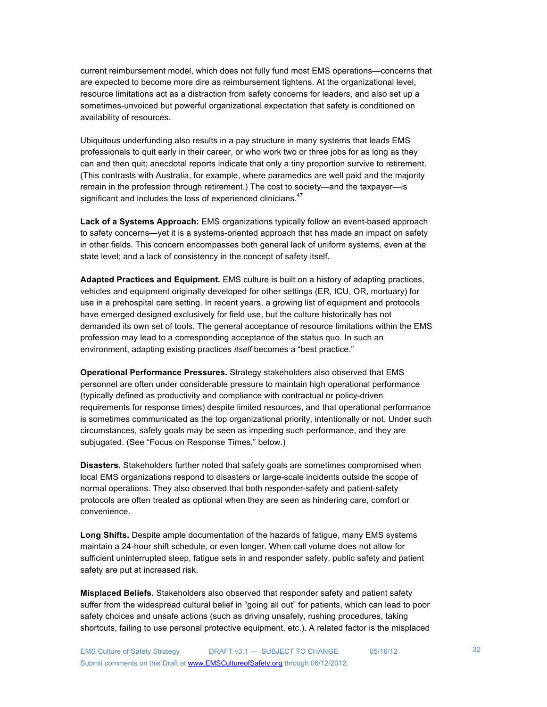current reimbursement model, which does not fully fund most EMS operations—concerns that are expected to become more dire as reimbursement tightens. At the organizational level, resource limitations act as a distraction from safety concerns for leaders, and also set up a sometimes-unvoiced but powerful organizational expectation that safety is conditioned on availability of resources.

Ubiquitous underfunding also results in a pay structure in many systems that leads EMS professionals to quit early in their career, or who work two or three jobs for as long as they can and then quit; anecdotal reports indicate that only a tiny proportion survive to retirement. (This contrasts with Australia, for example, where paramedics are well paid and the majority remain in the profession through retirement.) The cost to society—and the taxpayer—is significant and includes the loss of experienced clinicians.<sup>47</sup>

**Lack of a Systems Approach:** EMS organizations typically follow an event-based approach to safety concerns—yet it is a systems-oriented approach that has made an impact on safety in other fields. This concern encompasses both general lack of uniform systems, even at the state level; and a lack of consistency in the concept of safety itself.

**Adapted Practices and Equipment.** EMS culture is built on a history of adapting practices, vehicles and equipment originally developed for other settings (ER, ICU, OR, mortuary) for use in a prehospital care setting. In recent years, a growing list of equipment and protocols have emerged designed exclusively for field use, but the culture historically has not demanded its own set of tools. The general acceptance of resource limitations within the EMS profession may lead to a corresponding acceptance of the status quo. In such an environment, adapting existing practices *itself* becomes a "best practice."

**Operational Performance Pressures.** Strategy stakeholders also observed that EMS personnel are often under considerable pressure to maintain high operational performance (typically defined as productivity and compliance with contractual or policy-driven requirements for response times) despite limited resources, and that operational performance is sometimes communicated as the top organizational priority, intentionally or not. Under such circumstances, safety goals may be seen as impeding such performance, and they are subjugated. (See "Focus on Response Times," below.)

**Disasters.** Stakeholders further noted that safety goals are sometimes compromised when local EMS organizations respond to disasters or large-scale incidents outside the scope of normal operations. They also observed that both responder-safety and patient-safety protocols are often treated as optional when they are seen as hindering care, comfort or convenience.

**Long Shifts.** Despite ample documentation of the hazards of fatigue, many EMS systems maintain a 24-hour shift schedule, or even longer. When call volume does not allow for sufficient uninterrupted sleep, fatigue sets in and responder safety, public safety and patient safety are put at increased risk.

**Misplaced Beliefs.** Stakeholders also observed that responder safety and patient safety suffer from the widespread cultural belief in "going all out" for patients, which can lead to poor safety choices and unsafe actions (such as driving unsafely, rushing procedures, taking shortcuts, failing to use personal protective equipment, etc.). A related factor is the misplaced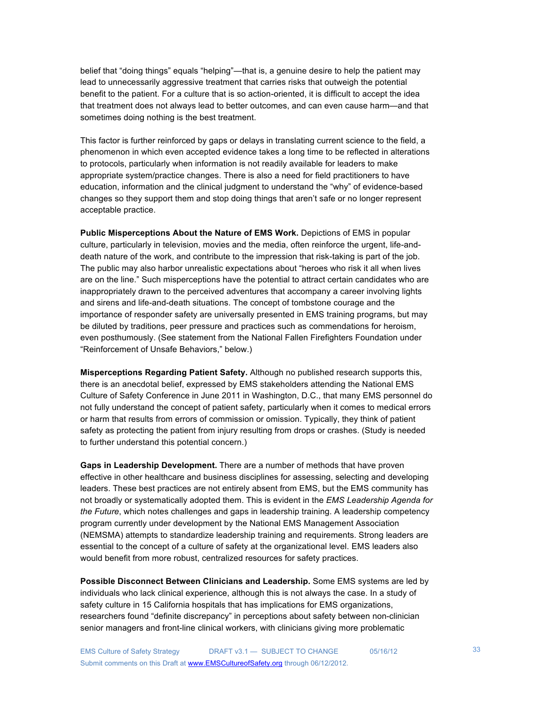belief that "doing things" equals "helping"—that is, a genuine desire to help the patient may lead to unnecessarily aggressive treatment that carries risks that outweigh the potential benefit to the patient. For a culture that is so action-oriented, it is difficult to accept the idea that treatment does not always lead to better outcomes, and can even cause harm—and that sometimes doing nothing is the best treatment.

This factor is further reinforced by gaps or delays in translating current science to the field, a phenomenon in which even accepted evidence takes a long time to be reflected in alterations to protocols, particularly when information is not readily available for leaders to make appropriate system/practice changes. There is also a need for field practitioners to have education, information and the clinical judgment to understand the "why" of evidence-based changes so they support them and stop doing things that aren't safe or no longer represent acceptable practice.

**Public Misperceptions About the Nature of EMS Work.** Depictions of EMS in popular culture, particularly in television, movies and the media, often reinforce the urgent, life-anddeath nature of the work, and contribute to the impression that risk-taking is part of the job. The public may also harbor unrealistic expectations about "heroes who risk it all when lives are on the line." Such misperceptions have the potential to attract certain candidates who are inappropriately drawn to the perceived adventures that accompany a career involving lights and sirens and life-and-death situations. The concept of tombstone courage and the importance of responder safety are universally presented in EMS training programs, but may be diluted by traditions, peer pressure and practices such as commendations for heroism, even posthumously. (See statement from the National Fallen Firefighters Foundation under "Reinforcement of Unsafe Behaviors," below.)

**Misperceptions Regarding Patient Safety.** Although no published research supports this, there is an anecdotal belief, expressed by EMS stakeholders attending the National EMS Culture of Safety Conference in June 2011 in Washington, D.C., that many EMS personnel do not fully understand the concept of patient safety, particularly when it comes to medical errors or harm that results from errors of commission or omission. Typically, they think of patient safety as protecting the patient from injury resulting from drops or crashes. (Study is needed to further understand this potential concern.)

**Gaps in Leadership Development.** There are a number of methods that have proven effective in other healthcare and business disciplines for assessing, selecting and developing leaders. These best practices are not entirely absent from EMS, but the EMS community has not broadly or systematically adopted them. This is evident in the *EMS Leadership Agenda for the Future*, which notes challenges and gaps in leadership training. A leadership competency program currently under development by the National EMS Management Association (NEMSMA) attempts to standardize leadership training and requirements. Strong leaders are essential to the concept of a culture of safety at the organizational level. EMS leaders also would benefit from more robust, centralized resources for safety practices.

**Possible Disconnect Between Clinicians and Leadership.** Some EMS systems are led by individuals who lack clinical experience, although this is not always the case. In a study of safety culture in 15 California hospitals that has implications for EMS organizations, researchers found "definite discrepancy" in perceptions about safety between non-clinician senior managers and front-line clinical workers, with clinicians giving more problematic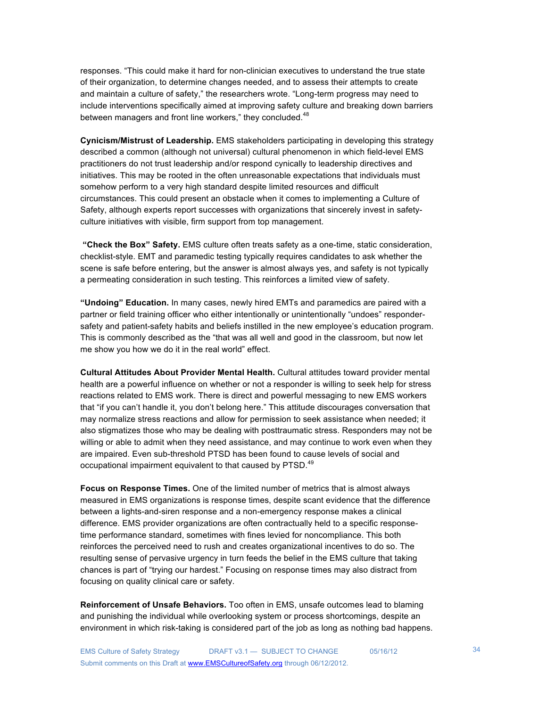responses. "This could make it hard for non-clinician executives to understand the true state of their organization, to determine changes needed, and to assess their attempts to create and maintain a culture of safety," the researchers wrote. "Long-term progress may need to include interventions specifically aimed at improving safety culture and breaking down barriers between managers and front line workers," they concluded.<sup>48</sup>

**Cynicism/Mistrust of Leadership.** EMS stakeholders participating in developing this strategy described a common (although not universal) cultural phenomenon in which field-level EMS practitioners do not trust leadership and/or respond cynically to leadership directives and initiatives. This may be rooted in the often unreasonable expectations that individuals must somehow perform to a very high standard despite limited resources and difficult circumstances. This could present an obstacle when it comes to implementing a Culture of Safety, although experts report successes with organizations that sincerely invest in safetyculture initiatives with visible, firm support from top management.

**"Check the Box" Safety.** EMS culture often treats safety as a one-time, static consideration, checklist-style. EMT and paramedic testing typically requires candidates to ask whether the scene is safe before entering, but the answer is almost always yes, and safety is not typically a permeating consideration in such testing. This reinforces a limited view of safety.

**"Undoing" Education.** In many cases, newly hired EMTs and paramedics are paired with a partner or field training officer who either intentionally or unintentionally "undoes" respondersafety and patient-safety habits and beliefs instilled in the new employee's education program. This is commonly described as the "that was all well and good in the classroom, but now let me show you how we do it in the real world" effect.

**Cultural Attitudes About Provider Mental Health.** Cultural attitudes toward provider mental health are a powerful influence on whether or not a responder is willing to seek help for stress reactions related to EMS work. There is direct and powerful messaging to new EMS workers that "if you can't handle it, you don't belong here." This attitude discourages conversation that may normalize stress reactions and allow for permission to seek assistance when needed; it also stigmatizes those who may be dealing with posttraumatic stress. Responders may not be willing or able to admit when they need assistance, and may continue to work even when they are impaired. Even sub-threshold PTSD has been found to cause levels of social and occupational impairment equivalent to that caused by PTSD.<sup>49</sup>

**Focus on Response Times.** One of the limited number of metrics that is almost always measured in EMS organizations is response times, despite scant evidence that the difference between a lights-and-siren response and a non-emergency response makes a clinical difference. EMS provider organizations are often contractually held to a specific responsetime performance standard, sometimes with fines levied for noncompliance. This both reinforces the perceived need to rush and creates organizational incentives to do so. The resulting sense of pervasive urgency in turn feeds the belief in the EMS culture that taking chances is part of "trying our hardest." Focusing on response times may also distract from focusing on quality clinical care or safety.

**Reinforcement of Unsafe Behaviors.** Too often in EMS, unsafe outcomes lead to blaming and punishing the individual while overlooking system or process shortcomings, despite an environment in which risk-taking is considered part of the job as long as nothing bad happens.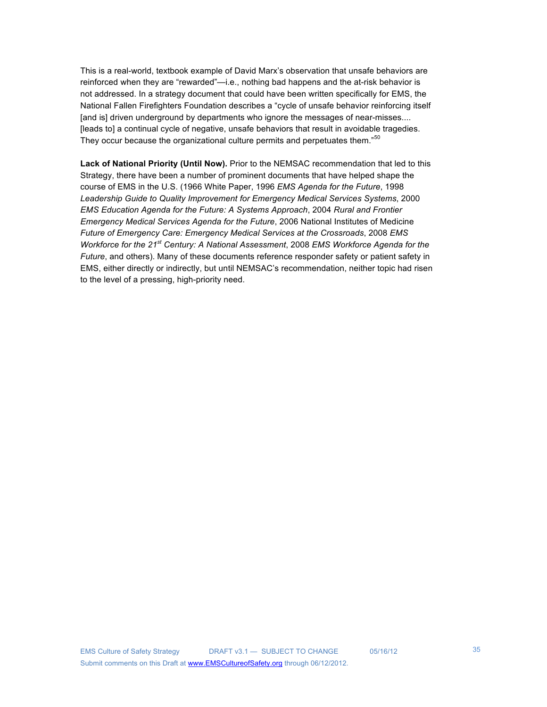This is a real-world, textbook example of David Marx's observation that unsafe behaviors are reinforced when they are "rewarded"—i.e., nothing bad happens and the at-risk behavior is not addressed. In a strategy document that could have been written specifically for EMS, the National Fallen Firefighters Foundation describes a "cycle of unsafe behavior reinforcing itself [and is] driven underground by departments who ignore the messages of near-misses.... [leads to] a continual cycle of negative, unsafe behaviors that result in avoidable tragedies. They occur because the organizational culture permits and perpetuates them."<sup>50</sup>

**Lack of National Priority (Until Now).** Prior to the NEMSAC recommendation that led to this Strategy, there have been a number of prominent documents that have helped shape the course of EMS in the U.S. (1966 White Paper, 1996 *EMS Agenda for the Future*, 1998 *Leadership Guide to Quality Improvement for Emergency Medical Services Systems*, 2000 *EMS Education Agenda for the Future: A Systems Approach*, 2004 *Rural and Frontier Emergency Medical Services Agenda for the Future*, 2006 National Institutes of Medicine *Future of Emergency Care: Emergency Medical Services at the Crossroads*, 2008 *EMS Workforce for the 21st Century: A National Assessment*, 2008 *EMS Workforce Agenda for the Future*, and others). Many of these documents reference responder safety or patient safety in EMS, either directly or indirectly, but until NEMSAC's recommendation, neither topic had risen to the level of a pressing, high-priority need.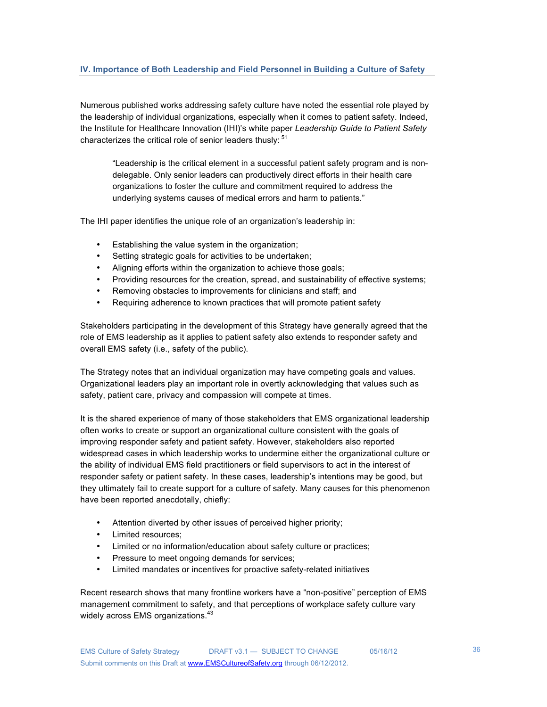## **IV. Importance of Both Leadership and Field Personnel in Building a Culture of Safety**

Numerous published works addressing safety culture have noted the essential role played by the leadership of individual organizations, especially when it comes to patient safety. Indeed, the Institute for Healthcare Innovation (IHI)'s white paper *Leadership Guide to Patient Safety* characterizes the critical role of senior leaders thusly:  $51$ 

"Leadership is the critical element in a successful patient safety program and is nondelegable. Only senior leaders can productively direct efforts in their health care organizations to foster the culture and commitment required to address the underlying systems causes of medical errors and harm to patients."

The IHI paper identifies the unique role of an organization's leadership in:

- Establishing the value system in the organization;
- Setting strategic goals for activities to be undertaken;
- Aligning efforts within the organization to achieve those goals;
- Providing resources for the creation, spread, and sustainability of effective systems;
- Removing obstacles to improvements for clinicians and staff; and
- Requiring adherence to known practices that will promote patient safety

Stakeholders participating in the development of this Strategy have generally agreed that the role of EMS leadership as it applies to patient safety also extends to responder safety and overall EMS safety (i.e., safety of the public).

The Strategy notes that an individual organization may have competing goals and values. Organizational leaders play an important role in overtly acknowledging that values such as safety, patient care, privacy and compassion will compete at times.

It is the shared experience of many of those stakeholders that EMS organizational leadership often works to create or support an organizational culture consistent with the goals of improving responder safety and patient safety. However, stakeholders also reported widespread cases in which leadership works to undermine either the organizational culture or the ability of individual EMS field practitioners or field supervisors to act in the interest of responder safety or patient safety. In these cases, leadership's intentions may be good, but they ultimately fail to create support for a culture of safety. Many causes for this phenomenon have been reported anecdotally, chiefly:

- Attention diverted by other issues of perceived higher priority;
- Limited resources;
- Limited or no information/education about safety culture or practices;
- Pressure to meet ongoing demands for services;
- Limited mandates or incentives for proactive safety-related initiatives

Recent research shows that many frontline workers have a "non-positive" perception of EMS management commitment to safety, and that perceptions of workplace safety culture vary widely across EMS organizations.<sup>43</sup>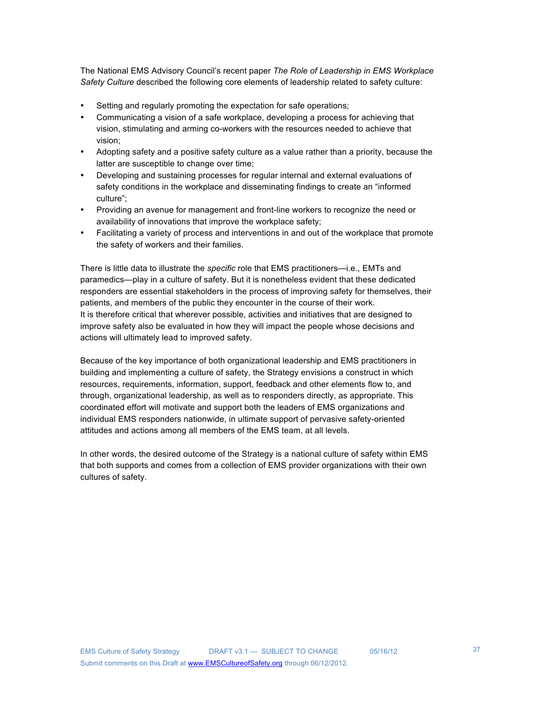The National EMS Advisory Council's recent paper *The Role of Leadership in EMS Workplace Safety Culture* described the following core elements of leadership related to safety culture:

- Setting and regularly promoting the expectation for safe operations;
- Communicating a vision of a safe workplace, developing a process for achieving that vision, stimulating and arming co-workers with the resources needed to achieve that vision;
- Adopting safety and a positive safety culture as a value rather than a priority, because the latter are susceptible to change over time;
- Developing and sustaining processes for regular internal and external evaluations of safety conditions in the workplace and disseminating findings to create an "informed culture";
- Providing an avenue for management and front-line workers to recognize the need or availability of innovations that improve the workplace safety;
- Facilitating a variety of process and interventions in and out of the workplace that promote the safety of workers and their families.

There is little data to illustrate the *specific* role that EMS practitioners—i.e., EMTs and paramedics—play in a culture of safety. But it is nonetheless evident that these dedicated responders are essential stakeholders in the process of improving safety for themselves, their patients, and members of the public they encounter in the course of their work. It is therefore critical that wherever possible, activities and initiatives that are designed to improve safety also be evaluated in how they will impact the people whose decisions and actions will ultimately lead to improved safety.

Because of the key importance of both organizational leadership and EMS practitioners in building and implementing a culture of safety, the Strategy envisions a construct in which resources, requirements, information, support, feedback and other elements flow to, and through, organizational leadership, as well as to responders directly, as appropriate. This coordinated effort will motivate and support both the leaders of EMS organizations and individual EMS responders nationwide, in ultimate support of pervasive safety-oriented attitudes and actions among all members of the EMS team, at all levels.

In other words, the desired outcome of the Strategy is a national culture of safety within EMS that both supports and comes from a collection of EMS provider organizations with their own cultures of safety.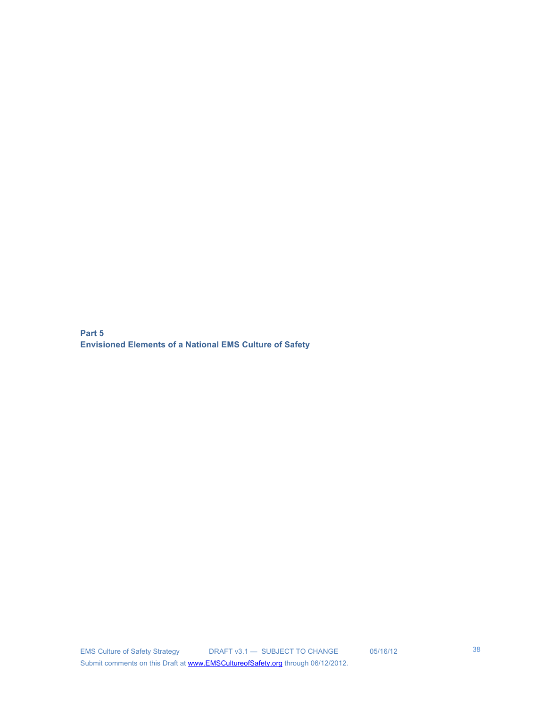**Part 5 Envisioned Elements of a National EMS Culture of Safety**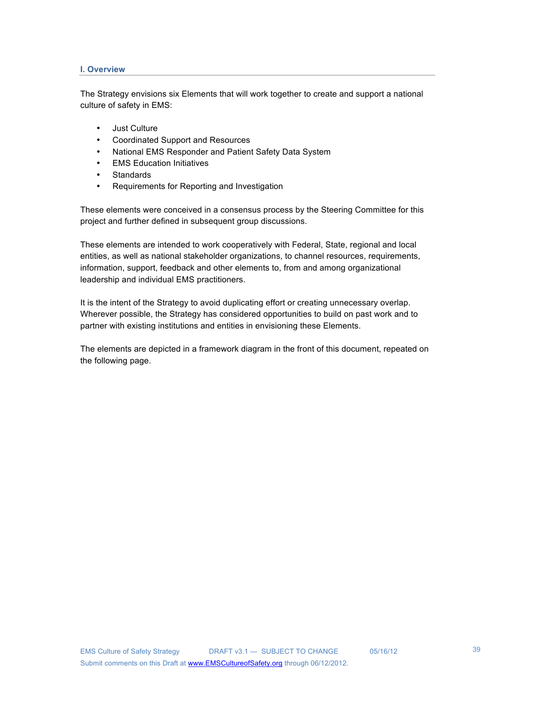### **I. Overview**

The Strategy envisions six Elements that will work together to create and support a national culture of safety in EMS:

- Just Culture
- Coordinated Support and Resources
- National EMS Responder and Patient Safety Data System
- EMS Education Initiatives
- **Standards**
- Requirements for Reporting and Investigation

These elements were conceived in a consensus process by the Steering Committee for this project and further defined in subsequent group discussions.

These elements are intended to work cooperatively with Federal, State, regional and local entities, as well as national stakeholder organizations, to channel resources, requirements, information, support, feedback and other elements to, from and among organizational leadership and individual EMS practitioners.

It is the intent of the Strategy to avoid duplicating effort or creating unnecessary overlap. Wherever possible, the Strategy has considered opportunities to build on past work and to partner with existing institutions and entities in envisioning these Elements.

The elements are depicted in a framework diagram in the front of this document, repeated on the following page.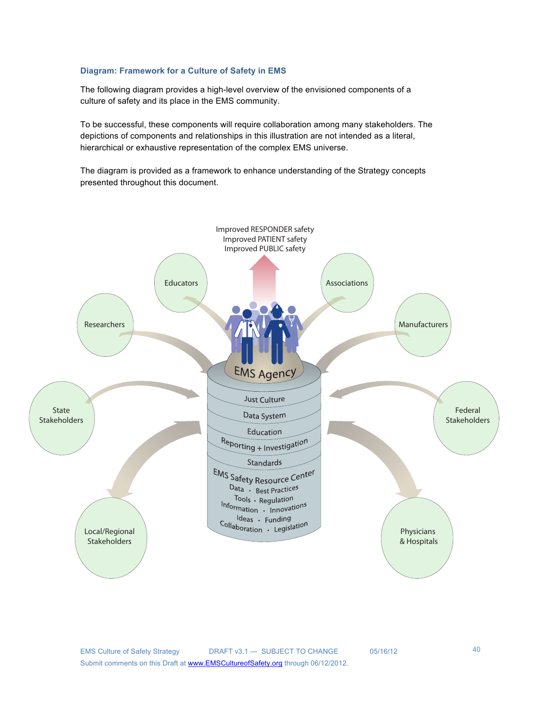### **Diagram: Framework for a Culture of Safety in EMS**

The following diagram provides a high-level overview of the envisioned components of a culture of safety and its place in the EMS community.

To be successful, these components will require collaboration among many stakeholders. The depictions of components and relationships in this illustration are not intended as a literal, hierarchical or exhaustive representation of the complex EMS universe.

The diagram is provided as a framework to enhance understanding of the Strategy concepts presented throughout this document.

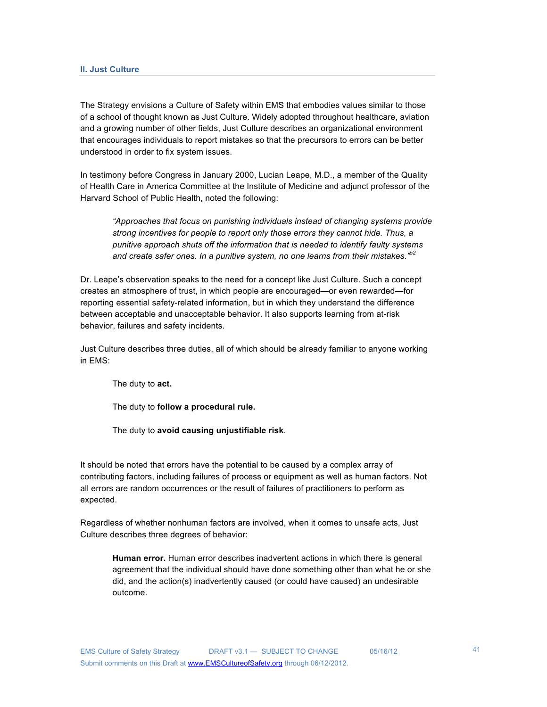The Strategy envisions a Culture of Safety within EMS that embodies values similar to those of a school of thought known as Just Culture. Widely adopted throughout healthcare, aviation and a growing number of other fields, Just Culture describes an organizational environment that encourages individuals to report mistakes so that the precursors to errors can be better understood in order to fix system issues.

In testimony before Congress in January 2000, Lucian Leape, M.D., a member of the Quality of Health Care in America Committee at the Institute of Medicine and adjunct professor of the Harvard School of Public Health, noted the following:

*"Approaches that focus on punishing individuals instead of changing systems provide strong incentives for people to report only those errors they cannot hide. Thus, a punitive approach shuts off the information that is needed to identify faulty systems and create safer ones. In a punitive system, no one learns from their mistakes." 52*

Dr. Leape's observation speaks to the need for a concept like Just Culture. Such a concept creates an atmosphere of trust, in which people are encouraged—or even rewarded—for reporting essential safety-related information, but in which they understand the difference between acceptable and unacceptable behavior. It also supports learning from at-risk behavior, failures and safety incidents.

Just Culture describes three duties, all of which should be already familiar to anyone working in EMS:

The duty to **act.**

The duty to **follow a procedural rule.**

The duty to **avoid causing unjustifiable risk**.

It should be noted that errors have the potential to be caused by a complex array of contributing factors, including failures of process or equipment as well as human factors. Not all errors are random occurrences or the result of failures of practitioners to perform as expected.

Regardless of whether nonhuman factors are involved, when it comes to unsafe acts, Just Culture describes three degrees of behavior:

**Human error.** Human error describes inadvertent actions in which there is general agreement that the individual should have done something other than what he or she did, and the action(s) inadvertently caused (or could have caused) an undesirable outcome.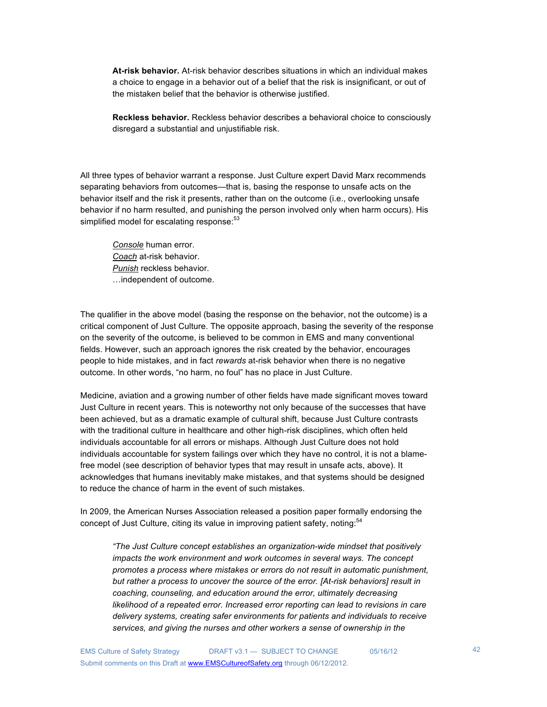**At-risk behavior.** At-risk behavior describes situations in which an individual makes a choice to engage in a behavior out of a belief that the risk is insignificant, or out of the mistaken belief that the behavior is otherwise justified.

**Reckless behavior.** Reckless behavior describes a behavioral choice to consciously disregard a substantial and unjustifiable risk.

All three types of behavior warrant a response. Just Culture expert David Marx recommends separating behaviors from outcomes—that is, basing the response to unsafe acts on the behavior itself and the risk it presents, rather than on the outcome (i.e., overlooking unsafe behavior if no harm resulted, and punishing the person involved only when harm occurs). His simplified model for escalating response:<sup>53</sup>

*Console* human error. *Coach* at-risk behavior. *Punish* reckless behavior. …independent of outcome.

The qualifier in the above model (basing the response on the behavior, not the outcome) is a critical component of Just Culture. The opposite approach, basing the severity of the response on the severity of the outcome, is believed to be common in EMS and many conventional fields. However, such an approach ignores the risk created by the behavior, encourages people to hide mistakes, and in fact *rewards* at-risk behavior when there is no negative outcome. In other words, "no harm, no foul" has no place in Just Culture.

Medicine, aviation and a growing number of other fields have made significant moves toward Just Culture in recent years. This is noteworthy not only because of the successes that have been achieved, but as a dramatic example of cultural shift, because Just Culture contrasts with the traditional culture in healthcare and other high-risk disciplines, which often held individuals accountable for all errors or mishaps. Although Just Culture does not hold individuals accountable for system failings over which they have no control, it is not a blamefree model (see description of behavior types that may result in unsafe acts, above). It acknowledges that humans inevitably make mistakes, and that systems should be designed to reduce the chance of harm in the event of such mistakes.

In 2009, the American Nurses Association released a position paper formally endorsing the concept of Just Culture, citing its value in improving patient safety, noting:<sup>54</sup>

*"The Just Culture concept establishes an organization-wide mindset that positively impacts the work environment and work outcomes in several ways. The concept promotes a process where mistakes or errors do not result in automatic punishment, but rather a process to uncover the source of the error. [At-risk behaviors] result in coaching, counseling, and education around the error, ultimately decreasing likelihood of a repeated error. Increased error reporting can lead to revisions in care delivery systems, creating safer environments for patients and individuals to receive services, and giving the nurses and other workers a sense of ownership in the*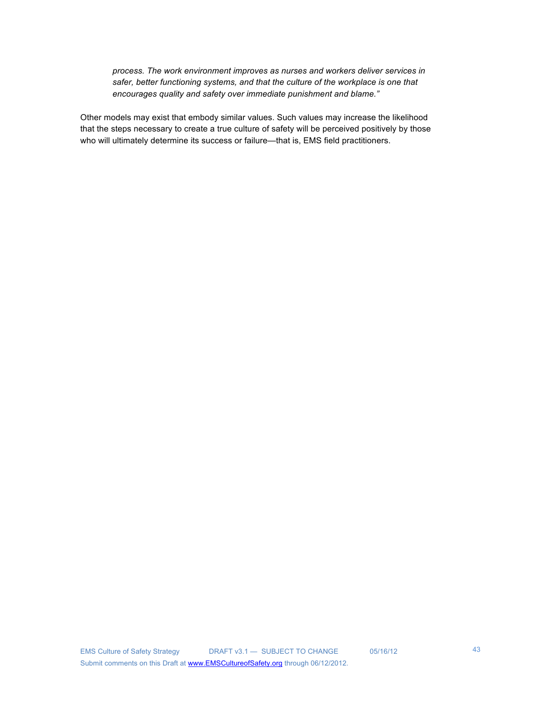*process. The work environment improves as nurses and workers deliver services in safer, better functioning systems, and that the culture of the workplace is one that encourages quality and safety over immediate punishment and blame."*

Other models may exist that embody similar values. Such values may increase the likelihood that the steps necessary to create a true culture of safety will be perceived positively by those who will ultimately determine its success or failure—that is, EMS field practitioners.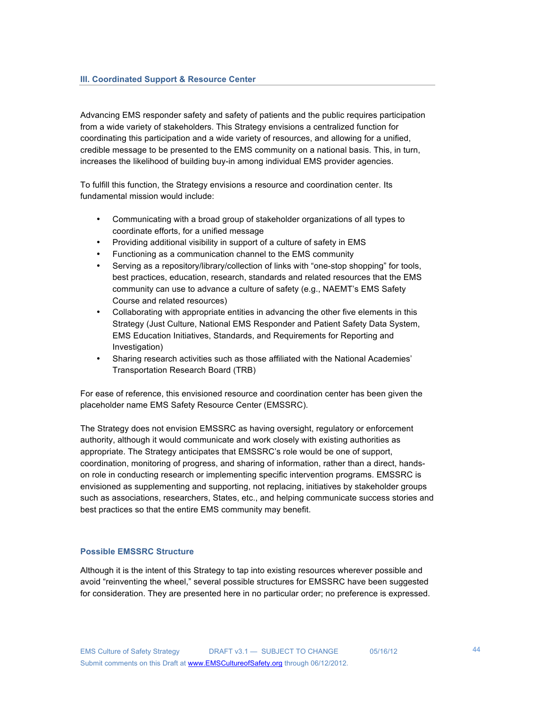Advancing EMS responder safety and safety of patients and the public requires participation from a wide variety of stakeholders. This Strategy envisions a centralized function for coordinating this participation and a wide variety of resources, and allowing for a unified, credible message to be presented to the EMS community on a national basis. This, in turn, increases the likelihood of building buy-in among individual EMS provider agencies.

To fulfill this function, the Strategy envisions a resource and coordination center. Its fundamental mission would include:

- Communicating with a broad group of stakeholder organizations of all types to coordinate efforts, for a unified message
- Providing additional visibility in support of a culture of safety in EMS
- Functioning as a communication channel to the EMS community
- Serving as a repository/library/collection of links with "one-stop shopping" for tools, best practices, education, research, standards and related resources that the EMS community can use to advance a culture of safety (e.g., NAEMT's EMS Safety Course and related resources)
- Collaborating with appropriate entities in advancing the other five elements in this Strategy (Just Culture, National EMS Responder and Patient Safety Data System, EMS Education Initiatives, Standards, and Requirements for Reporting and Investigation)
- Sharing research activities such as those affiliated with the National Academies' Transportation Research Board (TRB)

For ease of reference, this envisioned resource and coordination center has been given the placeholder name EMS Safety Resource Center (EMSSRC).

The Strategy does not envision EMSSRC as having oversight, regulatory or enforcement authority, although it would communicate and work closely with existing authorities as appropriate. The Strategy anticipates that EMSSRC's role would be one of support, coordination, monitoring of progress, and sharing of information, rather than a direct, handson role in conducting research or implementing specific intervention programs. EMSSRC is envisioned as supplementing and supporting, not replacing, initiatives by stakeholder groups such as associations, researchers, States, etc., and helping communicate success stories and best practices so that the entire EMS community may benefit.

### **Possible EMSSRC Structure**

Although it is the intent of this Strategy to tap into existing resources wherever possible and avoid "reinventing the wheel," several possible structures for EMSSRC have been suggested for consideration. They are presented here in no particular order; no preference is expressed.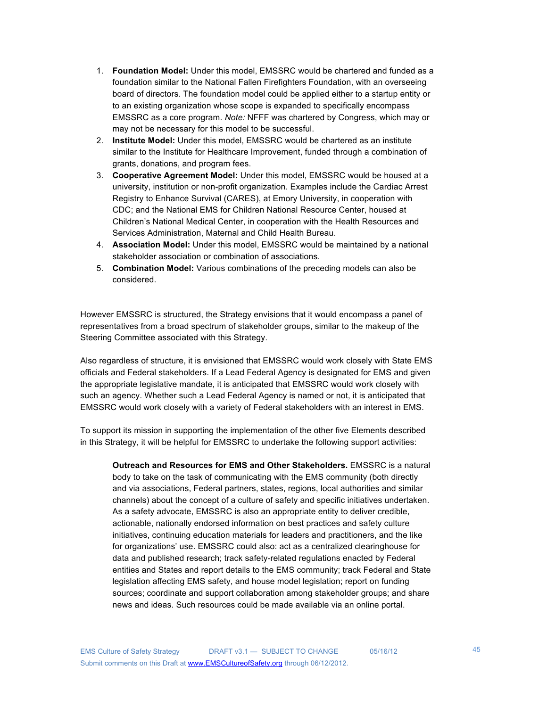- 1. **Foundation Model:** Under this model, EMSSRC would be chartered and funded as a foundation similar to the National Fallen Firefighters Foundation, with an overseeing board of directors. The foundation model could be applied either to a startup entity or to an existing organization whose scope is expanded to specifically encompass EMSSRC as a core program. *Note:* NFFF was chartered by Congress, which may or may not be necessary for this model to be successful.
- 2. **Institute Model:** Under this model, EMSSRC would be chartered as an institute similar to the Institute for Healthcare Improvement, funded through a combination of grants, donations, and program fees.
- 3. **Cooperative Agreement Model:** Under this model, EMSSRC would be housed at a university, institution or non-profit organization. Examples include the Cardiac Arrest Registry to Enhance Survival (CARES), at Emory University, in cooperation with CDC; and the National EMS for Children National Resource Center, housed at Children's National Medical Center, in cooperation with the Health Resources and Services Administration, Maternal and Child Health Bureau.
- 4. **Association Model:** Under this model, EMSSRC would be maintained by a national stakeholder association or combination of associations.
- 5. **Combination Model:** Various combinations of the preceding models can also be considered.

However EMSSRC is structured, the Strategy envisions that it would encompass a panel of representatives from a broad spectrum of stakeholder groups, similar to the makeup of the Steering Committee associated with this Strategy.

Also regardless of structure, it is envisioned that EMSSRC would work closely with State EMS officials and Federal stakeholders. If a Lead Federal Agency is designated for EMS and given the appropriate legislative mandate, it is anticipated that EMSSRC would work closely with such an agency. Whether such a Lead Federal Agency is named or not, it is anticipated that EMSSRC would work closely with a variety of Federal stakeholders with an interest in EMS.

To support its mission in supporting the implementation of the other five Elements described in this Strategy, it will be helpful for EMSSRC to undertake the following support activities:

**Outreach and Resources for EMS and Other Stakeholders.** EMSSRC is a natural body to take on the task of communicating with the EMS community (both directly and via associations, Federal partners, states, regions, local authorities and similar channels) about the concept of a culture of safety and specific initiatives undertaken. As a safety advocate, EMSSRC is also an appropriate entity to deliver credible, actionable, nationally endorsed information on best practices and safety culture initiatives, continuing education materials for leaders and practitioners, and the like for organizations' use. EMSSRC could also: act as a centralized clearinghouse for data and published research; track safety-related regulations enacted by Federal entities and States and report details to the EMS community; track Federal and State legislation affecting EMS safety, and house model legislation; report on funding sources; coordinate and support collaboration among stakeholder groups; and share news and ideas. Such resources could be made available via an online portal.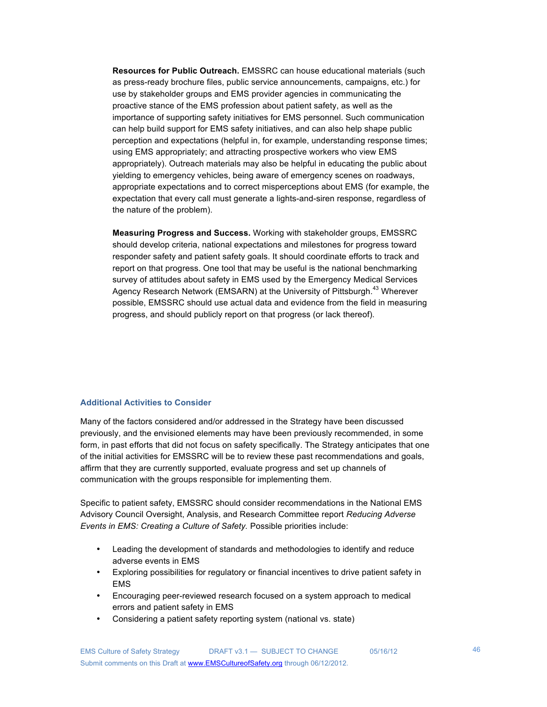**Resources for Public Outreach.** EMSSRC can house educational materials (such as press-ready brochure files, public service announcements, campaigns, etc.) for use by stakeholder groups and EMS provider agencies in communicating the proactive stance of the EMS profession about patient safety, as well as the importance of supporting safety initiatives for EMS personnel. Such communication can help build support for EMS safety initiatives, and can also help shape public perception and expectations (helpful in, for example, understanding response times; using EMS appropriately; and attracting prospective workers who view EMS appropriately). Outreach materials may also be helpful in educating the public about yielding to emergency vehicles, being aware of emergency scenes on roadways, appropriate expectations and to correct misperceptions about EMS (for example, the expectation that every call must generate a lights-and-siren response, regardless of the nature of the problem).

**Measuring Progress and Success.** Working with stakeholder groups, EMSSRC should develop criteria, national expectations and milestones for progress toward responder safety and patient safety goals. It should coordinate efforts to track and report on that progress. One tool that may be useful is the national benchmarking survey of attitudes about safety in EMS used by the Emergency Medical Services Agency Research Network (EMSARN) at the University of Pittsburgh.<sup>43</sup> Wherever possible, EMSSRC should use actual data and evidence from the field in measuring progress, and should publicly report on that progress (or lack thereof).

### **Additional Activities to Consider**

Many of the factors considered and/or addressed in the Strategy have been discussed previously, and the envisioned elements may have been previously recommended, in some form, in past efforts that did not focus on safety specifically. The Strategy anticipates that one of the initial activities for EMSSRC will be to review these past recommendations and goals, affirm that they are currently supported, evaluate progress and set up channels of communication with the groups responsible for implementing them.

Specific to patient safety, EMSSRC should consider recommendations in the National EMS Advisory Council Oversight, Analysis, and Research Committee report *Reducing Adverse Events in EMS: Creating a Culture of Safety.* Possible priorities include:

- Leading the development of standards and methodologies to identify and reduce adverse events in EMS
- Exploring possibilities for regulatory or financial incentives to drive patient safety in EMS
- Encouraging peer-reviewed research focused on a system approach to medical errors and patient safety in EMS
- Considering a patient safety reporting system (national vs. state)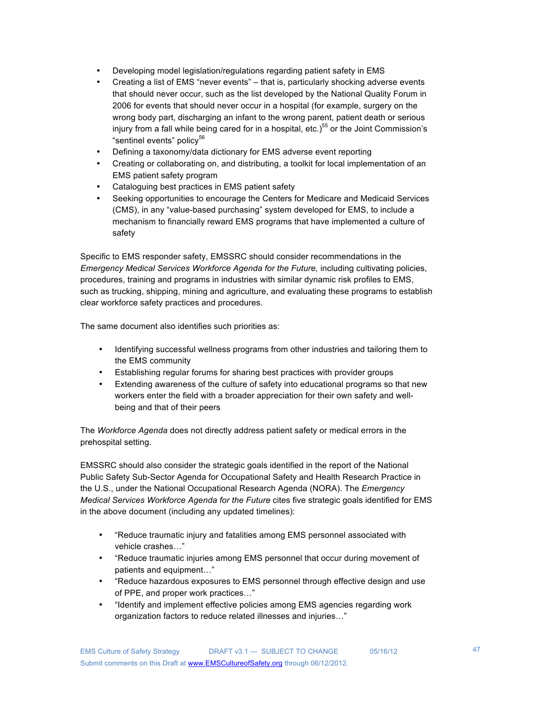- Developing model legislation/regulations regarding patient safety in EMS
- Creating a list of EMS "never events" that is, particularly shocking adverse events that should never occur, such as the list developed by the National Quality Forum in 2006 for events that should never occur in a hospital (for example, surgery on the wrong body part, discharging an infant to the wrong parent, patient death or serious injury from a fall while being cared for in a hospital, etc.)<sup>55</sup> or the Joint Commission's "sentinel events" policy<sup>56</sup>
- Defining a taxonomy/data dictionary for EMS adverse event reporting
- Creating or collaborating on, and distributing, a toolkit for local implementation of an EMS patient safety program
- Cataloguing best practices in EMS patient safety
- Seeking opportunities to encourage the Centers for Medicare and Medicaid Services (CMS), in any "value-based purchasing" system developed for EMS, to include a mechanism to financially reward EMS programs that have implemented a culture of safety

Specific to EMS responder safety, EMSSRC should consider recommendations in the *Emergency Medical Services Workforce Agenda for the Future,* including cultivating policies, procedures, training and programs in industries with similar dynamic risk profiles to EMS, such as trucking, shipping, mining and agriculture, and evaluating these programs to establish clear workforce safety practices and procedures.

The same document also identifies such priorities as:

- Identifying successful wellness programs from other industries and tailoring them to the EMS community
- Establishing regular forums for sharing best practices with provider groups
- Extending awareness of the culture of safety into educational programs so that new workers enter the field with a broader appreciation for their own safety and wellbeing and that of their peers

The *Workforce Agenda* does not directly address patient safety or medical errors in the prehospital setting.

EMSSRC should also consider the strategic goals identified in the report of the National Public Safety Sub-Sector Agenda for Occupational Safety and Health Research Practice in the U.S., under the National Occupational Research Agenda (NORA). The *Emergency Medical Services Workforce Agenda for the Future* cites five strategic goals identified for EMS in the above document (including any updated timelines):

- "Reduce traumatic injury and fatalities among EMS personnel associated with vehicle crashes…"
- "Reduce traumatic injuries among EMS personnel that occur during movement of patients and equipment…"
- "Reduce hazardous exposures to EMS personnel through effective design and use of PPE, and proper work practices…"
- "Identify and implement effective policies among EMS agencies regarding work organization factors to reduce related illnesses and injuries…"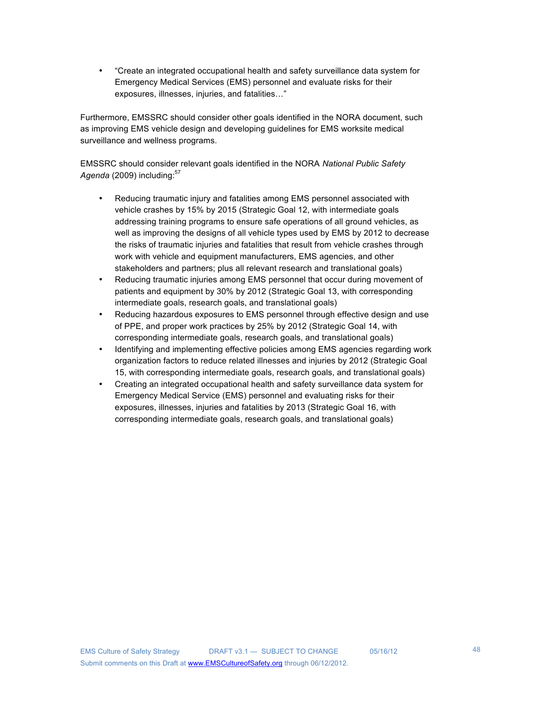• "Create an integrated occupational health and safety surveillance data system for Emergency Medical Services (EMS) personnel and evaluate risks for their exposures, illnesses, injuries, and fatalities…"

Furthermore, EMSSRC should consider other goals identified in the NORA document, such as improving EMS vehicle design and developing guidelines for EMS worksite medical surveillance and wellness programs.

EMSSRC should consider relevant goals identified in the NORA *National Public Safety* Agenda (2009) including:<sup>57</sup>

- Reducing traumatic injury and fatalities among EMS personnel associated with vehicle crashes by 15% by 2015 (Strategic Goal 12, with intermediate goals addressing training programs to ensure safe operations of all ground vehicles, as well as improving the designs of all vehicle types used by EMS by 2012 to decrease the risks of traumatic injuries and fatalities that result from vehicle crashes through work with vehicle and equipment manufacturers, EMS agencies, and other stakeholders and partners; plus all relevant research and translational goals)
- Reducing traumatic injuries among EMS personnel that occur during movement of patients and equipment by 30% by 2012 (Strategic Goal 13, with corresponding intermediate goals, research goals, and translational goals)
- Reducing hazardous exposures to EMS personnel through effective design and use of PPE, and proper work practices by 25% by 2012 (Strategic Goal 14, with corresponding intermediate goals, research goals, and translational goals)
- Identifying and implementing effective policies among EMS agencies regarding work organization factors to reduce related illnesses and injuries by 2012 (Strategic Goal 15, with corresponding intermediate goals, research goals, and translational goals)
- Creating an integrated occupational health and safety surveillance data system for Emergency Medical Service (EMS) personnel and evaluating risks for their exposures, illnesses, injuries and fatalities by 2013 (Strategic Goal 16, with corresponding intermediate goals, research goals, and translational goals)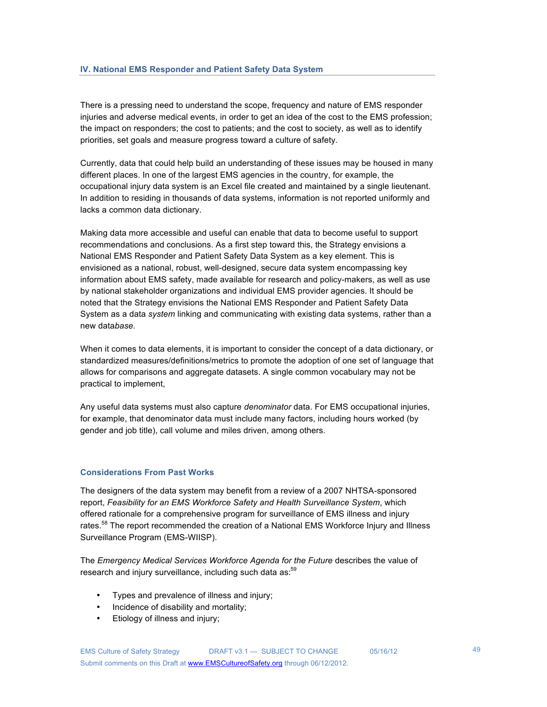There is a pressing need to understand the scope, frequency and nature of EMS responder injuries and adverse medical events, in order to get an idea of the cost to the EMS profession; the impact on responders; the cost to patients; and the cost to society, as well as to identify priorities, set goals and measure progress toward a culture of safety.

Currently, data that could help build an understanding of these issues may be housed in many different places. In one of the largest EMS agencies in the country, for example, the occupational injury data system is an Excel file created and maintained by a single lieutenant. In addition to residing in thousands of data systems, information is not reported uniformly and lacks a common data dictionary.

Making data more accessible and useful can enable that data to become useful to support recommendations and conclusions. As a first step toward this, the Strategy envisions a National EMS Responder and Patient Safety Data System as a key element. This is envisioned as a national, robust, well-designed, secure data system encompassing key information about EMS safety, made available for research and policy-makers, as well as use by national stakeholder organizations and individual EMS provider agencies. It should be noted that the Strategy envisions the National EMS Responder and Patient Safety Data System as a data *system* linking and communicating with existing data systems, rather than a new data*base.*

When it comes to data elements, it is important to consider the concept of a data dictionary, or standardized measures/definitions/metrics to promote the adoption of one set of language that allows for comparisons and aggregate datasets. A single common vocabulary may not be practical to implement,

Any useful data systems must also capture *denominator* data. For EMS occupational injuries, for example, that denominator data must include many factors, including hours worked (by gender and job title), call volume and miles driven, among others.

### **Considerations From Past Works**

The designers of the data system may benefit from a review of a 2007 NHTSA-sponsored report, *Feasibility for an EMS Workforce Safety and Health Surveillance System*, which offered rationale for a comprehensive program for surveillance of EMS illness and injury rates.<sup>58</sup> The report recommended the creation of a National EMS Workforce Injury and Illness Surveillance Program (EMS-WIISP).

The *Emergency Medical Services Workforce Agenda for the Future* describes the value of research and injury surveillance, including such data as:<sup>59</sup>

- Types and prevalence of illness and injury;
- Incidence of disability and mortality;
- Etiology of illness and injury;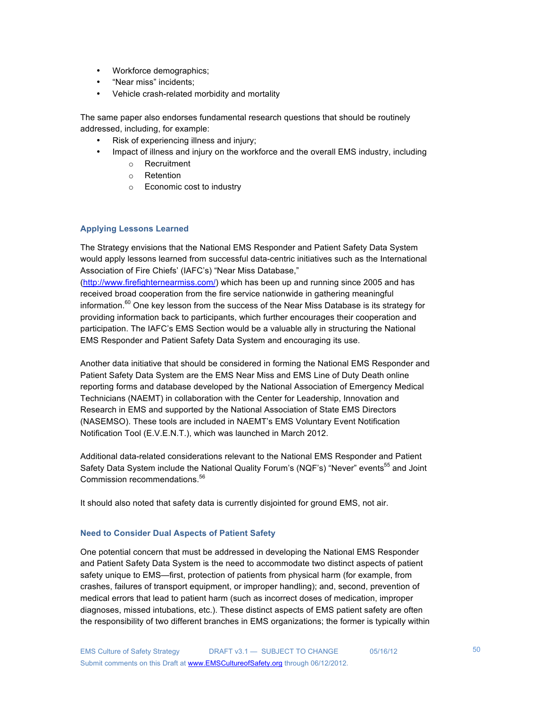- Workforce demographics;
- "Near miss" incidents;
- Vehicle crash-related morbidity and mortality

The same paper also endorses fundamental research questions that should be routinely addressed, including, for example:

- Risk of experiencing illness and injury;
- Impact of illness and injury on the workforce and the overall EMS industry, including
	- o Recruitment
	- o Retention
	- o Economic cost to industry

### **Applying Lessons Learned**

The Strategy envisions that the National EMS Responder and Patient Safety Data System would apply lessons learned from successful data-centric initiatives such as the International Association of Fire Chiefs' (IAFC's) "Near Miss Database,"

(http://www.firefighternearmiss.com/) which has been up and running since 2005 and has received broad cooperation from the fire service nationwide in gathering meaningful information. $^{60}$  One key lesson from the success of the Near Miss Database is its strategy for providing information back to participants, which further encourages their cooperation and participation. The IAFC's EMS Section would be a valuable ally in structuring the National EMS Responder and Patient Safety Data System and encouraging its use.

Another data initiative that should be considered in forming the National EMS Responder and Patient Safety Data System are the EMS Near Miss and EMS Line of Duty Death online reporting forms and database developed by the National Association of Emergency Medical Technicians (NAEMT) in collaboration with the Center for Leadership, Innovation and Research in EMS and supported by the National Association of State EMS Directors (NASEMSO). These tools are included in NAEMT's EMS Voluntary Event Notification Notification Tool (E.V.E.N.T.), which was launched in March 2012.

Additional data-related considerations relevant to the National EMS Responder and Patient Safety Data System include the National Quality Forum's (NQF's) "Never" events<sup>55</sup> and Joint Commission recommendations. 56

It should also noted that safety data is currently disjointed for ground EMS, not air.

### **Need to Consider Dual Aspects of Patient Safety**

One potential concern that must be addressed in developing the National EMS Responder and Patient Safety Data System is the need to accommodate two distinct aspects of patient safety unique to EMS—first, protection of patients from physical harm (for example, from crashes, failures of transport equipment, or improper handling); and, second, prevention of medical errors that lead to patient harm (such as incorrect doses of medication, improper diagnoses, missed intubations, etc.). These distinct aspects of EMS patient safety are often the responsibility of two different branches in EMS organizations; the former is typically within

50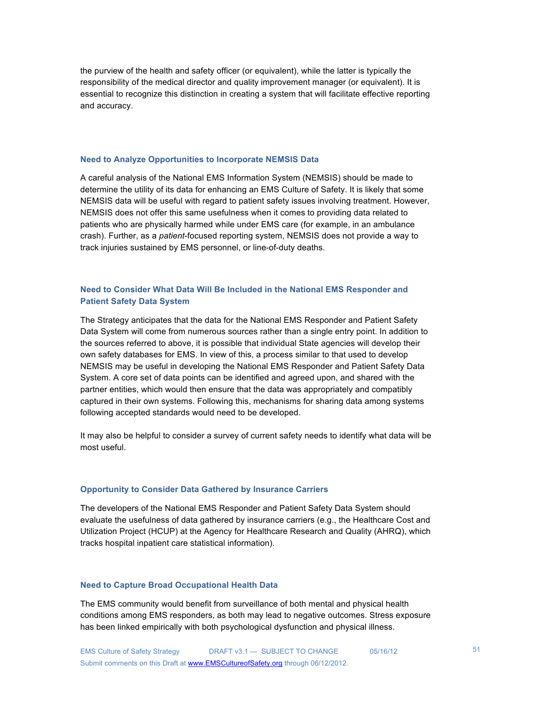the purview of the health and safety officer (or equivalent), while the latter is typically the responsibility of the medical director and quality improvement manager (or equivalent). It is essential to recognize this distinction in creating a system that will facilitate effective reporting and accuracy.

#### **Need to Analyze Opportunities to Incorporate NEMSIS Data**

A careful analysis of the National EMS Information System (NEMSIS) should be made to determine the utility of its data for enhancing an EMS Culture of Safety. It is likely that some NEMSIS data will be useful with regard to patient safety issues involving treatment. However, NEMSIS does not offer this same usefulness when it comes to providing data related to patients who are physically harmed while under EMS care (for example, in an ambulance crash). Further, as a *patient*-focused reporting system, NEMSIS does not provide a way to track injuries sustained by EMS personnel, or line-of-duty deaths.

# **Need to Consider What Data Will Be Included in the National EMS Responder and Patient Safety Data System**

The Strategy anticipates that the data for the National EMS Responder and Patient Safety Data System will come from numerous sources rather than a single entry point. In addition to the sources referred to above, it is possible that individual State agencies will develop their own safety databases for EMS. In view of this, a process similar to that used to develop NEMSIS may be useful in developing the National EMS Responder and Patient Safety Data System. A core set of data points can be identified and agreed upon, and shared with the partner entities, which would then ensure that the data was appropriately and compatibly captured in their own systems. Following this, mechanisms for sharing data among systems following accepted standards would need to be developed.

It may also be helpful to consider a survey of current safety needs to identify what data will be most useful.

#### **Opportunity to Consider Data Gathered by Insurance Carriers**

The developers of the National EMS Responder and Patient Safety Data System should evaluate the usefulness of data gathered by insurance carriers (e.g., the Healthcare Cost and Utilization Project (HCUP) at the Agency for Healthcare Research and Quality (AHRQ), which tracks hospital inpatient care statistical information).

# **Need to Capture Broad Occupational Health Data**

The EMS community would benefit from surveillance of both mental and physical health conditions among EMS responders, as both may lead to negative outcomes. Stress exposure has been linked empirically with both psychological dysfunction and physical illness.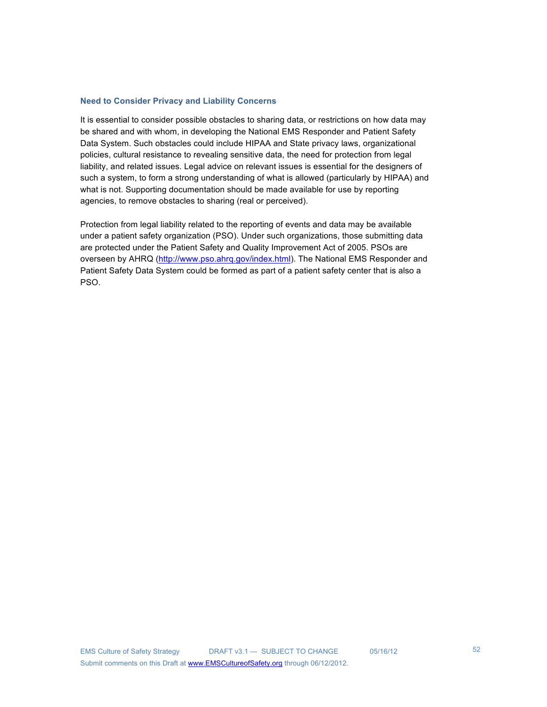#### **Need to Consider Privacy and Liability Concerns**

It is essential to consider possible obstacles to sharing data, or restrictions on how data may be shared and with whom, in developing the National EMS Responder and Patient Safety Data System. Such obstacles could include HIPAA and State privacy laws, organizational policies, cultural resistance to revealing sensitive data, the need for protection from legal liability, and related issues. Legal advice on relevant issues is essential for the designers of such a system, to form a strong understanding of what is allowed (particularly by HIPAA) and what is not. Supporting documentation should be made available for use by reporting agencies, to remove obstacles to sharing (real or perceived).

Protection from legal liability related to the reporting of events and data may be available under a patient safety organization (PSO). Under such organizations, those submitting data are protected under the Patient Safety and Quality Improvement Act of 2005. PSOs are overseen by AHRQ (http://www.pso.ahrq.gov/index.html). The National EMS Responder and Patient Safety Data System could be formed as part of a patient safety center that is also a PSO.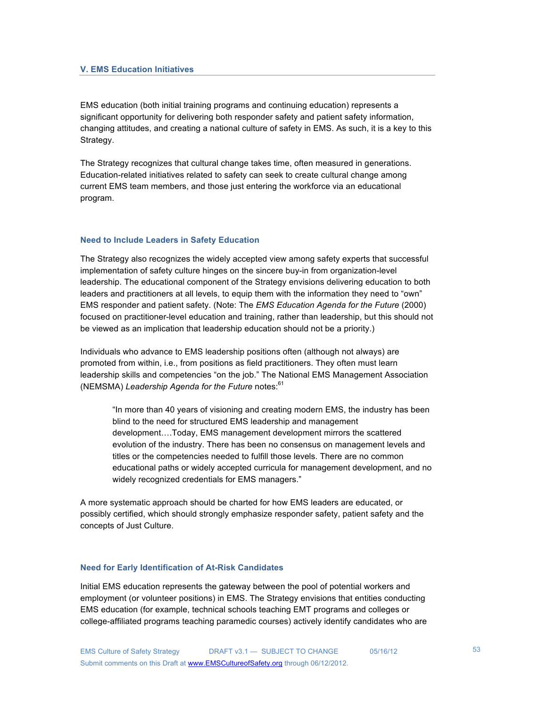### **V. EMS Education Initiatives**

EMS education (both initial training programs and continuing education) represents a significant opportunity for delivering both responder safety and patient safety information, changing attitudes, and creating a national culture of safety in EMS. As such, it is a key to this Strategy.

The Strategy recognizes that cultural change takes time, often measured in generations. Education-related initiatives related to safety can seek to create cultural change among current EMS team members, and those just entering the workforce via an educational program.

### **Need to Include Leaders in Safety Education**

The Strategy also recognizes the widely accepted view among safety experts that successful implementation of safety culture hinges on the sincere buy-in from organization-level leadership. The educational component of the Strategy envisions delivering education to both leaders and practitioners at all levels, to equip them with the information they need to "own" EMS responder and patient safety. (Note: The *EMS Education Agenda for the Future* (2000) focused on practitioner-level education and training, rather than leadership, but this should not be viewed as an implication that leadership education should not be a priority.)

Individuals who advance to EMS leadership positions often (although not always) are promoted from within, i.e., from positions as field practitioners. They often must learn leadership skills and competencies "on the job." The National EMS Management Association (NEMSMA) Leadership Agenda for the Future notes:<sup>61</sup>

"In more than 40 years of visioning and creating modern EMS, the industry has been blind to the need for structured EMS leadership and management development….Today, EMS management development mirrors the scattered evolution of the industry. There has been no consensus on management levels and titles or the competencies needed to fulfill those levels. There are no common educational paths or widely accepted curricula for management development, and no widely recognized credentials for EMS managers."

A more systematic approach should be charted for how EMS leaders are educated, or possibly certified, which should strongly emphasize responder safety, patient safety and the concepts of Just Culture.

#### **Need for Early Identification of At-Risk Candidates**

Initial EMS education represents the gateway between the pool of potential workers and employment (or volunteer positions) in EMS. The Strategy envisions that entities conducting EMS education (for example, technical schools teaching EMT programs and colleges or college-affiliated programs teaching paramedic courses) actively identify candidates who are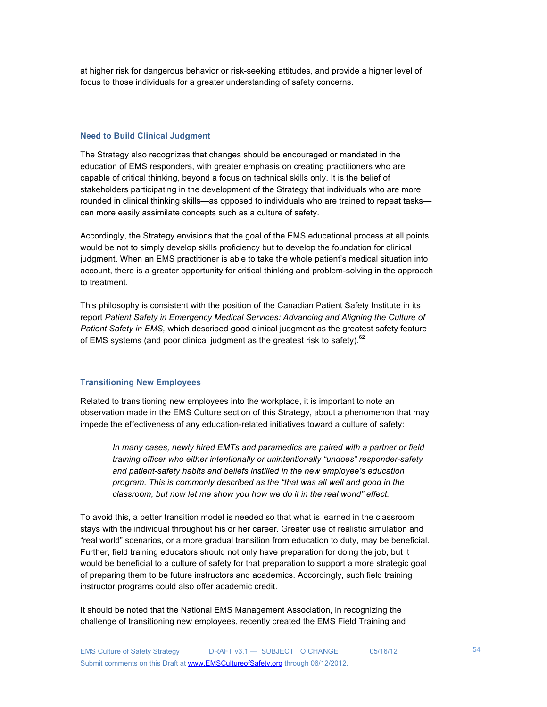at higher risk for dangerous behavior or risk-seeking attitudes, and provide a higher level of focus to those individuals for a greater understanding of safety concerns.

#### **Need to Build Clinical Judgment**

The Strategy also recognizes that changes should be encouraged or mandated in the education of EMS responders, with greater emphasis on creating practitioners who are capable of critical thinking, beyond a focus on technical skills only. It is the belief of stakeholders participating in the development of the Strategy that individuals who are more rounded in clinical thinking skills—as opposed to individuals who are trained to repeat tasks can more easily assimilate concepts such as a culture of safety.

Accordingly, the Strategy envisions that the goal of the EMS educational process at all points would be not to simply develop skills proficiency but to develop the foundation for clinical judgment. When an EMS practitioner is able to take the whole patient's medical situation into account, there is a greater opportunity for critical thinking and problem-solving in the approach to treatment.

This philosophy is consistent with the position of the Canadian Patient Safety Institute in its report *Patient Safety in Emergency Medical Services: Advancing and Aligning the Culture of Patient Safety in EMS,* which described good clinical judgment as the greatest safety feature of EMS systems (and poor clinical judgment as the greatest risk to safety).<sup>62</sup>

### **Transitioning New Employees**

Related to transitioning new employees into the workplace, it is important to note an observation made in the EMS Culture section of this Strategy, about a phenomenon that may impede the effectiveness of any education-related initiatives toward a culture of safety:

*In many cases, newly hired EMTs and paramedics are paired with a partner or field training officer who either intentionally or unintentionally "undoes" responder-safety and patient-safety habits and beliefs instilled in the new employee's education program. This is commonly described as the "that was all well and good in the classroom, but now let me show you how we do it in the real world" effect.*

To avoid this, a better transition model is needed so that what is learned in the classroom stays with the individual throughout his or her career. Greater use of realistic simulation and "real world" scenarios, or a more gradual transition from education to duty, may be beneficial. Further, field training educators should not only have preparation for doing the job, but it would be beneficial to a culture of safety for that preparation to support a more strategic goal of preparing them to be future instructors and academics. Accordingly, such field training instructor programs could also offer academic credit.

It should be noted that the National EMS Management Association, in recognizing the challenge of transitioning new employees, recently created the EMS Field Training and

54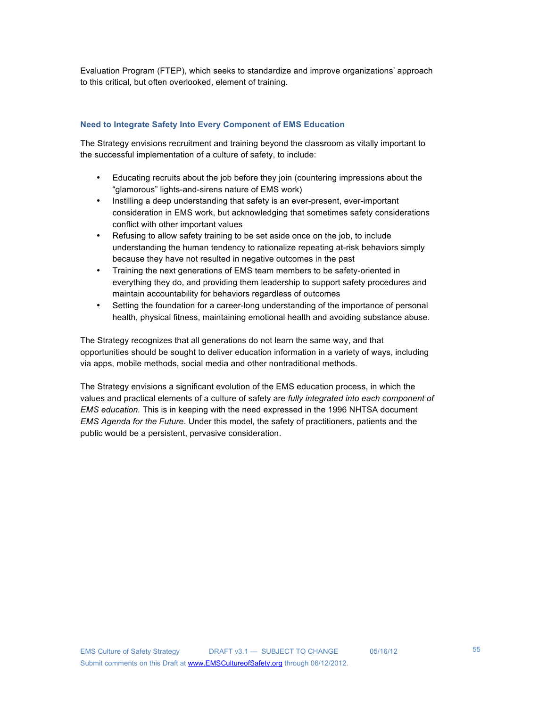Evaluation Program (FTEP), which seeks to standardize and improve organizations' approach to this critical, but often overlooked, element of training.

### **Need to Integrate Safety Into Every Component of EMS Education**

The Strategy envisions recruitment and training beyond the classroom as vitally important to the successful implementation of a culture of safety, to include:

- Educating recruits about the job before they join (countering impressions about the "glamorous" lights-and-sirens nature of EMS work)
- Instilling a deep understanding that safety is an ever-present, ever-important consideration in EMS work, but acknowledging that sometimes safety considerations conflict with other important values
- Refusing to allow safety training to be set aside once on the job, to include understanding the human tendency to rationalize repeating at-risk behaviors simply because they have not resulted in negative outcomes in the past
- Training the next generations of EMS team members to be safety-oriented in everything they do, and providing them leadership to support safety procedures and maintain accountability for behaviors regardless of outcomes
- Setting the foundation for a career-long understanding of the importance of personal health, physical fitness, maintaining emotional health and avoiding substance abuse.

The Strategy recognizes that all generations do not learn the same way, and that opportunities should be sought to deliver education information in a variety of ways, including via apps, mobile methods, social media and other nontraditional methods.

The Strategy envisions a significant evolution of the EMS education process, in which the values and practical elements of a culture of safety are *fully integrated into each component of EMS education.* This is in keeping with the need expressed in the 1996 NHTSA document *EMS Agenda for the Future*. Under this model, the safety of practitioners, patients and the public would be a persistent, pervasive consideration.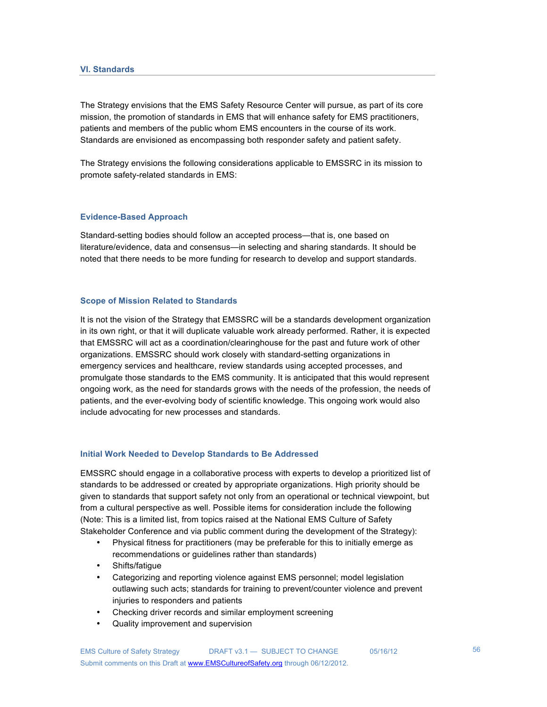The Strategy envisions that the EMS Safety Resource Center will pursue, as part of its core mission, the promotion of standards in EMS that will enhance safety for EMS practitioners, patients and members of the public whom EMS encounters in the course of its work. Standards are envisioned as encompassing both responder safety and patient safety.

The Strategy envisions the following considerations applicable to EMSSRC in its mission to promote safety-related standards in EMS:

### **Evidence-Based Approach**

Standard-setting bodies should follow an accepted process—that is, one based on literature/evidence, data and consensus—in selecting and sharing standards. It should be noted that there needs to be more funding for research to develop and support standards.

### **Scope of Mission Related to Standards**

It is not the vision of the Strategy that EMSSRC will be a standards development organization in its own right, or that it will duplicate valuable work already performed. Rather, it is expected that EMSSRC will act as a coordination/clearinghouse for the past and future work of other organizations. EMSSRC should work closely with standard-setting organizations in emergency services and healthcare, review standards using accepted processes, and promulgate those standards to the EMS community. It is anticipated that this would represent ongoing work, as the need for standards grows with the needs of the profession, the needs of patients, and the ever-evolving body of scientific knowledge. This ongoing work would also include advocating for new processes and standards.

### **Initial Work Needed to Develop Standards to Be Addressed**

EMSSRC should engage in a collaborative process with experts to develop a prioritized list of standards to be addressed or created by appropriate organizations. High priority should be given to standards that support safety not only from an operational or technical viewpoint, but from a cultural perspective as well. Possible items for consideration include the following (Note: This is a limited list, from topics raised at the National EMS Culture of Safety Stakeholder Conference and via public comment during the development of the Strategy):

- Physical fitness for practitioners (may be preferable for this to initially emerge as recommendations or guidelines rather than standards)
- Shifts/fatigue
- Categorizing and reporting violence against EMS personnel; model legislation outlawing such acts; standards for training to prevent/counter violence and prevent injuries to responders and patients
- Checking driver records and similar employment screening
- Quality improvement and supervision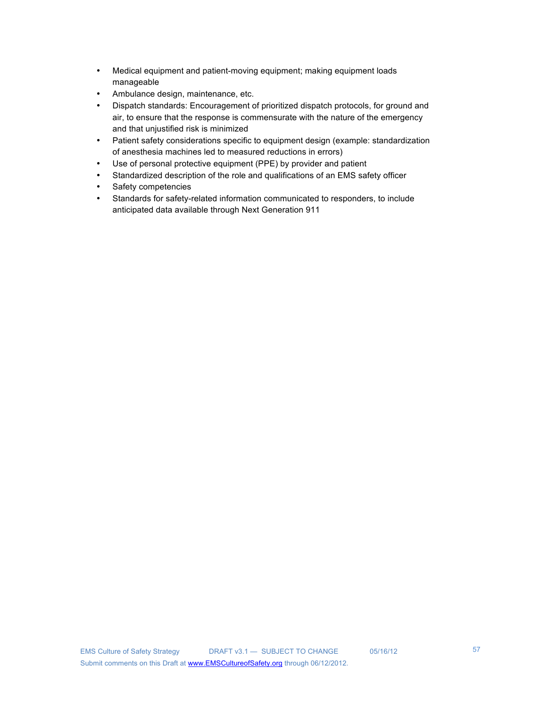- Medical equipment and patient-moving equipment; making equipment loads manageable
- Ambulance design, maintenance, etc.
- Dispatch standards: Encouragement of prioritized dispatch protocols, for ground and air, to ensure that the response is commensurate with the nature of the emergency and that unjustified risk is minimized
- Patient safety considerations specific to equipment design (example: standardization of anesthesia machines led to measured reductions in errors)
- Use of personal protective equipment (PPE) by provider and patient
- Standardized description of the role and qualifications of an EMS safety officer
- Safety competencies
- Standards for safety-related information communicated to responders, to include anticipated data available through Next Generation 911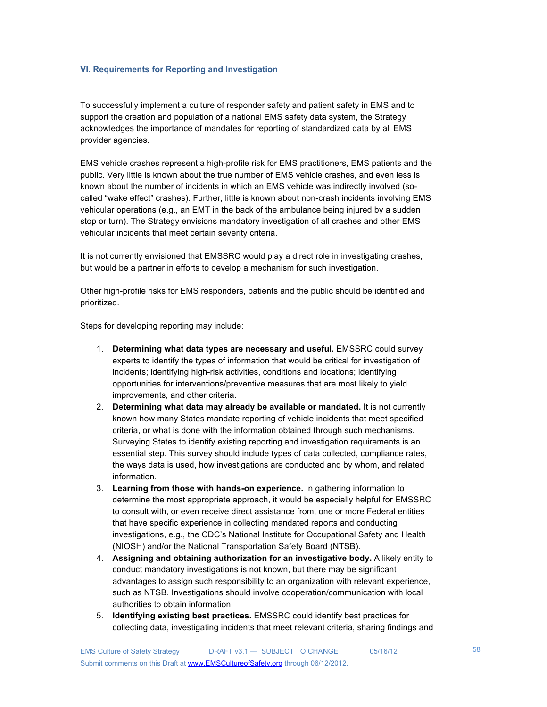To successfully implement a culture of responder safety and patient safety in EMS and to support the creation and population of a national EMS safety data system, the Strategy acknowledges the importance of mandates for reporting of standardized data by all EMS provider agencies.

EMS vehicle crashes represent a high-profile risk for EMS practitioners, EMS patients and the public. Very little is known about the true number of EMS vehicle crashes, and even less is known about the number of incidents in which an EMS vehicle was indirectly involved (socalled "wake effect" crashes). Further, little is known about non-crash incidents involving EMS vehicular operations (e.g., an EMT in the back of the ambulance being injured by a sudden stop or turn). The Strategy envisions mandatory investigation of all crashes and other EMS vehicular incidents that meet certain severity criteria.

It is not currently envisioned that EMSSRC would play a direct role in investigating crashes, but would be a partner in efforts to develop a mechanism for such investigation.

Other high-profile risks for EMS responders, patients and the public should be identified and prioritized.

Steps for developing reporting may include:

- 1. **Determining what data types are necessary and useful.** EMSSRC could survey experts to identify the types of information that would be critical for investigation of incidents; identifying high-risk activities, conditions and locations; identifying opportunities for interventions/preventive measures that are most likely to yield improvements, and other criteria.
- 2. **Determining what data may already be available or mandated.** It is not currently known how many States mandate reporting of vehicle incidents that meet specified criteria, or what is done with the information obtained through such mechanisms. Surveying States to identify existing reporting and investigation requirements is an essential step. This survey should include types of data collected, compliance rates, the ways data is used, how investigations are conducted and by whom, and related information.
- 3. **Learning from those with hands-on experience.** In gathering information to determine the most appropriate approach, it would be especially helpful for EMSSRC to consult with, or even receive direct assistance from, one or more Federal entities that have specific experience in collecting mandated reports and conducting investigations, e.g., the CDC's National Institute for Occupational Safety and Health (NIOSH) and/or the National Transportation Safety Board (NTSB).
- 4. **Assigning and obtaining authorization for an investigative body.** A likely entity to conduct mandatory investigations is not known, but there may be significant advantages to assign such responsibility to an organization with relevant experience, such as NTSB. Investigations should involve cooperation/communication with local authorities to obtain information.
- 5. **Identifying existing best practices.** EMSSRC could identify best practices for collecting data, investigating incidents that meet relevant criteria, sharing findings and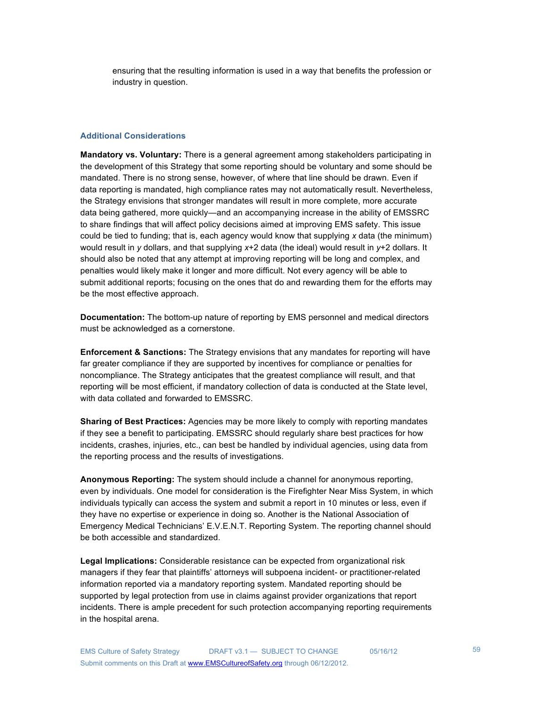ensuring that the resulting information is used in a way that benefits the profession or industry in question.

### **Additional Considerations**

**Mandatory vs. Voluntary:** There is a general agreement among stakeholders participating in the development of this Strategy that some reporting should be voluntary and some should be mandated. There is no strong sense, however, of where that line should be drawn. Even if data reporting is mandated, high compliance rates may not automatically result. Nevertheless, the Strategy envisions that stronger mandates will result in more complete, more accurate data being gathered, more quickly—and an accompanying increase in the ability of EMSSRC to share findings that will affect policy decisions aimed at improving EMS safety. This issue could be tied to funding; that is, each agency would know that supplying *x* data (the minimum) would result in *y* dollars, and that supplying *x*+2 data (the ideal) would result in *y*+2 dollars. It should also be noted that any attempt at improving reporting will be long and complex, and penalties would likely make it longer and more difficult. Not every agency will be able to submit additional reports; focusing on the ones that do and rewarding them for the efforts may be the most effective approach.

**Documentation:** The bottom-up nature of reporting by EMS personnel and medical directors must be acknowledged as a cornerstone.

**Enforcement & Sanctions:** The Strategy envisions that any mandates for reporting will have far greater compliance if they are supported by incentives for compliance or penalties for noncompliance. The Strategy anticipates that the greatest compliance will result, and that reporting will be most efficient, if mandatory collection of data is conducted at the State level, with data collated and forwarded to EMSSRC.

**Sharing of Best Practices:** Agencies may be more likely to comply with reporting mandates if they see a benefit to participating. EMSSRC should regularly share best practices for how incidents, crashes, injuries, etc., can best be handled by individual agencies, using data from the reporting process and the results of investigations.

**Anonymous Reporting:** The system should include a channel for anonymous reporting, even by individuals. One model for consideration is the Firefighter Near Miss System, in which individuals typically can access the system and submit a report in 10 minutes or less, even if they have no expertise or experience in doing so. Another is the National Association of Emergency Medical Technicians' E.V.E.N.T. Reporting System. The reporting channel should be both accessible and standardized.

**Legal Implications:** Considerable resistance can be expected from organizational risk managers if they fear that plaintiffs' attorneys will subpoena incident- or practitioner-related information reported via a mandatory reporting system. Mandated reporting should be supported by legal protection from use in claims against provider organizations that report incidents. There is ample precedent for such protection accompanying reporting requirements in the hospital arena.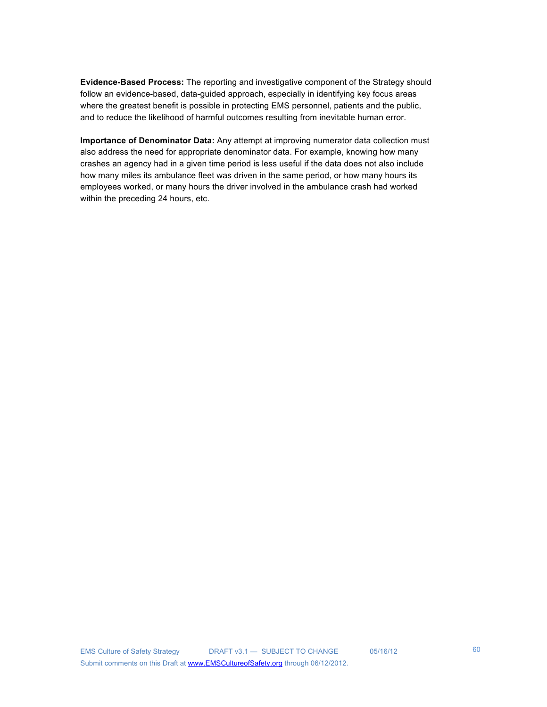**Evidence-Based Process:** The reporting and investigative component of the Strategy should follow an evidence-based, data-guided approach, especially in identifying key focus areas where the greatest benefit is possible in protecting EMS personnel, patients and the public, and to reduce the likelihood of harmful outcomes resulting from inevitable human error.

**Importance of Denominator Data:** Any attempt at improving numerator data collection must also address the need for appropriate denominator data. For example, knowing how many crashes an agency had in a given time period is less useful if the data does not also include how many miles its ambulance fleet was driven in the same period, or how many hours its employees worked, or many hours the driver involved in the ambulance crash had worked within the preceding 24 hours, etc.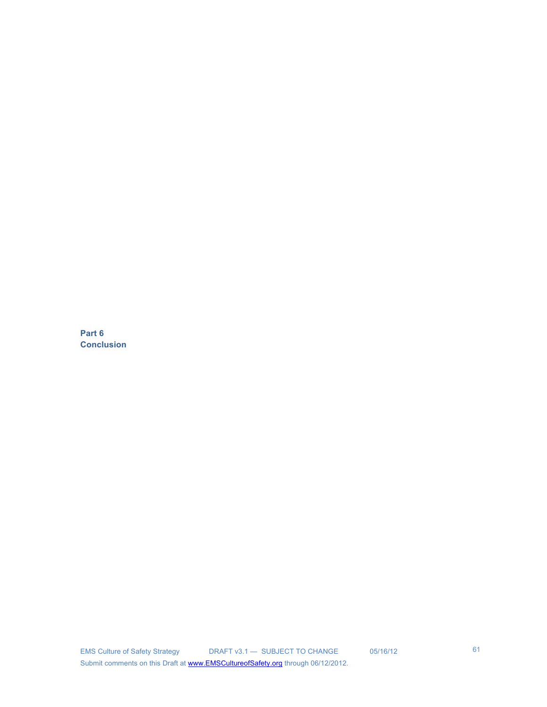**Part 6 Conclusion**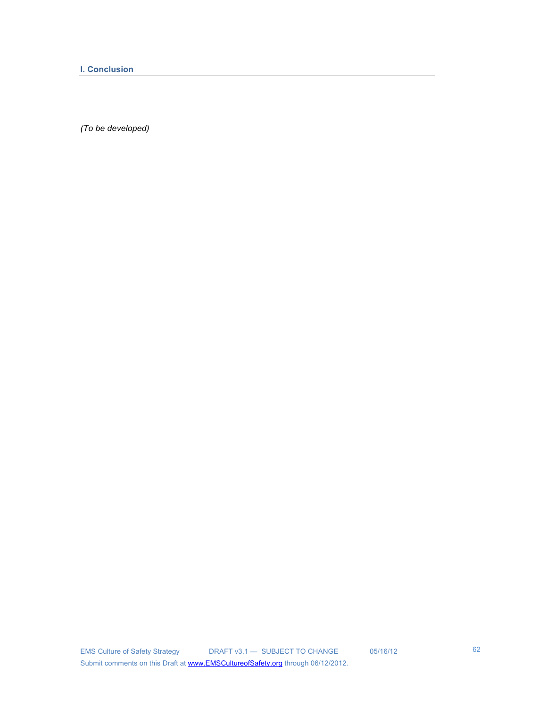**I. Conclusion** 

*(To be developed)*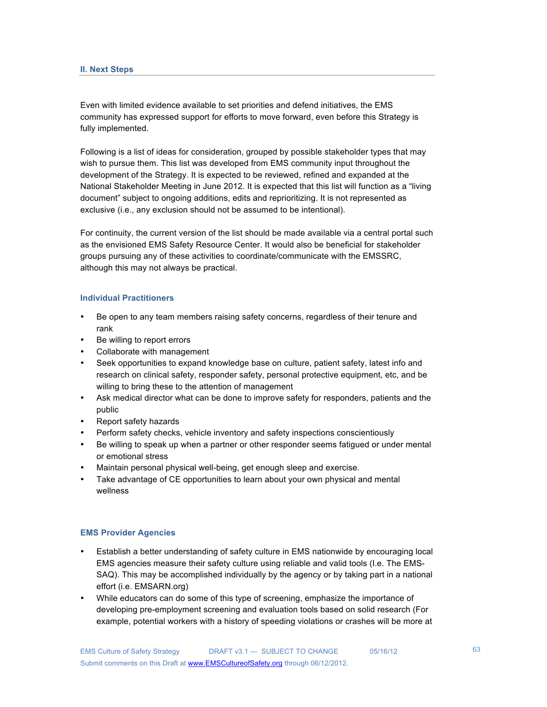Even with limited evidence available to set priorities and defend initiatives, the EMS community has expressed support for efforts to move forward, even before this Strategy is fully implemented.

Following is a list of ideas for consideration, grouped by possible stakeholder types that may wish to pursue them. This list was developed from EMS community input throughout the development of the Strategy. It is expected to be reviewed, refined and expanded at the National Stakeholder Meeting in June 2012. It is expected that this list will function as a "living document" subject to ongoing additions, edits and reprioritizing. It is not represented as exclusive (i.e., any exclusion should not be assumed to be intentional).

For continuity, the current version of the list should be made available via a central portal such as the envisioned EMS Safety Resource Center. It would also be beneficial for stakeholder groups pursuing any of these activities to coordinate/communicate with the EMSSRC, although this may not always be practical.

### **Individual Practitioners**

- Be open to any team members raising safety concerns, regardless of their tenure and rank
- Be willing to report errors
- Collaborate with management
- Seek opportunities to expand knowledge base on culture, patient safety, latest info and research on clinical safety, responder safety, personal protective equipment, etc, and be willing to bring these to the attention of management
- Ask medical director what can be done to improve safety for responders, patients and the public
- Report safety hazards
- Perform safety checks, vehicle inventory and safety inspections conscientiously
- Be willing to speak up when a partner or other responder seems fatigued or under mental or emotional stress
- Maintain personal physical well-being, get enough sleep and exercise.
- Take advantage of CE opportunities to learn about your own physical and mental wellness

## **EMS Provider Agencies**

- Establish a better understanding of safety culture in EMS nationwide by encouraging local EMS agencies measure their safety culture using reliable and valid tools (I.e. The EMS-SAQ). This may be accomplished individually by the agency or by taking part in a national effort (i.e. EMSARN.org)
- While educators can do some of this type of screening, emphasize the importance of developing pre-employment screening and evaluation tools based on solid research (For example, potential workers with a history of speeding violations or crashes will be more at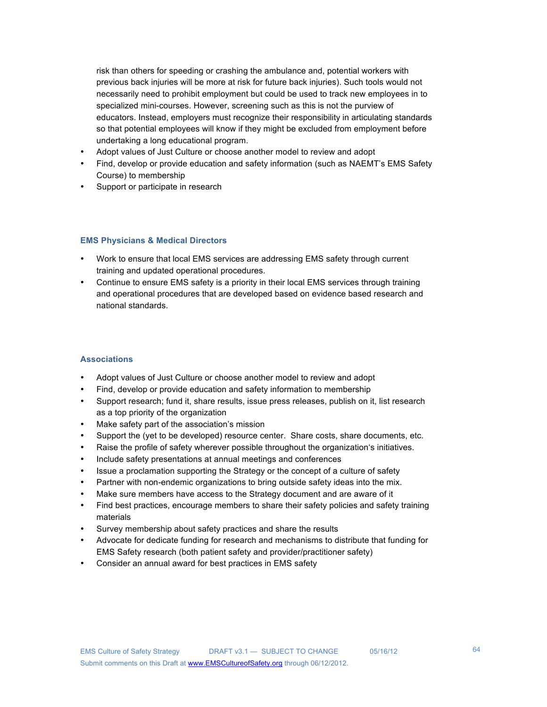risk than others for speeding or crashing the ambulance and, potential workers with previous back injuries will be more at risk for future back injuries). Such tools would not necessarily need to prohibit employment but could be used to track new employees in to specialized mini-courses. However, screening such as this is not the purview of educators. Instead, employers must recognize their responsibility in articulating standards so that potential employees will know if they might be excluded from employment before undertaking a long educational program.

- Adopt values of Just Culture or choose another model to review and adopt
- Find, develop or provide education and safety information (such as NAEMT's EMS Safety Course) to membership
- Support or participate in research

## **EMS Physicians & Medical Directors**

- Work to ensure that local EMS services are addressing EMS safety through current training and updated operational procedures.
- Continue to ensure EMS safety is a priority in their local EMS services through training and operational procedures that are developed based on evidence based research and national standards.

### **Associations**

- Adopt values of Just Culture or choose another model to review and adopt
- Find, develop or provide education and safety information to membership
- Support research; fund it, share results, issue press releases, publish on it, list research as a top priority of the organization
- Make safety part of the association's mission
- Support the (yet to be developed) resource center. Share costs, share documents, etc.
- Raise the profile of safety wherever possible throughout the organization's initiatives.
- Include safety presentations at annual meetings and conferences
- Issue a proclamation supporting the Strategy or the concept of a culture of safety
- Partner with non-endemic organizations to bring outside safety ideas into the mix.
- Make sure members have access to the Strategy document and are aware of it
- Find best practices, encourage members to share their safety policies and safety training materials
- Survey membership about safety practices and share the results
- Advocate for dedicate funding for research and mechanisms to distribute that funding for EMS Safety research (both patient safety and provider/practitioner safety)
- Consider an annual award for best practices in EMS safety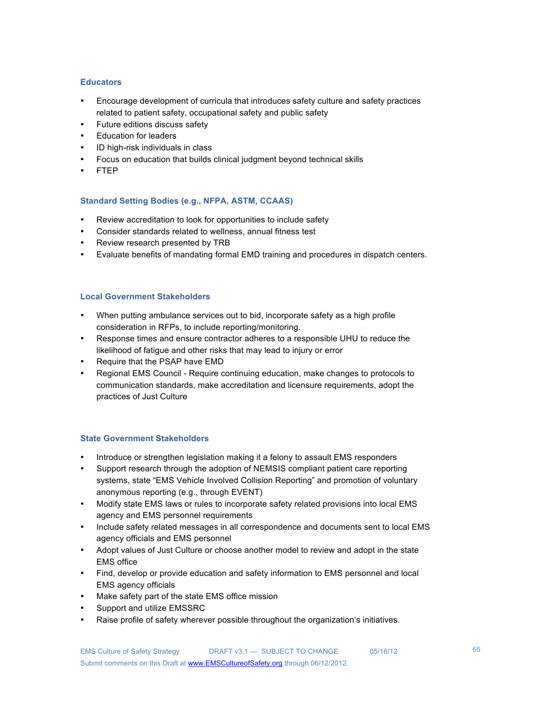## **Educators**

- Encourage development of curricula that introduces safety culture and safety practices related to patient safety, occupational safety and public safety
- Future editions discuss safety
- Education for leaders
- ID high-risk individuals in class
- Focus on education that builds clinical judgment beyond technical skills
- FTEP

# **Standard Setting Bodies (e.g., NFPA, ASTM, CCAAS)**

- Review accreditation to look for opportunities to include safety
- Consider standards related to wellness, annual fitness test
- Review research presented by TRB
- Evaluate benefits of mandating formal EMD training and procedures in dispatch centers.

## **Local Government Stakeholders**

- When putting ambulance services out to bid, incorporate safety as a high profile consideration in RFPs, to include reporting/monitoring.
- Response times and ensure contractor adheres to a responsible UHU to reduce the likelihood of fatigue and other risks that may lead to injury or error
- Require that the PSAP have EMD
- Regional EMS Council Require continuing education, make changes to protocols to communication standards, make accreditation and licensure requirements, adopt the practices of Just Culture

## **State Government Stakeholders**

- Introduce or strengthen legislation making it a felony to assault EMS responders
- Support research through the adoption of NEMSIS compliant patient care reporting systems, state "EMS Vehicle Involved Collision Reporting" and promotion of voluntary anonymous reporting (e.g., through EVENT)
- Modify state EMS laws or rules to incorporate safety related provisions into local EMS agency and EMS personnel requirements
- Include safety related messages in all correspondence and documents sent to local EMS agency officials and EMS personnel
- Adopt values of Just Culture or choose another model to review and adopt in the state EMS office
- Find, develop or provide education and safety information to EMS personnel and local EMS agency officials
- Make safety part of the state EMS office mission
- Support and utilize EMSSRC
- Raise profile of safety wherever possible throughout the organization's initiatives.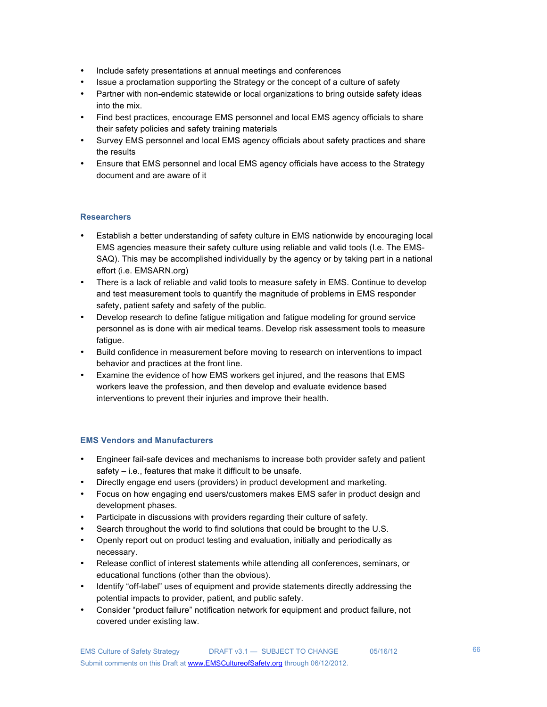- Include safety presentations at annual meetings and conferences
- Issue a proclamation supporting the Strategy or the concept of a culture of safety
- Partner with non-endemic statewide or local organizations to bring outside safety ideas into the mix.
- Find best practices, encourage EMS personnel and local EMS agency officials to share their safety policies and safety training materials
- Survey EMS personnel and local EMS agency officials about safety practices and share the results
- Ensure that EMS personnel and local EMS agency officials have access to the Strategy document and are aware of it

# **Researchers**

- Establish a better understanding of safety culture in EMS nationwide by encouraging local EMS agencies measure their safety culture using reliable and valid tools (I.e. The EMS-SAQ). This may be accomplished individually by the agency or by taking part in a national effort (i.e. EMSARN.org)
- There is a lack of reliable and valid tools to measure safety in EMS. Continue to develop and test measurement tools to quantify the magnitude of problems in EMS responder safety, patient safety and safety of the public.
- Develop research to define fatigue mitigation and fatigue modeling for ground service personnel as is done with air medical teams. Develop risk assessment tools to measure fatigue.
- Build confidence in measurement before moving to research on interventions to impact behavior and practices at the front line.
- Examine the evidence of how EMS workers get injured, and the reasons that EMS workers leave the profession, and then develop and evaluate evidence based interventions to prevent their injuries and improve their health.

## **EMS Vendors and Manufacturers**

- Engineer fail-safe devices and mechanisms to increase both provider safety and patient safety – i.e., features that make it difficult to be unsafe.
- Directly engage end users (providers) in product development and marketing.
- Focus on how engaging end users/customers makes EMS safer in product design and development phases.
- Participate in discussions with providers regarding their culture of safety.
- Search throughout the world to find solutions that could be brought to the U.S.
- Openly report out on product testing and evaluation, initially and periodically as necessary.
- Release conflict of interest statements while attending all conferences, seminars, or educational functions (other than the obvious).
- Identify "off-label" uses of equipment and provide statements directly addressing the potential impacts to provider, patient, and public safety.
- Consider "product failure" notification network for equipment and product failure, not covered under existing law.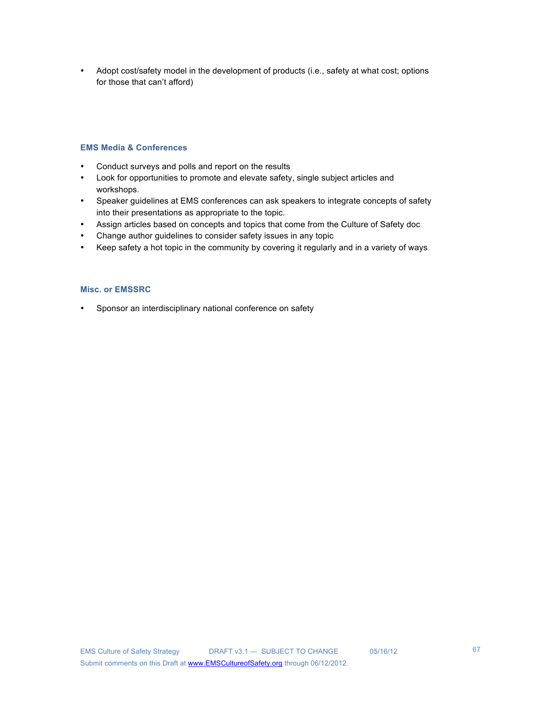• Adopt cost/safety model in the development of products (i.e., safety at what cost; options for those that can't afford)

# **EMS Media & Conferences**

- Conduct surveys and polls and report on the results
- Look for opportunities to promote and elevate safety, single subject articles and workshops.
- Speaker guidelines at EMS conferences can ask speakers to integrate concepts of safety into their presentations as appropriate to the topic.
- Assign articles based on concepts and topics that come from the Culture of Safety doc
- Change author guidelines to consider safety issues in any topic
- Keep safety a hot topic in the community by covering it regularly and in a variety of ways

# **Misc. or EMSSRC**

• Sponsor an interdisciplinary national conference on safety

67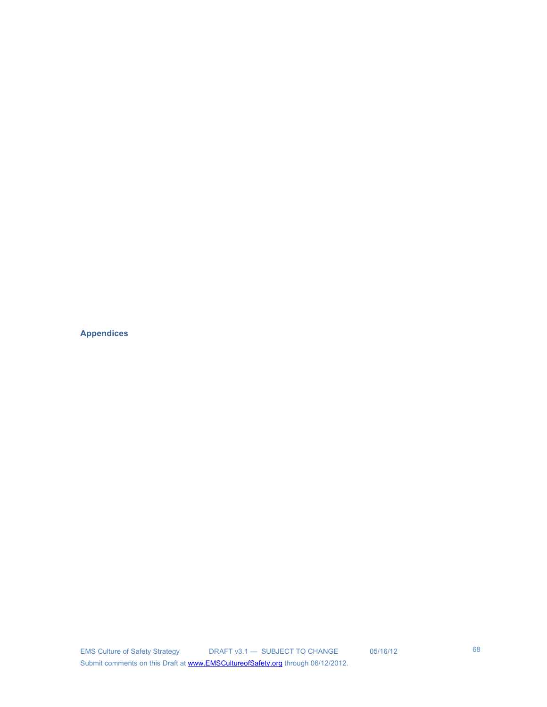**Appendices**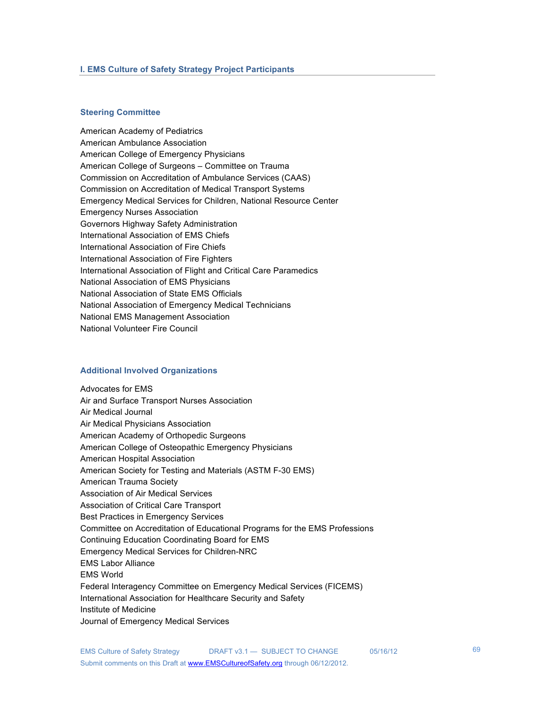#### **Steering Committee**

American Academy of Pediatrics American Ambulance Association American College of Emergency Physicians American College of Surgeons – Committee on Trauma Commission on Accreditation of Ambulance Services (CAAS) Commission on Accreditation of Medical Transport Systems Emergency Medical Services for Children, National Resource Center Emergency Nurses Association Governors Highway Safety Administration International Association of EMS Chiefs International Association of Fire Chiefs International Association of Fire Fighters International Association of Flight and Critical Care Paramedics National Association of EMS Physicians National Association of State EMS Officials National Association of Emergency Medical Technicians National EMS Management Association National Volunteer Fire Council

### **Additional Involved Organizations**

Advocates for EMS Air and Surface Transport Nurses Association Air Medical Journal Air Medical Physicians Association American Academy of Orthopedic Surgeons American College of Osteopathic Emergency Physicians American Hospital Association American Society for Testing and Materials (ASTM F-30 EMS) American Trauma Society Association of Air Medical Services Association of Critical Care Transport Best Practices in Emergency Services Committee on Accreditation of Educational Programs for the EMS Professions Continuing Education Coordinating Board for EMS Emergency Medical Services for Children-NRC EMS Labor Alliance EMS World Federal Interagency Committee on Emergency Medical Services (FICEMS) International Association for Healthcare Security and Safety Institute of Medicine Journal of Emergency Medical Services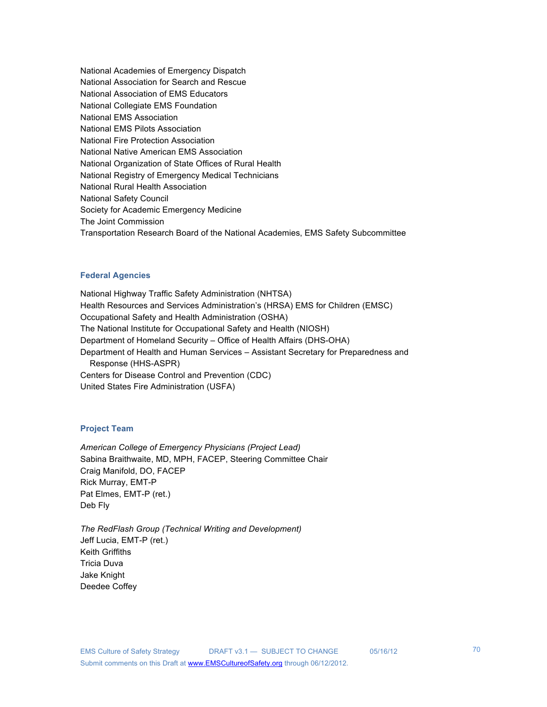National Academies of Emergency Dispatch National Association for Search and Rescue National Association of EMS Educators National Collegiate EMS Foundation National EMS Association National EMS Pilots Association National Fire Protection Association National Native American EMS Association National Organization of State Offices of Rural Health National Registry of Emergency Medical Technicians National Rural Health Association National Safety Council Society for Academic Emergency Medicine The Joint Commission Transportation Research Board of the National Academies, EMS Safety Subcommittee

### **Federal Agencies**

National Highway Traffic Safety Administration (NHTSA) Health Resources and Services Administration's (HRSA) EMS for Children (EMSC) Occupational Safety and Health Administration (OSHA) The National Institute for Occupational Safety and Health (NIOSH) Department of Homeland Security – Office of Health Affairs (DHS-OHA) Department of Health and Human Services – Assistant Secretary for Preparedness and Response (HHS-ASPR) Centers for Disease Control and Prevention (CDC) United States Fire Administration (USFA)

### **Project Team**

*American College of Emergency Physicians (Project Lead)* Sabina Braithwaite, MD, MPH, FACEP, Steering Committee Chair Craig Manifold, DO, FACEP Rick Murray, EMT-P Pat Elmes, EMT-P (ret.) Deb Fly

*The RedFlash Group (Technical Writing and Development)*  Jeff Lucia, EMT-P (ret.) Keith Griffiths Tricia Duva Jake Knight Deedee Coffey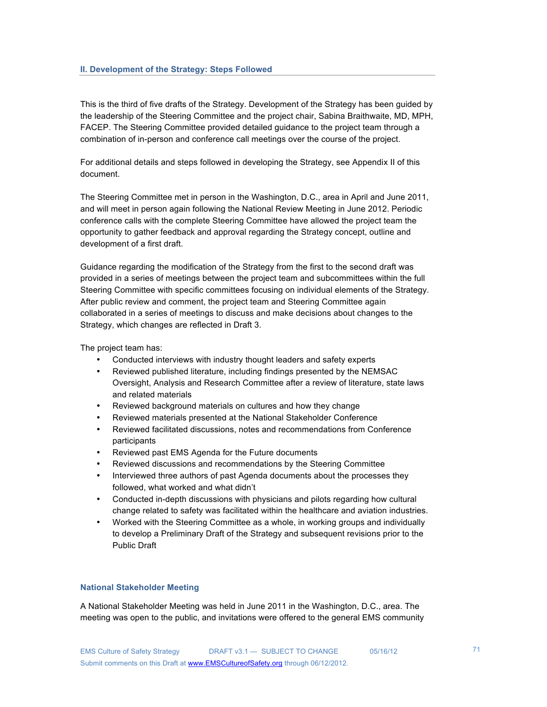### **II. Development of the Strategy: Steps Followed**

This is the third of five drafts of the Strategy. Development of the Strategy has been guided by the leadership of the Steering Committee and the project chair, Sabina Braithwaite, MD, MPH, FACEP. The Steering Committee provided detailed guidance to the project team through a combination of in-person and conference call meetings over the course of the project.

For additional details and steps followed in developing the Strategy, see Appendix II of this document.

The Steering Committee met in person in the Washington, D.C., area in April and June 2011, and will meet in person again following the National Review Meeting in June 2012. Periodic conference calls with the complete Steering Committee have allowed the project team the opportunity to gather feedback and approval regarding the Strategy concept, outline and development of a first draft.

Guidance regarding the modification of the Strategy from the first to the second draft was provided in a series of meetings between the project team and subcommittees within the full Steering Committee with specific committees focusing on individual elements of the Strategy. After public review and comment, the project team and Steering Committee again collaborated in a series of meetings to discuss and make decisions about changes to the Strategy, which changes are reflected in Draft 3.

The project team has:

- Conducted interviews with industry thought leaders and safety experts
- Reviewed published literature, including findings presented by the NEMSAC Oversight, Analysis and Research Committee after a review of literature, state laws and related materials
- Reviewed background materials on cultures and how they change
- Reviewed materials presented at the National Stakeholder Conference
- Reviewed facilitated discussions, notes and recommendations from Conference participants
- Reviewed past EMS Agenda for the Future documents
- Reviewed discussions and recommendations by the Steering Committee
- Interviewed three authors of past Agenda documents about the processes they followed, what worked and what didn't
- Conducted in-depth discussions with physicians and pilots regarding how cultural change related to safety was facilitated within the healthcare and aviation industries.
- Worked with the Steering Committee as a whole, in working groups and individually to develop a Preliminary Draft of the Strategy and subsequent revisions prior to the Public Draft

### **National Stakeholder Meeting**

A National Stakeholder Meeting was held in June 2011 in the Washington, D.C., area. The meeting was open to the public, and invitations were offered to the general EMS community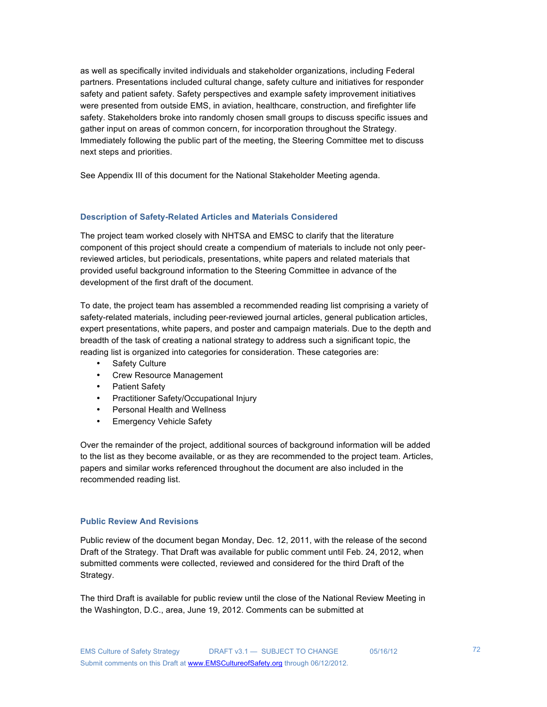as well as specifically invited individuals and stakeholder organizations, including Federal partners. Presentations included cultural change, safety culture and initiatives for responder safety and patient safety. Safety perspectives and example safety improvement initiatives were presented from outside EMS, in aviation, healthcare, construction, and firefighter life safety. Stakeholders broke into randomly chosen small groups to discuss specific issues and gather input on areas of common concern, for incorporation throughout the Strategy. Immediately following the public part of the meeting, the Steering Committee met to discuss next steps and priorities.

See Appendix III of this document for the National Stakeholder Meeting agenda.

#### **Description of Safety-Related Articles and Materials Considered**

The project team worked closely with NHTSA and EMSC to clarify that the literature component of this project should create a compendium of materials to include not only peerreviewed articles, but periodicals, presentations, white papers and related materials that provided useful background information to the Steering Committee in advance of the development of the first draft of the document.

To date, the project team has assembled a recommended reading list comprising a variety of safety-related materials, including peer-reviewed journal articles, general publication articles, expert presentations, white papers, and poster and campaign materials. Due to the depth and breadth of the task of creating a national strategy to address such a significant topic, the reading list is organized into categories for consideration. These categories are:

- Safety Culture
- Crew Resource Management
- Patient Safety
- Practitioner Safety/Occupational Injury
- Personal Health and Wellness
- Emergency Vehicle Safety

Over the remainder of the project, additional sources of background information will be added to the list as they become available, or as they are recommended to the project team. Articles, papers and similar works referenced throughout the document are also included in the recommended reading list.

### **Public Review And Revisions**

Public review of the document began Monday, Dec. 12, 2011, with the release of the second Draft of the Strategy. That Draft was available for public comment until Feb. 24, 2012, when submitted comments were collected, reviewed and considered for the third Draft of the Strategy.

The third Draft is available for public review until the close of the National Review Meeting in the Washington, D.C., area, June 19, 2012. Comments can be submitted at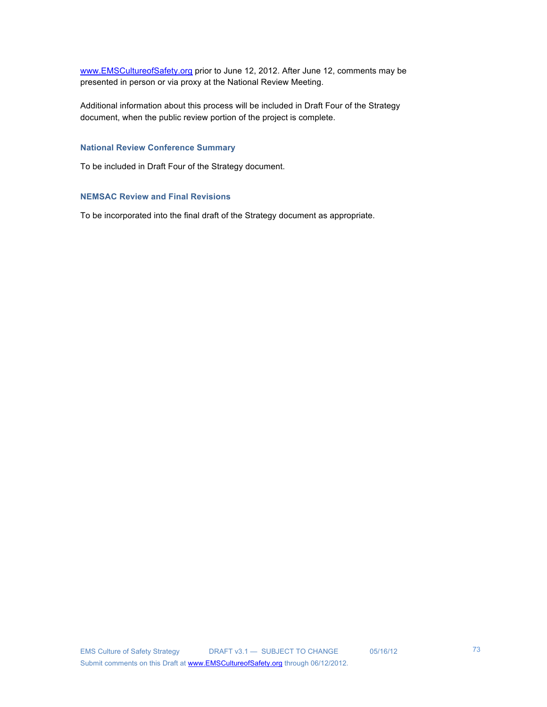www.EMSCultureofSafety.org prior to June 12, 2012. After June 12, comments may be presented in person or via proxy at the National Review Meeting.

Additional information about this process will be included in Draft Four of the Strategy document, when the public review portion of the project is complete.

### **National Review Conference Summary**

To be included in Draft Four of the Strategy document.

### **NEMSAC Review and Final Revisions**

To be incorporated into the final draft of the Strategy document as appropriate.

73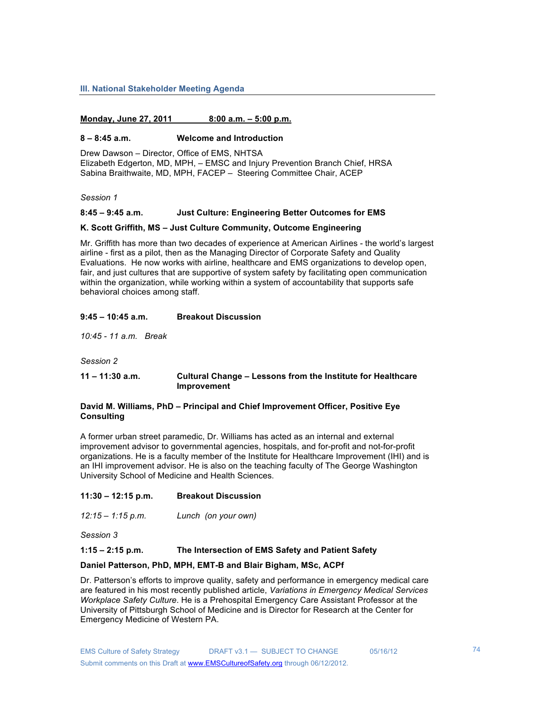#### **III. National Stakeholder Meeting Agenda**

### **Monday, June 27, 2011 8:00 a.m. – 5:00 p.m.**

#### **8 – 8:45 a.m. Welcome and Introduction**

Drew Dawson – Director, Office of EMS, NHTSA Elizabeth Edgerton, MD, MPH, – EMSC and Injury Prevention Branch Chief, HRSA Sabina Braithwaite, MD, MPH, FACEP – Steering Committee Chair, ACEP

*Session 1*

#### **8:45 – 9:45 a.m. Just Culture: Engineering Better Outcomes for EMS**

#### **K. Scott Griffith, MS – Just Culture Community, Outcome Engineering**

Mr. Griffith has more than two decades of experience at American Airlines - the world's largest airline - first as a pilot, then as the Managing Director of Corporate Safety and Quality Evaluations. He now works with airline, healthcare and EMS organizations to develop open, fair, and just cultures that are supportive of system safety by facilitating open communication within the organization, while working within a system of accountability that supports safe behavioral choices among staff.

#### **9:45 – 10:45 a.m. Breakout Discussion**

*10:45 - 11 a.m. Break*

*Session 2*

### **11 – 11:30 a.m. Cultural Change – Lessons from the Institute for Healthcare Improvement**

#### **David M. Williams, PhD – Principal and Chief Improvement Officer, Positive Eye Consulting**

A former urban street paramedic, Dr. Williams has acted as an internal and external improvement advisor to governmental agencies, hospitals, and for-profit and not-for-profit organizations. He is a faculty member of the Institute for Healthcare Improvement (IHI) and is an IHI improvement advisor. He is also on the teaching faculty of The George Washington University School of Medicine and Health Sciences.

- **11:30 12:15 p.m. Breakout Discussion**
- *12:15 1:15 p.m. Lunch (on your own)*

*Session 3*

### **1:15 – 2:15 p.m. The Intersection of EMS Safety and Patient Safety**

#### **Daniel Patterson, PhD, MPH, EMT-B and Blair Bigham, MSc, ACPf**

Dr. Patterson's efforts to improve quality, safety and performance in emergency medical care are featured in his most recently published article, *Variations in Emergency Medical Services Workplace Safety Culture*. He is a Prehospital Emergency Care Assistant Professor at the University of Pittsburgh School of Medicine and is Director for Research at the Center for Emergency Medicine of Western PA.

74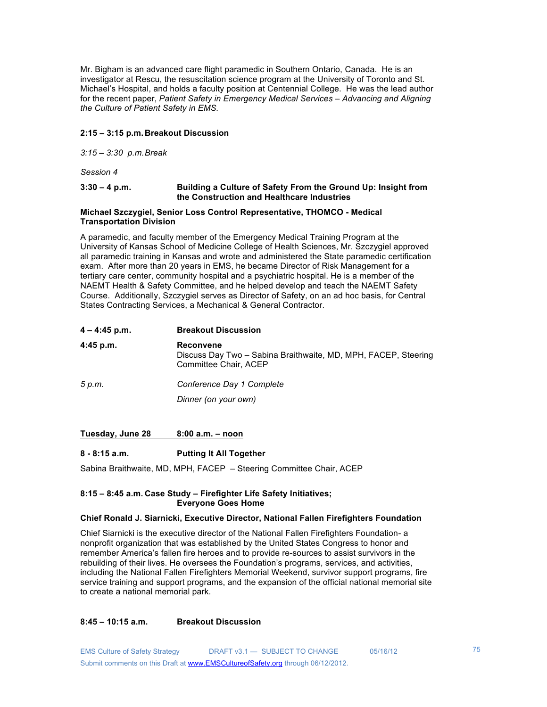Mr. Bigham is an advanced care flight paramedic in Southern Ontario, Canada. He is an investigator at Rescu, the resuscitation science program at the University of Toronto and St. Michael's Hospital, and holds a faculty position at Centennial College. He was the lead author for the recent paper, *Patient Safety in Emergency Medical Services – Advancing and Aligning the Culture of Patient Safety in EMS.*

### **2:15 – 3:15 p.m.Breakout Discussion**

*3:15 – 3:30 p.m.Break*

*Session 4*

### **3:30 – 4 p.m. Building a Culture of Safety From the Ground Up: Insight from the Construction and Healthcare Industries**

### **Michael Szczygiel, Senior Loss Control Representative, THOMCO - Medical Transportation Division**

A paramedic, and faculty member of the Emergency Medical Training Program at the University of Kansas School of Medicine College of Health Sciences, Mr. Szczygiel approved all paramedic training in Kansas and wrote and administered the State paramedic certification exam. After more than 20 years in EMS, he became Director of Risk Management for a tertiary care center, community hospital and a psychiatric hospital. He is a member of the NAEMT Health & Safety Committee, and he helped develop and teach the NAEMT Safety Course. Additionally, Szczygiel serves as Director of Safety, on an ad hoc basis, for Central States Contracting Services, a Mechanical & General Contractor.

| $4 - 4:45$ p.m. | <b>Breakout Discussion</b>                                                                                  |
|-----------------|-------------------------------------------------------------------------------------------------------------|
| $4:45$ p.m.     | <b>Reconvene</b><br>Discuss Day Two - Sabina Braithwaite, MD, MPH, FACEP, Steering<br>Committee Chair, ACEP |
| 5 p.m.          | Conference Day 1 Complete<br>Dinner (on your own)                                                           |
|                 |                                                                                                             |

### **Tuesday, June 28 8:00 a.m. – noon**

### **8 - 8:15 a.m. Putting It All Together**

Sabina Braithwaite, MD, MPH, FACEP – Steering Committee Chair, ACEP

### **8:15 – 8:45 a.m. Case Study – Firefighter Life Safety Initiatives; Everyone Goes Home**

### **Chief Ronald J. Siarnicki, Executive Director, National Fallen Firefighters Foundation**

Chief Siarnicki is the executive director of the National Fallen Firefighters Foundation- a nonprofit organization that was established by the United States Congress to honor and remember America's fallen fire heroes and to provide re-sources to assist survivors in the rebuilding of their lives. He oversees the Foundation's programs, services, and activities, including the National Fallen Firefighters Memorial Weekend, survivor support programs, fire service training and support programs, and the expansion of the official national memorial site to create a national memorial park.

### **8:45 – 10:15 a.m. Breakout Discussion**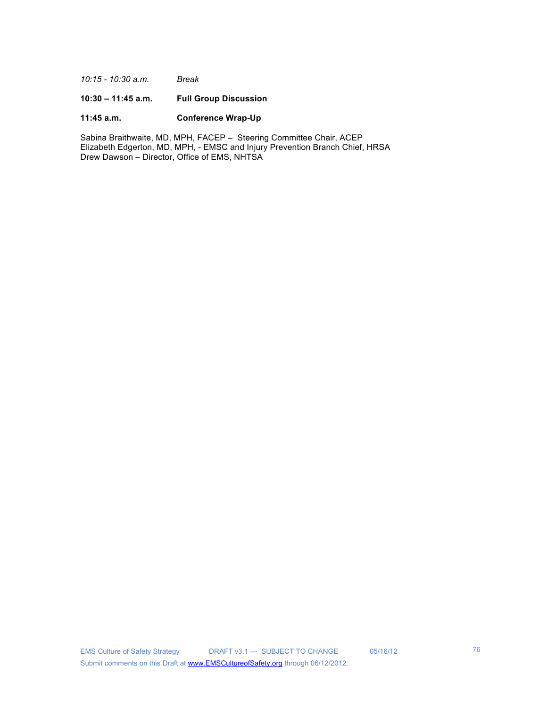*10:15 - 10:30 a.m. Break*

### **10:30 – 11:45 a.m. Full Group Discussion**

### **11:45 a.m. Conference Wrap-Up**

Sabina Braithwaite, MD, MPH, FACEP – Steering Committee Chair, ACEP Elizabeth Edgerton, MD, MPH, - EMSC and Injury Prevention Branch Chief, HRSA Drew Dawson – Director, Office of EMS, NHTSA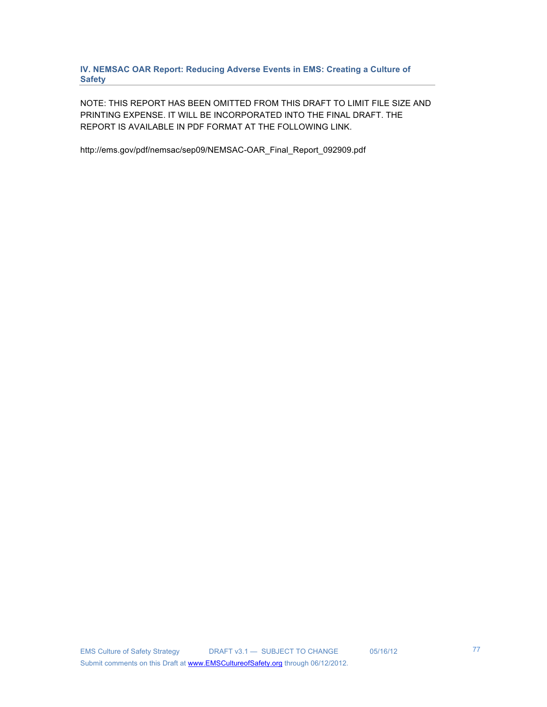**IV. NEMSAC OAR Report: Reducing Adverse Events in EMS: Creating a Culture of Safety**

NOTE: THIS REPORT HAS BEEN OMITTED FROM THIS DRAFT TO LIMIT FILE SIZE AND PRINTING EXPENSE. IT WILL BE INCORPORATED INTO THE FINAL DRAFT. THE REPORT IS AVAILABLE IN PDF FORMAT AT THE FOLLOWING LINK.

http://ems.gov/pdf/nemsac/sep09/NEMSAC-OAR\_Final\_Report\_092909.pdf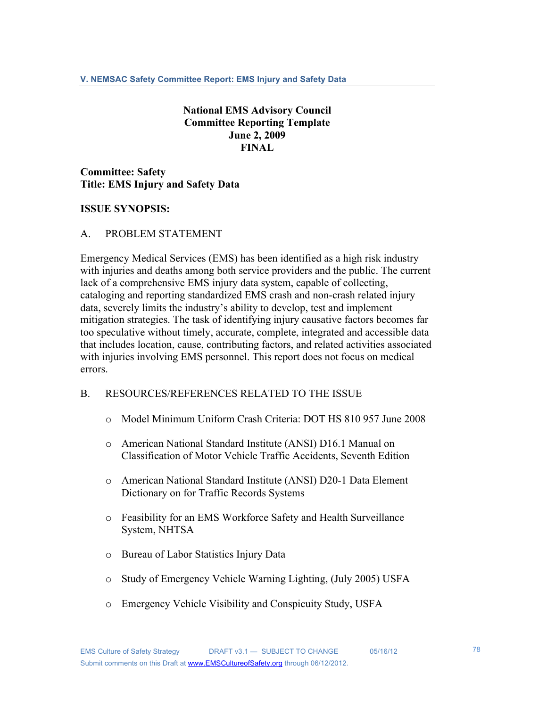# **National EMS Advisory Council Committee Reporting Template June 2, 2009 FINAL**

**Committee: Safety Title: EMS Injury and Safety Data**

# **ISSUE SYNOPSIS:**

### A. PROBLEM STATEMENT

Emergency Medical Services (EMS) has been identified as a high risk industry with injuries and deaths among both service providers and the public. The current lack of a comprehensive EMS injury data system, capable of collecting, cataloging and reporting standardized EMS crash and non-crash related injury data, severely limits the industry's ability to develop, test and implement mitigation strategies. The task of identifying injury causative factors becomes far too speculative without timely, accurate, complete, integrated and accessible data that includes location, cause, contributing factors, and related activities associated with injuries involving EMS personnel. This report does not focus on medical errors.

# B. RESOURCES/REFERENCES RELATED TO THE ISSUE

- o Model Minimum Uniform Crash Criteria: DOT HS 810 957 June 2008
- o American National Standard Institute (ANSI) D16.1 Manual on Classification of Motor Vehicle Traffic Accidents, Seventh Edition
- o American National Standard Institute (ANSI) D20-1 Data Element Dictionary on for Traffic Records Systems
- o Feasibility for an EMS Workforce Safety and Health Surveillance System, NHTSA
- o Bureau of Labor Statistics Injury Data
- o Study of Emergency Vehicle Warning Lighting, (July 2005) USFA
- o Emergency Vehicle Visibility and Conspicuity Study, USFA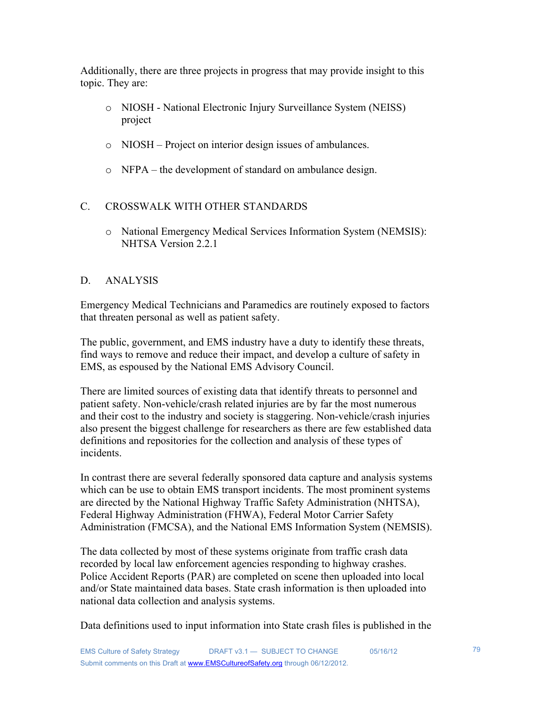Additionally, there are three projects in progress that may provide insight to this topic. They are:

- o NIOSH National Electronic Injury Surveillance System (NEISS) project
- o NIOSH Project on interior design issues of ambulances.
- o NFPA the development of standard on ambulance design.

# C. CROSSWALK WITH OTHER STANDARDS

o National Emergency Medical Services Information System (NEMSIS): NHTSA Version 2.2.1

# D. ANALYSIS

Emergency Medical Technicians and Paramedics are routinely exposed to factors that threaten personal as well as patient safety.

The public, government, and EMS industry have a duty to identify these threats, find ways to remove and reduce their impact, and develop a culture of safety in EMS, as espoused by the National EMS Advisory Council.

There are limited sources of existing data that identify threats to personnel and patient safety. Non-vehicle/crash related injuries are by far the most numerous and their cost to the industry and society is staggering. Non-vehicle/crash injuries also present the biggest challenge for researchers as there are few established data definitions and repositories for the collection and analysis of these types of incidents.

In contrast there are several federally sponsored data capture and analysis systems which can be use to obtain EMS transport incidents. The most prominent systems are directed by the National Highway Traffic Safety Administration (NHTSA), Federal Highway Administration (FHWA), Federal Motor Carrier Safety Administration (FMCSA), and the National EMS Information System (NEMSIS).

The data collected by most of these systems originate from traffic crash data recorded by local law enforcement agencies responding to highway crashes. Police Accident Reports (PAR) are completed on scene then uploaded into local and/or State maintained data bases. State crash information is then uploaded into national data collection and analysis systems.

Data definitions used to input information into State crash files is published in the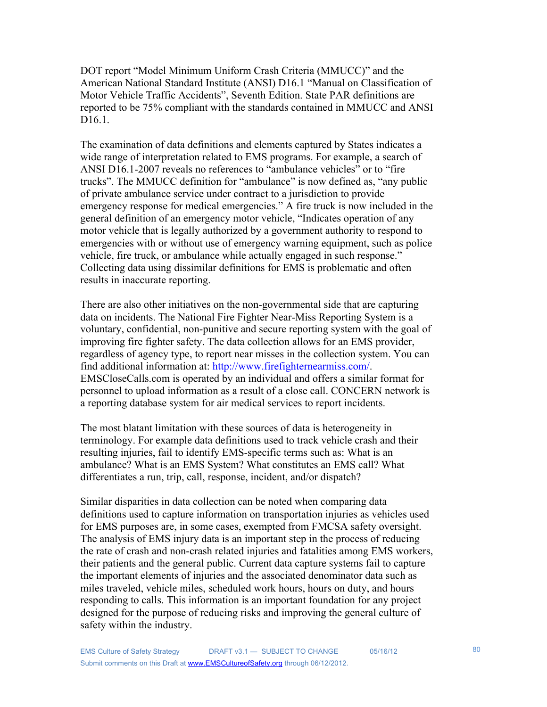DOT report "Model Minimum Uniform Crash Criteria (MMUCC)" and the American National Standard Institute (ANSI) D16.1 "Manual on Classification of Motor Vehicle Traffic Accidents", Seventh Edition. State PAR definitions are reported to be 75% compliant with the standards contained in MMUCC and ANSI D<sub>16.1</sub>.

The examination of data definitions and elements captured by States indicates a wide range of interpretation related to EMS programs. For example, a search of ANSI D16.1-2007 reveals no references to "ambulance vehicles" or to "fire trucks". The MMUCC definition for "ambulance" is now defined as, "any public of private ambulance service under contract to a jurisdiction to provide emergency response for medical emergencies." A fire truck is now included in the general definition of an emergency motor vehicle, "Indicates operation of any motor vehicle that is legally authorized by a government authority to respond to emergencies with or without use of emergency warning equipment, such as police vehicle, fire truck, or ambulance while actually engaged in such response." Collecting data using dissimilar definitions for EMS is problematic and often results in inaccurate reporting.

There are also other initiatives on the non-governmental side that are capturing data on incidents. The National Fire Fighter Near-Miss Reporting System is a voluntary, confidential, non-punitive and secure reporting system with the goal of improving fire fighter safety. The data collection allows for an EMS provider, regardless of agency type, to report near misses in the collection system. You can find additional information at: http://www.firefighternearmiss.com/. EMSCloseCalls.com is operated by an individual and offers a similar format for personnel to upload information as a result of a close call. CONCERN network is a reporting database system for air medical services to report incidents.

The most blatant limitation with these sources of data is heterogeneity in terminology. For example data definitions used to track vehicle crash and their resulting injuries, fail to identify EMS-specific terms such as: What is an ambulance? What is an EMS System? What constitutes an EMS call? What differentiates a run, trip, call, response, incident, and/or dispatch?

Similar disparities in data collection can be noted when comparing data definitions used to capture information on transportation injuries as vehicles used for EMS purposes are, in some cases, exempted from FMCSA safety oversight. The analysis of EMS injury data is an important step in the process of reducing the rate of crash and non-crash related injuries and fatalities among EMS workers, their patients and the general public. Current data capture systems fail to capture the important elements of injuries and the associated denominator data such as miles traveled, vehicle miles, scheduled work hours, hours on duty, and hours responding to calls. This information is an important foundation for any project designed for the purpose of reducing risks and improving the general culture of safety within the industry.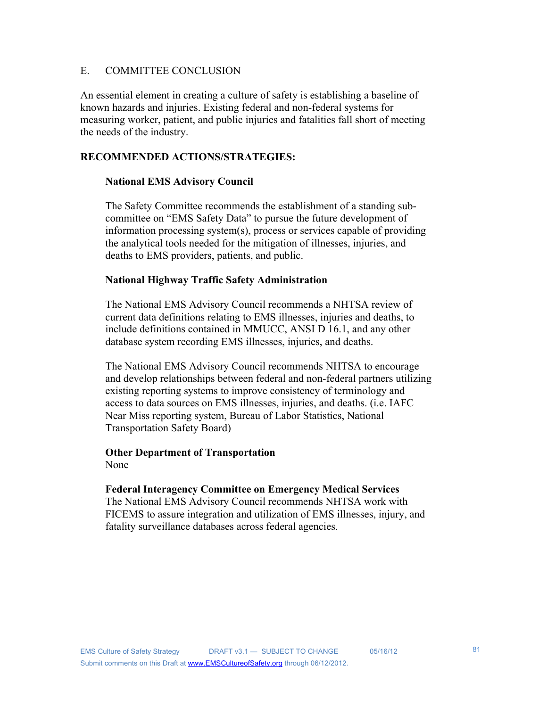# E. COMMITTEE CONCLUSION

An essential element in creating a culture of safety is establishing a baseline of known hazards and injuries. Existing federal and non-federal systems for measuring worker, patient, and public injuries and fatalities fall short of meeting the needs of the industry.

# **RECOMMENDED ACTIONS/STRATEGIES:**

# **National EMS Advisory Council**

The Safety Committee recommends the establishment of a standing subcommittee on "EMS Safety Data" to pursue the future development of information processing system(s), process or services capable of providing the analytical tools needed for the mitigation of illnesses, injuries, and deaths to EMS providers, patients, and public.

# **National Highway Traffic Safety Administration**

The National EMS Advisory Council recommends a NHTSA review of current data definitions relating to EMS illnesses, injuries and deaths, to include definitions contained in MMUCC, ANSI D 16.1, and any other database system recording EMS illnesses, injuries, and deaths.

The National EMS Advisory Council recommends NHTSA to encourage and develop relationships between federal and non-federal partners utilizing existing reporting systems to improve consistency of terminology and access to data sources on EMS illnesses, injuries, and deaths. (i.e. IAFC Near Miss reporting system, Bureau of Labor Statistics, National Transportation Safety Board)

# **Other Department of Transportation**

None

# **Federal Interagency Committee on Emergency Medical Services**

The National EMS Advisory Council recommends NHTSA work with FICEMS to assure integration and utilization of EMS illnesses, injury, and fatality surveillance databases across federal agencies.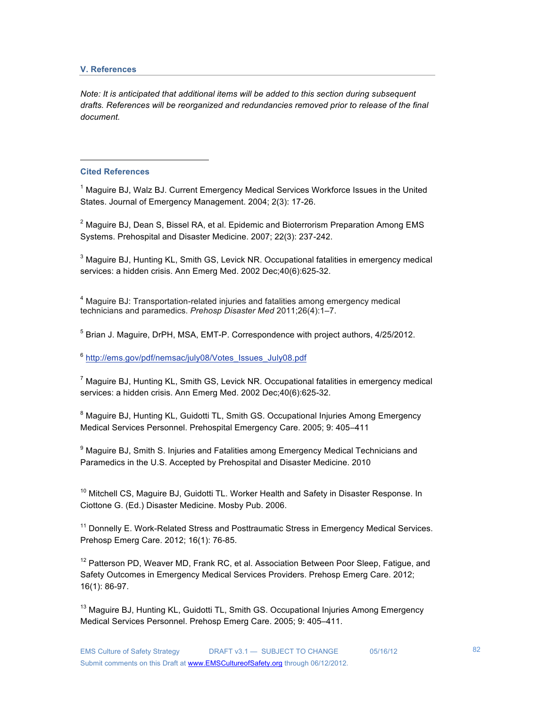### **V. References**

*Note: It is anticipated that additional items will be added to this section during subsequent drafts. References will be reorganized and redundancies removed prior to release of the final document.*

### **Cited References**

!!!!!!!!!!!!!!!!!!!!!!!!!!!!!!!!!!!!!!!!!!!!!!!!!!!!!!!

<sup>1</sup> Maguire BJ, Walz BJ. Current Emergency Medical Services Workforce Issues in the United States. Journal of Emergency Management. 2004; 2(3): 17-26.

 $2$  Maguire BJ, Dean S, Bissel RA, et al. Epidemic and Bioterrorism Preparation Among EMS Systems. Prehospital and Disaster Medicine. 2007; 22(3): 237-242.

 $3$  Maguire BJ, Hunting KL, Smith GS, Levick NR. Occupational fatalities in emergency medical services: a hidden crisis. Ann Emerg Med. 2002 Dec;40(6):625-32.

<sup>4</sup> Maguire BJ: Transportation-related injuries and fatalities among emergency medical technicians and paramedics. *Prehosp Disaster Med* 2011;26(4):1–7.

<sup>5</sup> Brian J. Maguire, DrPH, MSA, EMT-P. Correspondence with project authors, 4/25/2012.

<sup>6</sup> http://ems.gov/pdf/nemsac/july08/Votes\_Issues\_July08.pdf

 $<sup>7</sup>$  Maguire BJ, Hunting KL, Smith GS, Levick NR. Occupational fatalities in emergency medical</sup> services: a hidden crisis. Ann Emerg Med. 2002 Dec;40(6):625-32.

<sup>8</sup> Maguire BJ, Hunting KL, Guidotti TL, Smith GS. Occupational Injuries Among Emergency Medical Services Personnel. Prehospital Emergency Care. 2005; 9: 405–411

<sup>9</sup> Maguire BJ, Smith S. Injuries and Fatalities among Emergency Medical Technicians and Paramedics in the U.S. Accepted by Prehospital and Disaster Medicine. 2010

<sup>10</sup> Mitchell CS, Maguire BJ, Guidotti TL. Worker Health and Safety in Disaster Response. In Ciottone G. (Ed.) Disaster Medicine. Mosby Pub. 2006.

<sup>11</sup> Donnelly E. Work-Related Stress and Posttraumatic Stress in Emergency Medical Services. Prehosp Emerg Care. 2012; 16(1): 76-85.

 $12$  Patterson PD, Weaver MD, Frank RC, et al. Association Between Poor Sleep, Fatigue, and Safety Outcomes in Emergency Medical Services Providers. Prehosp Emerg Care. 2012; 16(1): 86-97.

<sup>13</sup> Maguire BJ, Hunting KL, Guidotti TL, Smith GS. Occupational Injuries Among Emergency Medical Services Personnel. Prehosp Emerg Care. 2005; 9: 405–411.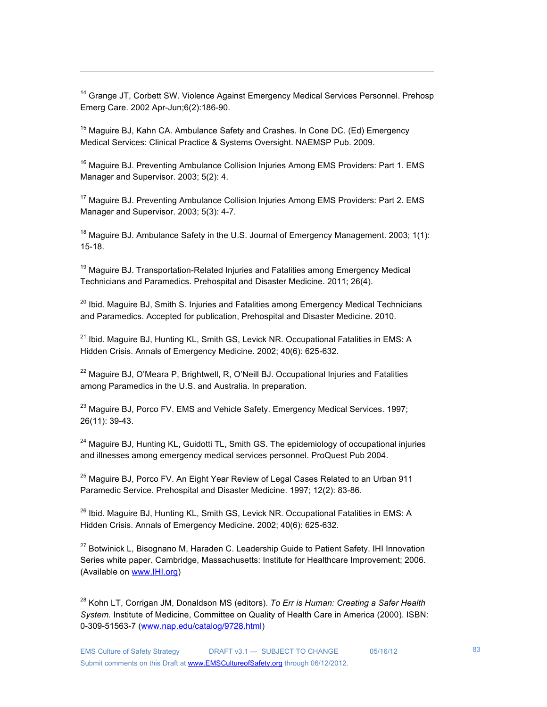<sup>14</sup> Grange JT, Corbett SW. Violence Against Emergency Medical Services Personnel. Prehosp Emerg Care. 2002 Apr-Jun;6(2):186-90.

!!!!!!!!!!!!!!!!!!!!!!!!!!!!!!!!!!!!!!!!!!!!!!!!!!!!!!!!!!!!!!!!!!!!!!!!!!!!!!!!!!!!!!!!!!!!!!!!!!!!!!!!!!!!!!!!!!!!!!!!!!!!!!!!!!!!!!!!!!!!!!!!!!!!!!

<sup>15</sup> Maguire BJ, Kahn CA. Ambulance Safety and Crashes. In Cone DC. (Ed) Emergency Medical Services: Clinical Practice & Systems Oversight. NAEMSP Pub. 2009.

<sup>16</sup> Maguire BJ. Preventing Ambulance Collision Injuries Among EMS Providers: Part 1. EMS Manager and Supervisor. 2003; 5(2): 4.

<sup>17</sup> Maguire BJ. Preventing Ambulance Collision Injuries Among EMS Providers: Part 2. EMS Manager and Supervisor. 2003; 5(3): 4-7.

 $18$  Maguire BJ. Ambulance Safety in the U.S. Journal of Emergency Management. 2003; 1(1): 15-18.

<sup>19</sup> Maguire BJ. Transportation-Related Injuries and Fatalities among Emergency Medical Technicians and Paramedics. Prehospital and Disaster Medicine. 2011; 26(4).

 $20$  Ibid. Maguire BJ, Smith S. Injuries and Fatalities among Emergency Medical Technicians and Paramedics. Accepted for publication, Prehospital and Disaster Medicine. 2010.

 $21$  Ibid. Maguire BJ, Hunting KL, Smith GS, Levick NR. Occupational Fatalities in EMS: A Hidden Crisis. Annals of Emergency Medicine. 2002; 40(6): 625-632.

 $22$  Maguire BJ, O'Meara P, Brightwell, R, O'Neill BJ. Occupational Injuries and Fatalities among Paramedics in the U.S. and Australia. In preparation.

 $^{23}$  Maguire BJ, Porco FV. EMS and Vehicle Safety. Emergency Medical Services. 1997; 26(11): 39-43.

<sup>24</sup> Maguire BJ, Hunting KL, Guidotti TL, Smith GS. The epidemiology of occupational injuries and illnesses among emergency medical services personnel. ProQuest Pub 2004.

 $25$  Maguire BJ, Porco FV. An Eight Year Review of Legal Cases Related to an Urban 911 Paramedic Service. Prehospital and Disaster Medicine. 1997; 12(2): 83-86.

<sup>26</sup> Ibid. Maguire BJ, Hunting KL, Smith GS, Levick NR. Occupational Fatalities in EMS: A Hidden Crisis. Annals of Emergency Medicine. 2002; 40(6): 625-632.

<sup>27</sup> Botwinick L, Bisognano M, Haraden C. Leadership Guide to Patient Safety. IHI Innovation Series white paper. Cambridge, Massachusetts: Institute for Healthcare Improvement; 2006. (Available on www.IHI.org)

28 Kohn LT, Corrigan JM, Donaldson MS (editors). *To Err is Human: Creating a Safer Health System.* Institute of Medicine, Committee on Quality of Health Care in America (2000). ISBN: 0-309-51563-7 (www.nap.edu/catalog/9728.html)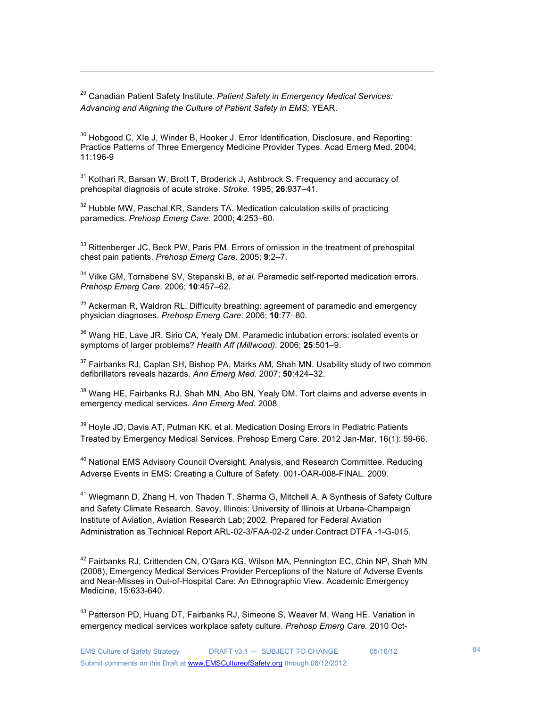29 Canadian Patient Safety Institute. *Patient Safety in Emergency Medical Services: Advancing and Aligning the Culture of Patient Safety in EMS;* YEAR.

 $30$  Hobgood C, XIe J, Winder B, Hooker J. Error Identification, Disclosure, and Reporting: Practice Patterns of Three Emergency Medicine Provider Types. Acad Emerg Med. 2004; 11:196-9

!!!!!!!!!!!!!!!!!!!!!!!!!!!!!!!!!!!!!!!!!!!!!!!!!!!!!!!!!!!!!!!!!!!!!!!!!!!!!!!!!!!!!!!!!!!!!!!!!!!!!!!!!!!!!!!!!!!!!!!!!!!!!!!!!!!!!!!!!!!!!!!!!!!!!!

<sup>31</sup> Kothari R, Barsan W, Brott T, Broderick J, Ashbrock S. Frequency and accuracy of prehospital diagnosis of acute stroke. *Stroke.* 1995; **26**:937–41.

 $32$  Hubble MW, Paschal KR, Sanders TA. Medication calculation skills of practicing paramedics. *Prehosp Emerg Care.* 2000; **4**:253–60.

 $33$  Rittenberger JC, Beck PW, Paris PM, Errors of omission in the treatment of prehospital chest pain patients. *Prehosp Emerg Care.* 2005; **9**:2–7.

<sup>34</sup> Vilke GM, Tornabene SV, Stepanski B, *et al.* Paramedic self-reported medication errors. *Prehosp Emerg Care.* 2006; **10**:457–62.

 $35$  Ackerman R, Waldron RL. Difficulty breathing: agreement of paramedic and emergency physician diagnoses. *Prehosp Emerg Care.* 2006; **10**:77–80.

<sup>36</sup> Wang HE, Lave JR, Sirio CA, Yealy DM. Paramedic intubation errors: isolated events or symptoms of larger problems? *Health Aff (Millwood).* 2006; **25**:501–9.

 $37$  Fairbanks RJ, Caplan SH, Bishop PA, Marks AM, Shah MN. Usability study of two common defibrillators reveals hazards. *Ann Emerg Med.* 2007; **50**:424–32.

 $38$  Wang HE, Fairbanks RJ, Shah MN, Abo BN, Yealy DM. Tort claims and adverse events in emergency medical services. *Ann Emerg Med.* 2008

<sup>39</sup> Hoyle JD, Davis AT, Putman KK, et al. Medication Dosing Errors in Pediatric Patients Treated by Emergency Medical Services. Prehosp Emerg Care. 2012 Jan-Mar, 16(1): 59-66.

<sup>40</sup> National EMS Advisory Council Oversight, Analysis, and Research Committee. Reducing Adverse Events in EMS: Creating a Culture of Safety. 001-OAR-008-FINAL. 2009.

<sup>41</sup> Wiegmann D, Zhang H, von Thaden T, Sharma G, Mitchell A. A Synthesis of Safety Culture and Safety Climate Research. Savoy, Illinois: University of Illinois at Urbana-Champaign Institute of Aviation, Aviation Research Lab; 2002. Prepared for Federal Aviation Administration as Technical Report ARL-02-3/FAA-02-2 under Contract DTFA -1-G-015.

 $42$  Fairbanks RJ, Crittenden CN, O'Gara KG, Wilson MA, Pennington EC, Chin NP, Shah MN (2008), Emergency Medical Services Provider Perceptions of the Nature of Adverse Events and Near-Misses in Out-of-Hospital Care: An Ethnographic View. Academic Emergency Medicine, 15:633-640.

<sup>43</sup> Patterson PD, Huang DT, Fairbanks RJ, Simeone S, Weaver M, Wang HE. Variation in emergency medical services workplace safety culture. *Prehosp Emerg Care.* 2010 Oct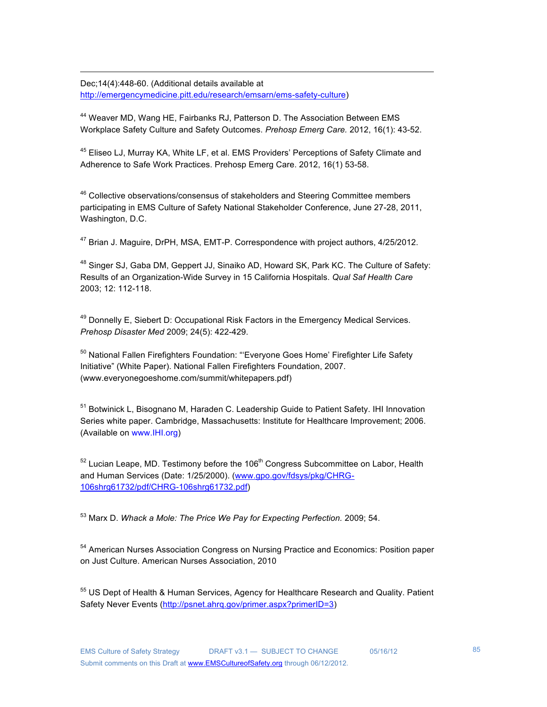Dec;14(4):448-60. (Additional details available at http://emergencymedicine.pitt.edu/research/emsarn/ems-safety-culture)

<sup>44</sup> Weaver MD, Wang HE, Fairbanks RJ, Patterson D. The Association Between EMS Workplace Safety Culture and Safety Outcomes. *Prehosp Emerg Care.* 2012, 16(1): 43-52.

!!!!!!!!!!!!!!!!!!!!!!!!!!!!!!!!!!!!!!!!!!!!!!!!!!!!!!!!!!!!!!!!!!!!!!!!!!!!!!!!!!!!!!!!!!!!!!!!!!!!!!!!!!!!!!!!!!!!!!!!!!!!!!!!!!!!!!!!!!!!!!!!!!!!!!

<sup>45</sup> Eliseo LJ, Murray KA, White LF, et al. EMS Providers' Perceptions of Safety Climate and Adherence to Safe Work Practices. Prehosp Emerg Care. 2012, 16(1) 53-58.

 $46$  Collective observations/consensus of stakeholders and Steering Committee members participating in EMS Culture of Safety National Stakeholder Conference, June 27-28, 2011, Washington, D.C.

 $47$  Brian J. Maguire, DrPH, MSA, EMT-P. Correspondence with project authors,  $4/25/2012$ .

<sup>48</sup> Singer SJ, Gaba DM, Geppert JJ, Sinaiko AD, Howard SK, Park KC. The Culture of Safety: Results of an Organization-Wide Survey in 15 California Hospitals. *Qual Saf Health Care*  2003; 12: 112-118.

 $49$  Donnelly E, Siebert D: Occupational Risk Factors in the Emergency Medical Services. *Prehosp Disaster Med* 2009; 24(5): 422-429.

<sup>50</sup> National Fallen Firefighters Foundation: "'Everyone Goes Home' Firefighter Life Safety Initiative" (White Paper). National Fallen Firefighters Foundation, 2007. (www.everyonegoeshome.com/summit/whitepapers.pdf)

51 Botwinick L, Bisognano M, Haraden C. Leadership Guide to Patient Safety. IHI Innovation Series white paper. Cambridge, Massachusetts: Institute for Healthcare Improvement; 2006. (Available on www.IHI.org)

 $52$  Lucian Leape, MD. Testimony before the 106<sup>th</sup> Congress Subcommittee on Labor, Health and Human Services (Date: 1/25/2000). (www.gpo.gov/fdsys/pkg/CHRG-106shrg61732/pdf/CHRG-106shrg61732.pdf)

53 Marx D. *Whack a Mole: The Price We Pay for Expecting Perfection.* 2009; 54.

<sup>54</sup> American Nurses Association Congress on Nursing Practice and Economics: Position paper on Just Culture. American Nurses Association, 2010

<sup>55</sup> US Dept of Health & Human Services, Agency for Healthcare Research and Quality. Patient Safety Never Events (http://psnet.ahrq.gov/primer.aspx?primerID=3)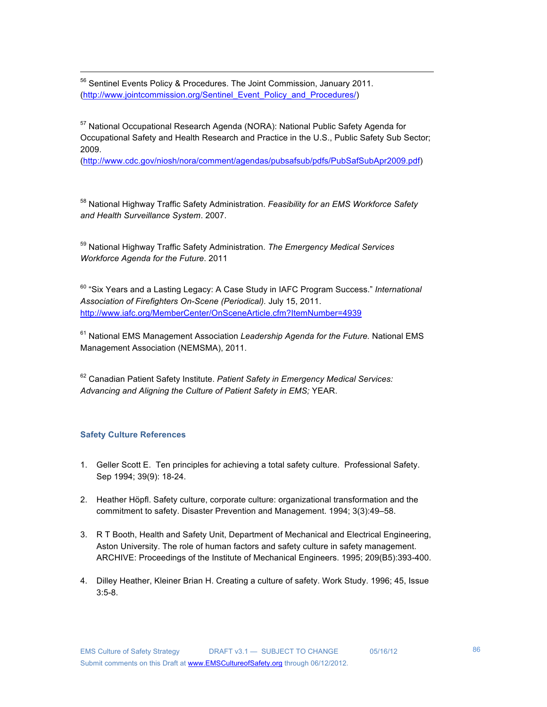<sup>56</sup> Sentinel Events Policy & Procedures. The Joint Commission, January 2011. (http://www.jointcommission.org/Sentinel\_Event\_Policy\_and\_Procedures/)

57 National Occupational Research Agenda (NORA): National Public Safety Agenda for Occupational Safety and Health Research and Practice in the U.S., Public Safety Sub Sector; 2009.

!!!!!!!!!!!!!!!!!!!!!!!!!!!!!!!!!!!!!!!!!!!!!!!!!!!!!!!!!!!!!!!!!!!!!!!!!!!!!!!!!!!!!!!!!!!!!!!!!!!!!!!!!!!!!!!!!!!!!!!!!!!!!!!!!!!!!!!!!!!!!!!!!!!!!!

(http://www.cdc.gov/niosh/nora/comment/agendas/pubsafsub/pdfs/PubSafSubApr2009.pdf)

58 National Highway Traffic Safety Administration. *Feasibility for an EMS Workforce Safety and Health Surveillance System*. 2007.

59 National Highway Traffic Safety Administration. *The Emergency Medical Services Workforce Agenda for the Future*. 2011

60 "Six Years and a Lasting Legacy: A Case Study in IAFC Program Success." *International Association of Firefighters On-Scene (Periodical).* July 15, 2011. http://www.iafc.org/MemberCenter/OnSceneArticle.cfm?ItemNumber=4939

61 National EMS Management Association *Leadership Agenda for the Future.* National EMS Management Association (NEMSMA), 2011.

62 Canadian Patient Safety Institute. *Patient Safety in Emergency Medical Services: Advancing and Aligning the Culture of Patient Safety in EMS;* YEAR.

### **Safety Culture References**

- 1. Geller Scott E. Ten principles for achieving a total safety culture. Professional Safety. Sep 1994; 39(9): 18-24.
- 2. Heather Höpfl. Safety culture, corporate culture: organizational transformation and the commitment to safety. Disaster Prevention and Management. 1994; 3(3):49–58.
- 3. R T Booth, Health and Safety Unit, Department of Mechanical and Electrical Engineering, Aston University. The role of human factors and safety culture in safety management. ARCHIVE: Proceedings of the Institute of Mechanical Engineers. 1995; 209(B5):393-400.
- 4. Dilley Heather, Kleiner Brian H. Creating a culture of safety. Work Study. 1996; 45, Issue 3:5-8.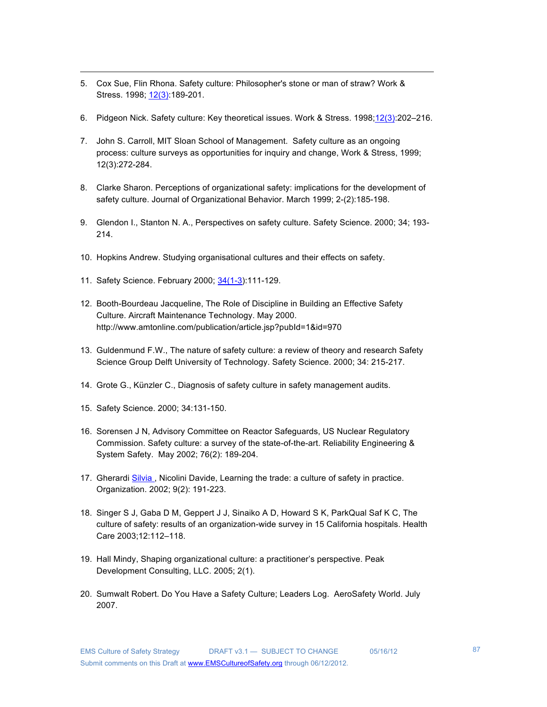- 5. Cox Sue, Flin Rhona. Safety culture: Philosopher's stone or man of straw? Work & Stress. 1998; 12(3):189-201.
- 6. Pidgeon Nick. Safety culture: Key theoretical issues. Work & Stress. 1998;12(3):202-216.

- 7. John S. Carroll, MIT Sloan School of Management. Safety culture as an ongoing process: culture surveys as opportunities for inquiry and change, Work & Stress, 1999; 12(3):272-284.
- 8. Clarke Sharon. Perceptions of organizational safety: implications for the development of safety culture. Journal of Organizational Behavior. March 1999; 2-(2):185-198.
- 9. Glendon I., Stanton N. A., Perspectives on safety culture. Safety Science. 2000; 34; 193- 214.
- 10. Hopkins Andrew. Studying organisational cultures and their effects on safety.
- 11. Safety Science. February 2000; 34(1-3):111-129.
- 12. Booth-Bourdeau Jacqueline, The Role of Discipline in Building an Effective Safety Culture. Aircraft Maintenance Technology. May 2000. http://www.amtonline.com/publication/article.jsp?pubId=1&id=970
- 13. Guldenmund F.W., The nature of safety culture: a review of theory and research Safety Science Group Delft University of Technology. Safety Science. 2000; 34: 215-217.
- 14. Grote G., Künzler C., Diagnosis of safety culture in safety management audits.
- 15. Safety Science. 2000; 34:131-150.
- 16. Sorensen J N, Advisory Committee on Reactor Safeguards, US Nuclear Regulatory Commission. Safety culture: a survey of the state-of-the-art. Reliability Engineering & System Safety. May 2002; 76(2): 189-204.
- 17. Gherardi Silvia , Nicolini Davide, Learning the trade: a culture of safety in practice. Organization. 2002; 9(2): 191-223.
- 18. Singer S J, Gaba D M, Geppert J J, Sinaiko A D, Howard S K, ParkQual Saf K C, The culture of safety: results of an organization-wide survey in 15 California hospitals. Health Care 2003;12:112–118.
- 19. Hall Mindy, Shaping organizational culture: a practitioner's perspective. Peak Development Consulting, LLC. 2005; 2(1).
- 20. Sumwalt Robert. Do You Have a Safety Culture; Leaders Log. AeroSafety World. July 2007.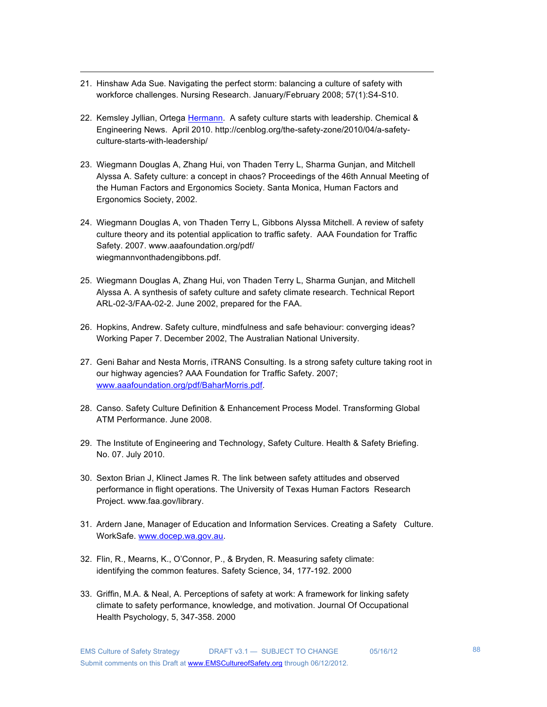21. Hinshaw Ada Sue. Navigating the perfect storm: balancing a culture of safety with workforce challenges. Nursing Research. January/February 2008; 57(1):S4-S10.

!!!!!!!!!!!!!!!!!!!!!!!!!!!!!!!!!!!!!!!!!!!!!!!!!!!!!!!!!!!!!!!!!!!!!!!!!!!!!!!!!!!!!!!!!!!!!!!!!!!!!!!!!!!!!!!!!!!!!!!!!!!!!!!!!!!!!!!!!!!!!!!!!!!!!!

- 22. Kemsley Jyllian, Ortega Hermann. A safety culture starts with leadership. Chemical & Engineering News. April 2010. http://cenblog.org/the-safety-zone/2010/04/a-safetyculture-starts-with-leadership/
- 23. Wiegmann Douglas A, Zhang Hui, von Thaden Terry L, Sharma Gunjan, and Mitchell Alyssa A. Safety culture: a concept in chaos? Proceedings of the 46th Annual Meeting of the Human Factors and Ergonomics Society. Santa Monica, Human Factors and Ergonomics Society, 2002.
- 24. Wiegmann Douglas A, von Thaden Terry L, Gibbons Alyssa Mitchell. A review of safety culture theory and its potential application to traffic safety. AAA Foundation for Traffic Safety. 2007. www.aaafoundation.org/pdf/ wiegmannvonthadengibbons.pdf.
- 25. Wiegmann Douglas A, Zhang Hui, von Thaden Terry L, Sharma Gunjan, and Mitchell Alyssa A. A synthesis of safety culture and safety climate research. Technical Report ARL-02-3/FAA-02-2. June 2002, prepared for the FAA.
- 26. Hopkins, Andrew. Safety culture, mindfulness and safe behaviour: converging ideas? Working Paper 7. December 2002, The Australian National University.
- 27. Geni Bahar and Nesta Morris, iTRANS Consulting. Is a strong safety culture taking root in our highway agencies? AAA Foundation for Traffic Safety. 2007; www.aaafoundation.org/pdf/BaharMorris.pdf.
- 28. Canso. Safety Culture Definition & Enhancement Process Model. Transforming Global ATM Performance. June 2008.
- 29. The Institute of Engineering and Technology, Safety Culture. Health & Safety Briefing. No. 07. July 2010.
- 30. Sexton Brian J, Klinect James R. The link between safety attitudes and observed performance in flight operations. The University of Texas Human Factors Research Project. www.faa.gov/library.
- 31. Ardern Jane, Manager of Education and Information Services. Creating a Safety Culture. WorkSafe. www.docep.wa.gov.au.
- 32. Flin, R., Mearns, K., O'Connor, P., & Bryden, R. Measuring safety climate: identifying the common features. Safety Science, 34, 177-192. 2000
- 33. Griffin, M.A. & Neal, A. Perceptions of safety at work: A framework for linking safety climate to safety performance, knowledge, and motivation. Journal Of Occupational Health Psychology, 5, 347-358. 2000

88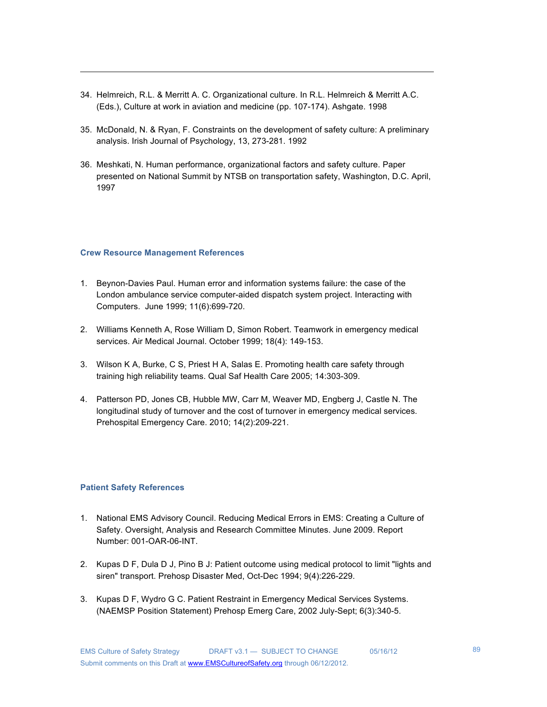34. Helmreich, R.L. & Merritt A. C. Organizational culture. In R.L. Helmreich & Merritt A.C. (Eds.), Culture at work in aviation and medicine (pp. 107-174). Ashgate. 1998

!!!!!!!!!!!!!!!!!!!!!!!!!!!!!!!!!!!!!!!!!!!!!!!!!!!!!!!!!!!!!!!!!!!!!!!!!!!!!!!!!!!!!!!!!!!!!!!!!!!!!!!!!!!!!!!!!!!!!!!!!!!!!!!!!!!!!!!!!!!!!!!!!!!!!!

- 35. McDonald, N. & Ryan, F. Constraints on the development of safety culture: A preliminary analysis. Irish Journal of Psychology, 13, 273-281. 1992
- 36. Meshkati, N. Human performance, organizational factors and safety culture. Paper presented on National Summit by NTSB on transportation safety, Washington, D.C. April, 1997

### **Crew Resource Management References**

- 1. Beynon-Davies Paul. Human error and information systems failure: the case of the London ambulance service computer-aided dispatch system project. Interacting with Computers. June 1999; 11(6):699-720.
- 2. Williams Kenneth A, Rose William D, Simon Robert. Teamwork in emergency medical services. Air Medical Journal. October 1999; 18(4): 149-153.
- 3. Wilson K A, Burke, C S, Priest H A, Salas E. Promoting health care safety through training high reliability teams. Qual Saf Health Care 2005; 14:303-309.
- 4. Patterson PD, Jones CB, Hubble MW, Carr M, Weaver MD, Engberg J, Castle N. The longitudinal study of turnover and the cost of turnover in emergency medical services. Prehospital Emergency Care. 2010; 14(2):209-221.

### **Patient Safety References**

- 1. National EMS Advisory Council. Reducing Medical Errors in EMS: Creating a Culture of Safety. Oversight, Analysis and Research Committee Minutes. June 2009. Report Number: 001-OAR-06-INT.
- 2. Kupas D F, Dula D J, Pino B J: Patient outcome using medical protocol to limit "lights and siren" transport. Prehosp Disaster Med, Oct-Dec 1994; 9(4):226-229.
- 3. Kupas D F, Wydro G C. Patient Restraint in Emergency Medical Services Systems. (NAEMSP Position Statement) Prehosp Emerg Care, 2002 July-Sept; 6(3):340-5.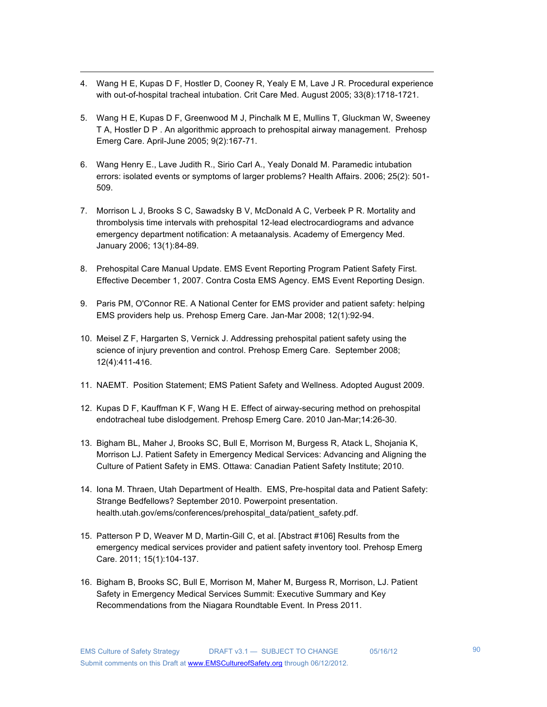- !!!!!!!!!!!!!!!!!!!!!!!!!!!!!!!!!!!!!!!!!!!!!!!!!!!!!!!!!!!!!!!!!!!!!!!!!!!!!!!!!!!!!!!!!!!!!!!!!!!!!!!!!!!!!!!!!!!!!!!!!!!!!!!!!!!!!!!!!!!!!!!!!!!!!! 4. Wang H E, Kupas D F, Hostler D, Cooney R, Yealy E M, Lave J R. Procedural experience with out-of-hospital tracheal intubation. Crit Care Med. August 2005; 33(8):1718-1721.
- 5. Wang H E, Kupas D F, Greenwood M J, Pinchalk M E, Mullins T, Gluckman W, Sweeney T A, Hostler D P . An algorithmic approach to prehospital airway management. Prehosp Emerg Care. April-June 2005; 9(2):167-71.
- 6. Wang Henry E., Lave Judith R., Sirio Carl A., Yealy Donald M. Paramedic intubation errors: isolated events or symptoms of larger problems? Health Affairs. 2006; 25(2): 501- 509.
- 7. Morrison L J, Brooks S C, Sawadsky B V, McDonald A C, Verbeek P R. Mortality and thrombolysis time intervals with prehospital 12-lead electrocardiograms and advance emergency department notification: A metaanalysis. Academy of Emergency Med. January 2006; 13(1):84-89.
- 8. Prehospital Care Manual Update. EMS Event Reporting Program Patient Safety First. Effective December 1, 2007. Contra Costa EMS Agency. EMS Event Reporting Design.
- 9. Paris PM, O'Connor RE. A National Center for EMS provider and patient safety: helping EMS providers help us. Prehosp Emerg Care. Jan-Mar 2008; 12(1):92-94.
- 10. Meisel Z F, Hargarten S, Vernick J. Addressing prehospital patient safety using the science of injury prevention and control. Prehosp Emerg Care. September 2008; 12(4):411-416.
- 11. NAEMT. Position Statement; EMS Patient Safety and Wellness. Adopted August 2009.
- 12. Kupas D F, Kauffman K F, Wang H E. Effect of airway-securing method on prehospital endotracheal tube dislodgement. Prehosp Emerg Care. 2010 Jan-Mar;14:26-30.
- 13. Bigham BL, Maher J, Brooks SC, Bull E, Morrison M, Burgess R, Atack L, Shojania K, Morrison LJ. Patient Safety in Emergency Medical Services: Advancing and Aligning the Culture of Patient Safety in EMS. Ottawa: Canadian Patient Safety Institute; 2010.
- 14. Iona M. Thraen, Utah Department of Health. EMS, Pre-hospital data and Patient Safety: Strange Bedfellows? September 2010. Powerpoint presentation. health.utah.gov/ems/conferences/prehospital\_data/patient\_safety.pdf.
- 15. Patterson P D, Weaver M D, Martin-Gill C, et al. [Abstract #106] Results from the emergency medical services provider and patient safety inventory tool. Prehosp Emerg Care. 2011; 15(1):104-137.
- 16. Bigham B, Brooks SC, Bull E, Morrison M, Maher M, Burgess R, Morrison, LJ. Patient Safety in Emergency Medical Services Summit: Executive Summary and Key Recommendations from the Niagara Roundtable Event. In Press 2011.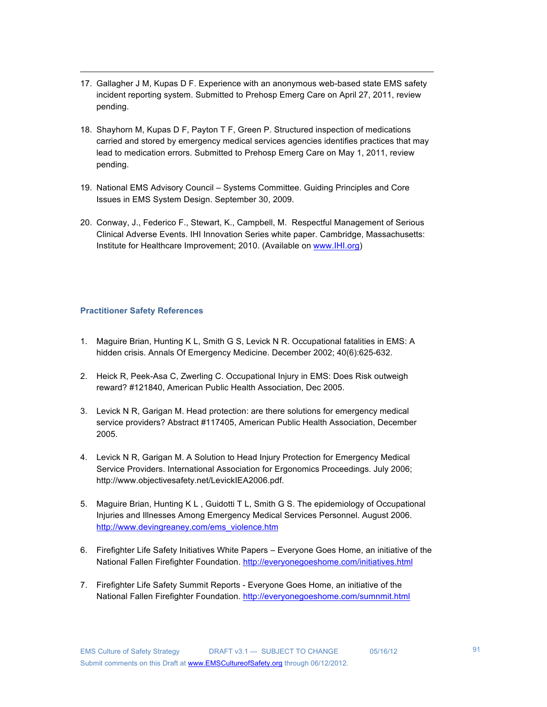17. Gallagher J M, Kupas D F. Experience with an anonymous web-based state EMS safety incident reporting system. Submitted to Prehosp Emerg Care on April 27, 2011, review pending.

!!!!!!!!!!!!!!!!!!!!!!!!!!!!!!!!!!!!!!!!!!!!!!!!!!!!!!!!!!!!!!!!!!!!!!!!!!!!!!!!!!!!!!!!!!!!!!!!!!!!!!!!!!!!!!!!!!!!!!!!!!!!!!!!!!!!!!!!!!!!!!!!!!!!!!

- 18. Shayhorn M, Kupas D F, Payton T F, Green P. Structured inspection of medications carried and stored by emergency medical services agencies identifies practices that may lead to medication errors. Submitted to Prehosp Emerg Care on May 1, 2011, review pending.
- 19. National EMS Advisory Council Systems Committee. Guiding Principles and Core Issues in EMS System Design. September 30, 2009.
- 20. Conway, J., Federico F., Stewart, K., Campbell, M. Respectful Management of Serious Clinical Adverse Events. IHI Innovation Series white paper. Cambridge, Massachusetts: Institute for Healthcare Improvement; 2010. (Available on www.IHI.org)

### **Practitioner Safety References**

- 1. Maguire Brian, Hunting K L, Smith G S, Levick N R. Occupational fatalities in EMS: A hidden crisis. Annals Of Emergency Medicine. December 2002; 40(6):625-632.
- 2. Heick R, Peek-Asa C, Zwerling C. Occupational Injury in EMS: Does Risk outweigh reward? #121840, American Public Health Association, Dec 2005.
- 3. Levick N R, Garigan M. Head protection: are there solutions for emergency medical service providers? Abstract #117405, American Public Health Association, December 2005.
- 4. Levick N R, Garigan M. A Solution to Head Injury Protection for Emergency Medical Service Providers. International Association for Ergonomics Proceedings. July 2006; http://www.objectivesafety.net/LevickIEA2006.pdf.
- 5. Maguire Brian, Hunting K L , Guidotti T L, Smith G S. The epidemiology of Occupational Injuries and Illnesses Among Emergency Medical Services Personnel. August 2006. http://www.devingreaney.com/ems\_violence.htm
- 6. Firefighter Life Safety Initiatives White Papers Everyone Goes Home, an initiative of the National Fallen Firefighter Foundation. http://everyonegoeshome.com/initiatives.html
- 7. Firefighter Life Safety Summit Reports Everyone Goes Home, an initiative of the National Fallen Firefighter Foundation. http://everyonegoeshome.com/sumnmit.html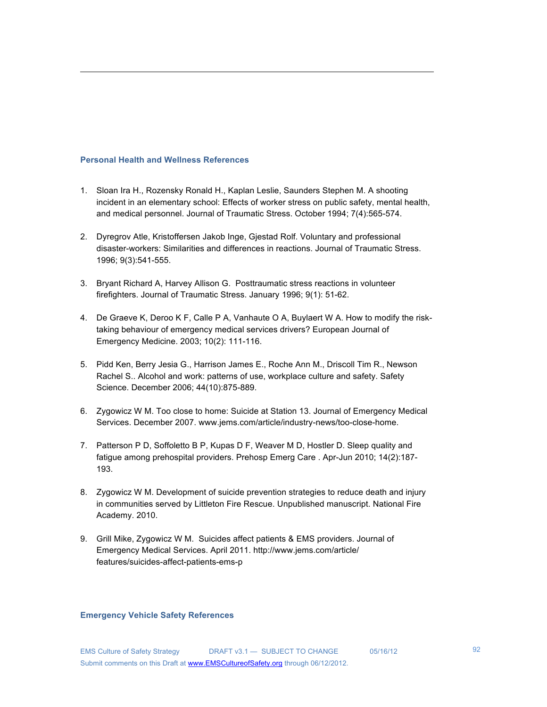#### **Personal Health and Wellness References**

1. Sloan Ira H., Rozensky Ronald H., Kaplan Leslie, Saunders Stephen M. A shooting incident in an elementary school: Effects of worker stress on public safety, mental health, and medical personnel. Journal of Traumatic Stress. October 1994; 7(4):565-574.

!!!!!!!!!!!!!!!!!!!!!!!!!!!!!!!!!!!!!!!!!!!!!!!!!!!!!!!!!!!!!!!!!!!!!!!!!!!!!!!!!!!!!!!!!!!!!!!!!!!!!!!!!!!!!!!!!!!!!!!!!!!!!!!!!!!!!!!!!!!!!!!!!!!!!!

- 2. Dyregrov Atle, Kristoffersen Jakob Inge, Gjestad Rolf. Voluntary and professional disaster-workers: Similarities and differences in reactions. Journal of Traumatic Stress. 1996; 9(3):541-555.
- 3. Bryant Richard A, Harvey Allison G. Posttraumatic stress reactions in volunteer firefighters. Journal of Traumatic Stress. January 1996; 9(1): 51-62.
- 4. De Graeve K, Deroo K F, Calle P A, Vanhaute O A, Buylaert W A. How to modify the risktaking behaviour of emergency medical services drivers? European Journal of Emergency Medicine. 2003; 10(2): 111-116.
- 5. Pidd Ken, Berry Jesia G., Harrison James E., Roche Ann M., Driscoll Tim R., Newson Rachel S.. Alcohol and work: patterns of use, workplace culture and safety. Safety Science. December 2006; 44(10):875-889.
- 6. Zygowicz W M. Too close to home: Suicide at Station 13. Journal of Emergency Medical Services. December 2007. www.jems.com/article/industry-news/too-close-home.
- 7. Patterson P D, Soffoletto B P, Kupas D F, Weaver M D, Hostler D. Sleep quality and fatigue among prehospital providers. Prehosp Emerg Care . Apr-Jun 2010; 14(2):187- 193.
- 8. Zygowicz W M. Development of suicide prevention strategies to reduce death and injury in communities served by Littleton Fire Rescue. Unpublished manuscript. National Fire Academy. 2010.
- 9. Grill Mike, Zygowicz W M. Suicides affect patients & EMS providers. Journal of Emergency Medical Services. April 2011. http://www.jems.com/article/ features/suicides-affect-patients-ems-p

#### **Emergency Vehicle Safety References**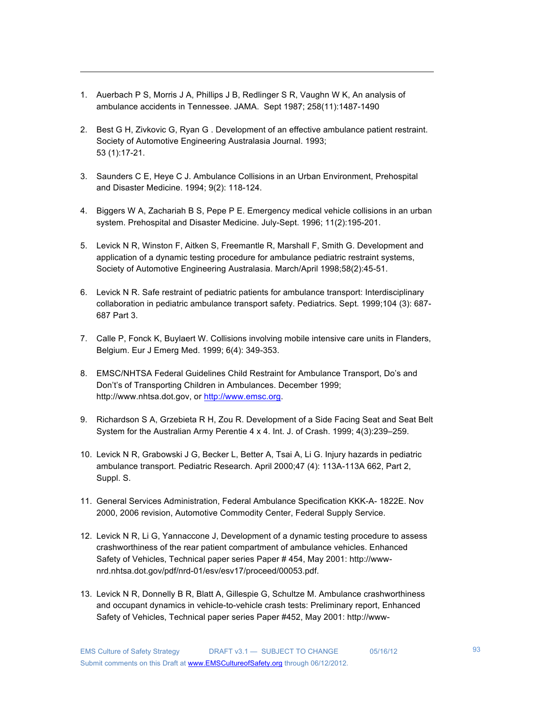- 1. Auerbach P S, Morris J A, Phillips J B, Redlinger S R, Vaughn W K, An analysis of ambulance accidents in Tennessee. JAMA. Sept 1987; 258(11):1487-1490
- 2. Best G H, Zivkovic G, Ryan G . Development of an effective ambulance patient restraint. Society of Automotive Engineering Australasia Journal. 1993; 53 (1):17-21.

- 3. Saunders C E, Heye C J. Ambulance Collisions in an Urban Environment, Prehospital and Disaster Medicine. 1994; 9(2): 118-124.
- 4. Biggers W A, Zachariah B S, Pepe P E. Emergency medical vehicle collisions in an urban system. Prehospital and Disaster Medicine. July-Sept. 1996; 11(2):195-201.
- 5. Levick N R, Winston F, Aitken S, Freemantle R, Marshall F, Smith G. Development and application of a dynamic testing procedure for ambulance pediatric restraint systems, Society of Automotive Engineering Australasia. March/April 1998;58(2):45-51.
- 6. Levick N R. Safe restraint of pediatric patients for ambulance transport: Interdisciplinary collaboration in pediatric ambulance transport safety. Pediatrics. Sept. 1999;104 (3): 687- 687 Part 3.
- 7. Calle P, Fonck K, Buylaert W. Collisions involving mobile intensive care units in Flanders, Belgium. Eur J Emerg Med. 1999; 6(4): 349-353.
- 8. EMSC/NHTSA Federal Guidelines Child Restraint for Ambulance Transport, Do's and Don't's of Transporting Children in Ambulances. December 1999; http://www.nhtsa.dot.gov, or http://www.emsc.org.
- 9. Richardson S A, Grzebieta R H, Zou R. Development of a Side Facing Seat and Seat Belt System for the Australian Army Perentie 4 x 4. Int. J. of Crash. 1999; 4(3):239–259.
- 10. Levick N R, Grabowski J G, Becker L, Better A, Tsai A, Li G. Injury hazards in pediatric ambulance transport. Pediatric Research. April 2000;47 (4): 113A-113A 662, Part 2, Suppl. S.
- 11. General Services Administration, Federal Ambulance Specification KKK-A- 1822E. Nov 2000, 2006 revision, Automotive Commodity Center, Federal Supply Service.
- 12. Levick N R, Li G, Yannaccone J, Development of a dynamic testing procedure to assess crashworthiness of the rear patient compartment of ambulance vehicles. Enhanced Safety of Vehicles, Technical paper series Paper # 454, May 2001: http://wwwnrd.nhtsa.dot.gov/pdf/nrd-01/esv/esv17/proceed/00053.pdf.
- 13. Levick N R, Donnelly B R, Blatt A, Gillespie G, Schultze M. Ambulance crashworthiness and occupant dynamics in vehicle-to-vehicle crash tests: Preliminary report, Enhanced Safety of Vehicles, Technical paper series Paper #452, May 2001: http://www-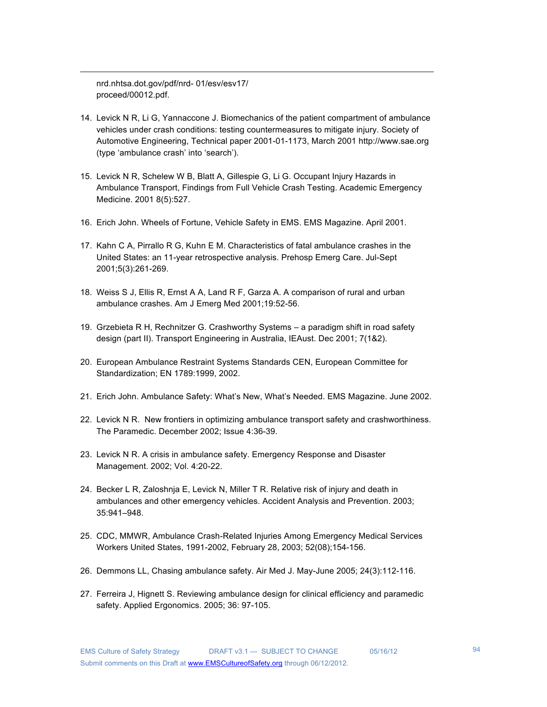nrd.nhtsa.dot.gov/pdf/nrd- 01/esv/esv17/ proceed/00012.pdf.

14. Levick N R, Li G, Yannaccone J. Biomechanics of the patient compartment of ambulance vehicles under crash conditions: testing countermeasures to mitigate injury. Society of Automotive Engineering, Technical paper 2001-01-1173, March 2001 http://www.sae.org (type 'ambulance crash' into 'search').

- 15. Levick N R, Schelew W B, Blatt A, Gillespie G, Li G. Occupant Injury Hazards in Ambulance Transport, Findings from Full Vehicle Crash Testing. Academic Emergency Medicine. 2001 8(5):527.
- 16. Erich John. Wheels of Fortune, Vehicle Safety in EMS. EMS Magazine. April 2001.
- 17. Kahn C A, Pirrallo R G, Kuhn E M. Characteristics of fatal ambulance crashes in the United States: an 11-year retrospective analysis. Prehosp Emerg Care. Jul-Sept 2001;5(3):261-269.
- 18. Weiss S J, Ellis R, Ernst A A, Land R F, Garza A. A comparison of rural and urban ambulance crashes. Am J Emerg Med 2001;19:52-56.
- 19. Grzebieta R H, Rechnitzer G. Crashworthy Systems a paradigm shift in road safety design (part II). Transport Engineering in Australia, IEAust. Dec 2001; 7(1&2).
- 20. European Ambulance Restraint Systems Standards CEN, European Committee for Standardization; EN 1789:1999, 2002.
- 21. Erich John. Ambulance Safety: What's New, What's Needed. EMS Magazine. June 2002.
- 22. Levick N R. New frontiers in optimizing ambulance transport safety and crashworthiness. The Paramedic. December 2002; Issue 4:36-39.
- 23. Levick N R. A crisis in ambulance safety. Emergency Response and Disaster Management. 2002; Vol. 4:20-22.
- 24. Becker L R, Zaloshnja E, Levick N, Miller T R. Relative risk of injury and death in ambulances and other emergency vehicles. Accident Analysis and Prevention. 2003; 35:941–948.
- 25. CDC, MMWR, Ambulance Crash-Related Injuries Among Emergency Medical Services Workers United States, 1991-2002, February 28, 2003; 52(08);154-156.
- 26. Demmons LL, Chasing ambulance safety. Air Med J. May-June 2005; 24(3):112-116.
- 27. Ferreira J, Hignett S. Reviewing ambulance design for clinical efficiency and paramedic safety. Applied Ergonomics. 2005; 36: 97-105.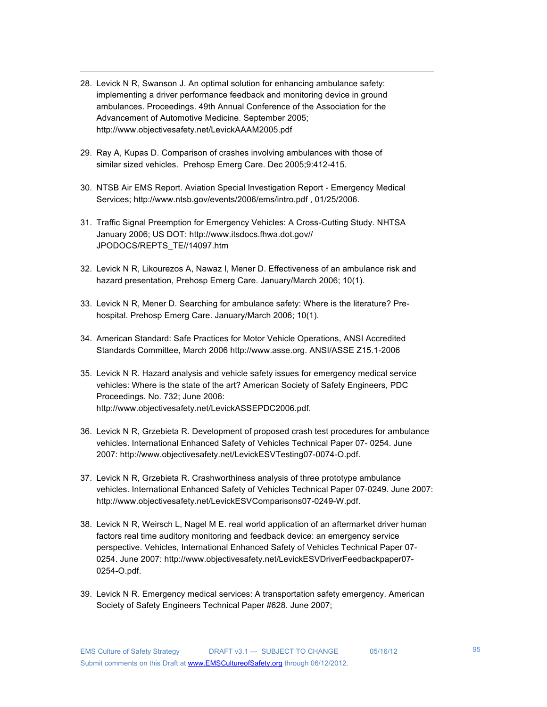28. Levick N R, Swanson J. An optimal solution for enhancing ambulance safety: implementing a driver performance feedback and monitoring device in ground ambulances. Proceedings. 49th Annual Conference of the Association for the Advancement of Automotive Medicine. September 2005; http://www.objectivesafety.net/LevickAAAM2005.pdf

- 29. Ray A, Kupas D. Comparison of crashes involving ambulances with those of similar sized vehicles. Prehosp Emerg Care. Dec 2005;9:412-415.
- 30. NTSB Air EMS Report. Aviation Special Investigation Report Emergency Medical Services; http://www.ntsb.gov/events/2006/ems/intro.pdf , 01/25/2006.
- 31. Traffic Signal Preemption for Emergency Vehicles: A Cross-Cutting Study. NHTSA January 2006; US DOT: http://www.itsdocs.fhwa.dot.gov// JPODOCS/REPTS\_TE//14097.htm
- 32. Levick N R, Likourezos A, Nawaz I, Mener D. Effectiveness of an ambulance risk and hazard presentation, Prehosp Emerg Care. January/March 2006; 10(1).
- 33. Levick N R, Mener D. Searching for ambulance safety: Where is the literature? Prehospital. Prehosp Emerg Care. January/March 2006; 10(1).
- 34. American Standard: Safe Practices for Motor Vehicle Operations, ANSI Accredited Standards Committee, March 2006 http://www.asse.org. ANSI/ASSE Z15.1-2006
- 35. Levick N R. Hazard analysis and vehicle safety issues for emergency medical service vehicles: Where is the state of the art? American Society of Safety Engineers, PDC Proceedings. No. 732; June 2006: http://www.objectivesafety.net/LevickASSEPDC2006.pdf.
- 36. Levick N R, Grzebieta R. Development of proposed crash test procedures for ambulance vehicles. International Enhanced Safety of Vehicles Technical Paper 07- 0254. June 2007: http://www.objectivesafety.net/LevickESVTesting07-0074-O.pdf.
- 37. Levick N R, Grzebieta R. Crashworthiness analysis of three prototype ambulance vehicles. International Enhanced Safety of Vehicles Technical Paper 07-0249. June 2007: http://www.objectivesafety.net/LevickESVComparisons07-0249-W.pdf.
- 38. Levick N R, Weirsch L, Nagel M E. real world application of an aftermarket driver human factors real time auditory monitoring and feedback device: an emergency service perspective. Vehicles, International Enhanced Safety of Vehicles Technical Paper 07- 0254. June 2007: http://www.objectivesafety.net/LevickESVDriverFeedbackpaper07- 0254-O.pdf.
- 39. Levick N R. Emergency medical services: A transportation safety emergency. American Society of Safety Engineers Technical Paper #628. June 2007;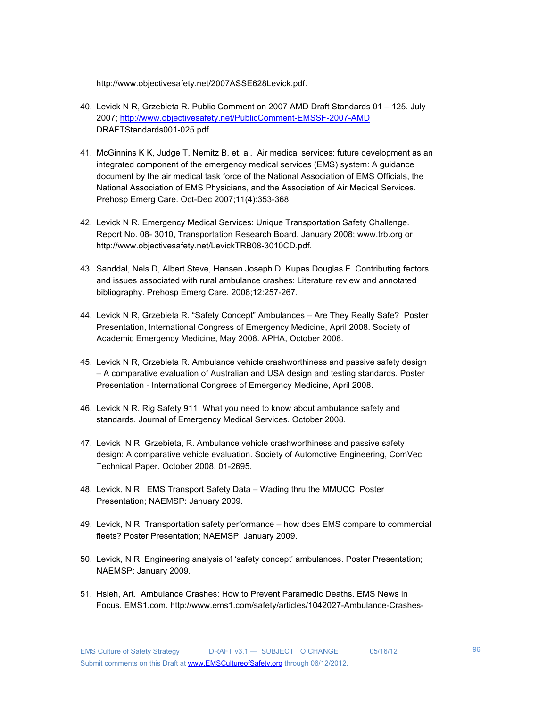http://www.objectivesafety.net/2007ASSE628Levick.pdf.

40. Levick N R, Grzebieta R. Public Comment on 2007 AMD Draft Standards 01 – 125. July 2007; http://www.objectivesafety.net/PublicComment-EMSSF-2007-AMD DRAFTStandards001-025.pdf.

- 41. McGinnins K K, Judge T, Nemitz B, et. al. Air medical services: future development as an integrated component of the emergency medical services (EMS) system: A guidance document by the air medical task force of the National Association of EMS Officials, the National Association of EMS Physicians, and the Association of Air Medical Services. Prehosp Emerg Care. Oct-Dec 2007;11(4):353-368.
- 42. Levick N R. Emergency Medical Services: Unique Transportation Safety Challenge. Report No. 08- 3010, Transportation Research Board. January 2008; www.trb.org or http://www.objectivesafety.net/LevickTRB08-3010CD.pdf.
- 43. Sanddal, Nels D, Albert Steve, Hansen Joseph D, Kupas Douglas F. Contributing factors and issues associated with rural ambulance crashes: Literature review and annotated bibliography. Prehosp Emerg Care. 2008;12:257-267.
- 44. Levick N R, Grzebieta R. "Safety Concept" Ambulances Are They Really Safe? Poster Presentation, International Congress of Emergency Medicine, April 2008. Society of Academic Emergency Medicine, May 2008. APHA, October 2008.
- 45. Levick N R, Grzebieta R. Ambulance vehicle crashworthiness and passive safety design – A comparative evaluation of Australian and USA design and testing standards. Poster Presentation - International Congress of Emergency Medicine, April 2008.
- 46. Levick N R. Rig Safety 911: What you need to know about ambulance safety and standards. Journal of Emergency Medical Services. October 2008.
- 47. Levick ,N R, Grzebieta, R. Ambulance vehicle crashworthiness and passive safety design: A comparative vehicle evaluation. Society of Automotive Engineering, ComVec Technical Paper. October 2008. 01-2695.
- 48. Levick, N R. EMS Transport Safety Data Wading thru the MMUCC. Poster Presentation; NAEMSP: January 2009.
- 49. Levick, N R. Transportation safety performance how does EMS compare to commercial fleets? Poster Presentation; NAEMSP: January 2009.
- 50. Levick, N R. Engineering analysis of 'safety concept' ambulances. Poster Presentation; NAEMSP: January 2009.
- 51. Hsieh, Art. Ambulance Crashes: How to Prevent Paramedic Deaths. EMS News in Focus. EMS1.com. http://www.ems1.com/safety/articles/1042027-Ambulance-Crashes-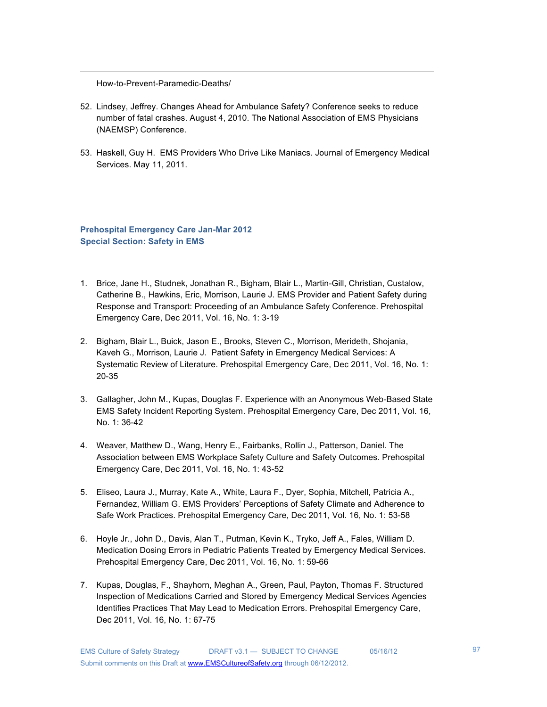How-to-Prevent-Paramedic-Deaths/

52. Lindsey, Jeffrey. Changes Ahead for Ambulance Safety? Conference seeks to reduce number of fatal crashes. August 4, 2010. The National Association of EMS Physicians (NAEMSP) Conference.

!!!!!!!!!!!!!!!!!!!!!!!!!!!!!!!!!!!!!!!!!!!!!!!!!!!!!!!!!!!!!!!!!!!!!!!!!!!!!!!!!!!!!!!!!!!!!!!!!!!!!!!!!!!!!!!!!!!!!!!!!!!!!!!!!!!!!!!!!!!!!!!!!!!!!!

53. Haskell, Guy H. EMS Providers Who Drive Like Maniacs. Journal of Emergency Medical Services. May 11, 2011.

**Prehospital Emergency Care Jan-Mar 2012 Special Section: Safety in EMS**

- 1. Brice, Jane H., Studnek, Jonathan R., Bigham, Blair L., Martin-Gill, Christian, Custalow, Catherine B., Hawkins, Eric, Morrison, Laurie J. EMS Provider and Patient Safety during Response and Transport: Proceeding of an Ambulance Safety Conference. Prehospital Emergency Care, Dec 2011, Vol. 16, No. 1: 3-19
- 2. Bigham, Blair L., Buick, Jason E., Brooks, Steven C., Morrison, Merideth, Shojania, Kaveh G., Morrison, Laurie J. Patient Safety in Emergency Medical Services: A Systematic Review of Literature. Prehospital Emergency Care, Dec 2011, Vol. 16, No. 1: 20-35
- 3. Gallagher, John M., Kupas, Douglas F. Experience with an Anonymous Web-Based State EMS Safety Incident Reporting System. Prehospital Emergency Care, Dec 2011, Vol. 16, No. 1: 36-42
- 4. Weaver, Matthew D., Wang, Henry E., Fairbanks, Rollin J., Patterson, Daniel. The Association between EMS Workplace Safety Culture and Safety Outcomes. Prehospital Emergency Care, Dec 2011, Vol. 16, No. 1: 43-52
- 5. Eliseo, Laura J., Murray, Kate A., White, Laura F., Dyer, Sophia, Mitchell, Patricia A., Fernandez, William G. EMS Providers' Perceptions of Safety Climate and Adherence to Safe Work Practices. Prehospital Emergency Care, Dec 2011, Vol. 16, No. 1: 53-58
- 6. Hoyle Jr., John D., Davis, Alan T., Putman, Kevin K., Tryko, Jeff A., Fales, William D. Medication Dosing Errors in Pediatric Patients Treated by Emergency Medical Services. Prehospital Emergency Care, Dec 2011, Vol. 16, No. 1: 59-66
- 7. Kupas, Douglas, F., Shayhorn, Meghan A., Green, Paul, Payton, Thomas F. Structured Inspection of Medications Carried and Stored by Emergency Medical Services Agencies Identifies Practices That May Lead to Medication Errors. Prehospital Emergency Care, Dec 2011, Vol. 16, No. 1: 67-75